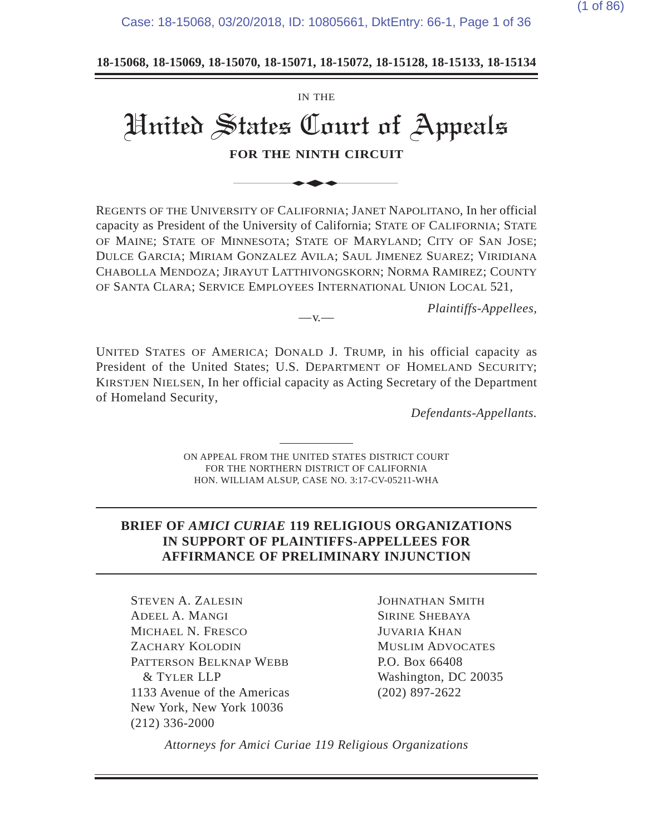Case: 18-15068, 03/20/2018, ID: 10805661, DktEntry: 66-1, Page 1 of 36

**18-15068, 18-15069, 18-15070, 18-15071, 18-15072, 18-15128, 18-15133, 18-15134**

# IN THE United States Court of Appeals **FOR THE NINTH CIRCUIT** IN THE<br>
States Court of<br>
FOR THE NINTH CIRCUIT<br>
SITY OF CALIFORNIA; JANET N

REGENTS OF THE UNIVERSITY OF CALIFORNIA; JANET NAPOLITANO, In her official capacity as President of the University of California; STATE OF CALIFORNIA; STATE OF MAINE; STATE OF MINNESOTA; STATE OF MARYLAND; CITY OF SAN JOSE; DULCE GARCIA; MIRIAM GONZALEZ AVILA; SAUL JIMENEZ SUAREZ; VIRIDIANA CHABOLLA MENDOZA; JIRAYUT LATTHIVONGSKORN; NORMA RAMIREZ; COUNTY OF SANTA CLARA; SERVICE EMPLOYEES INTERNATIONAL UNION LOCAL 521,

*Plaintiffs-Appellees,*

UNITED STATES OF AMERICA; DONALD J. TRUMP, in his official capacity as President of the United States; U.S. DEPARTMENT OF HOMELAND SECURITY; KIRSTJEN NIELSEN, In her official capacity as Acting Secretary of the Department of Homeland Security,

 $-v$ .

*Defendants-Appellants.*

ON APPEAL FROM THE UNITED STATES DISTRICT COURT FOR THE NORTHERN DISTRICT OF CALIFORNIA HON. WILLIAM ALSUP, CASE NO. 3:17-CV-05211-WHA

#### **BRIEF OF** *AMICI CURIAE* **119 RELIGIOUS ORGANIZATIONS IN SUPPORT OF PLAINTIFFS-APPELLEES FOR AFFIRMANCE OF PRELIMINARY INJUNCTION**

STEVEN A. ZALESIN ADEEL A. MANGI MICHAEL N. FRESCO ZACHARY KOLODIN PATTERSON BELKNAP WEBB & TYLER LLP 1133 Avenue of the Americas New York, New York 10036 (212) 336-2000

JOHNATHAN SMITH SIRINE SHEBAYA JUVARIA KHAN MUSLIM ADVOCATES P.O. Box 66408 Washington, DC 20035 (202) 897-2622

*Attorneys for Amici Curiae 119 Religious Organizations*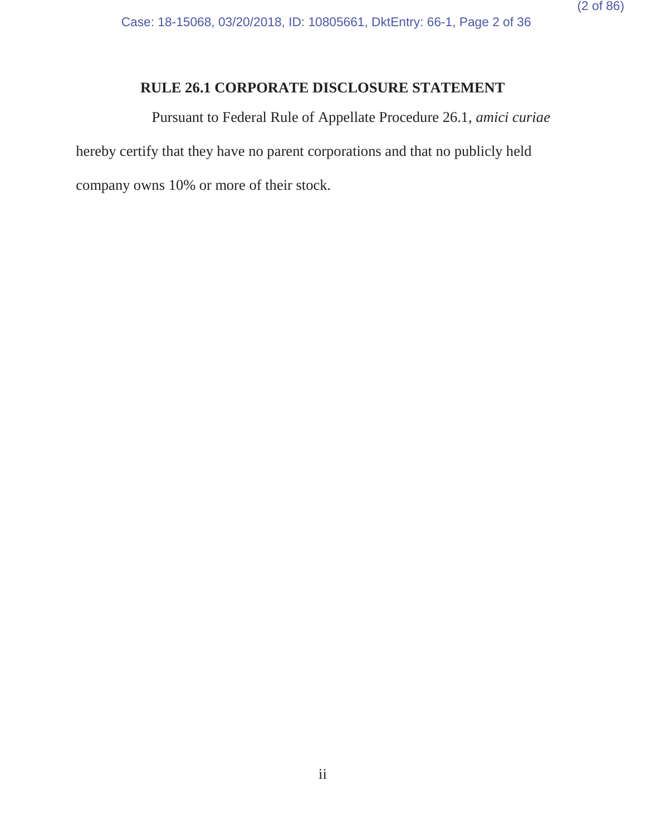# **RULE 26.1 CORPORATE DISCLOSURE STATEMENT**

Pursuant to Federal Rule of Appellate Procedure 26.1, *amici curiae* hereby certify that they have no parent corporations and that no publicly held company owns 10% or more of their stock.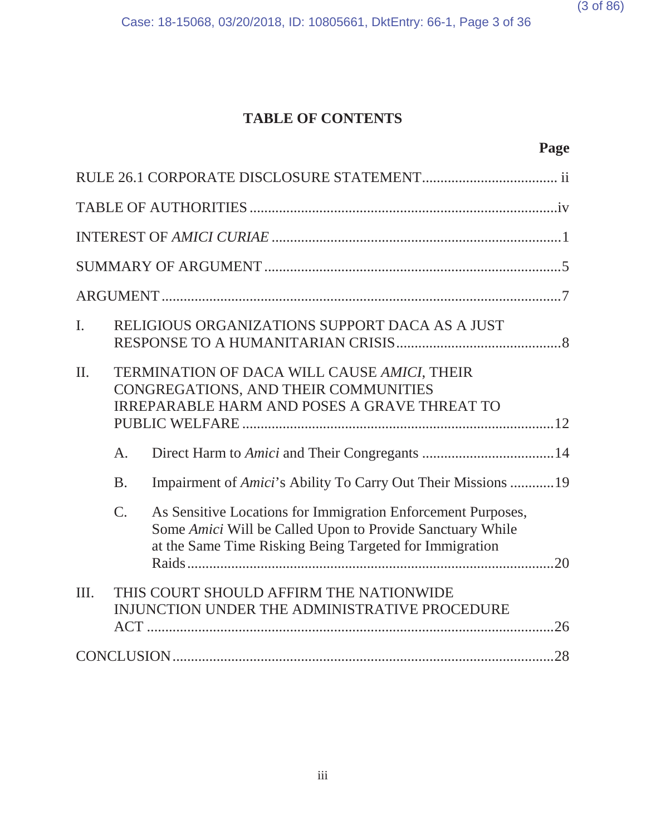# **TABLE OF CONTENTS**

| $\mathbf{I}$ . |             | RELIGIOUS ORGANIZATIONS SUPPORT DACA AS A JUST                                                                                                                                       |  |  |  |
|----------------|-------------|--------------------------------------------------------------------------------------------------------------------------------------------------------------------------------------|--|--|--|
| II.            |             | TERMINATION OF DACA WILL CAUSE AMICI, THEIR<br>CONGREGATIONS, AND THEIR COMMUNITIES<br><b>IRREPARABLE HARM AND POSES A GRAVE THREAT TO</b>                                           |  |  |  |
|                | A.          |                                                                                                                                                                                      |  |  |  |
|                | <b>B.</b>   | Impairment of Amici's Ability To Carry Out Their Missions 19                                                                                                                         |  |  |  |
|                | $C_{\cdot}$ | As Sensitive Locations for Immigration Enforcement Purposes,<br>Some Amici Will be Called Upon to Provide Sanctuary While<br>at the Same Time Risking Being Targeted for Immigration |  |  |  |
| Ш.             |             | THIS COURT SHOULD AFFIRM THE NATIONWIDE<br>INJUNCTION UNDER THE ADMINISTRATIVE PROCEDURE                                                                                             |  |  |  |
|                |             |                                                                                                                                                                                      |  |  |  |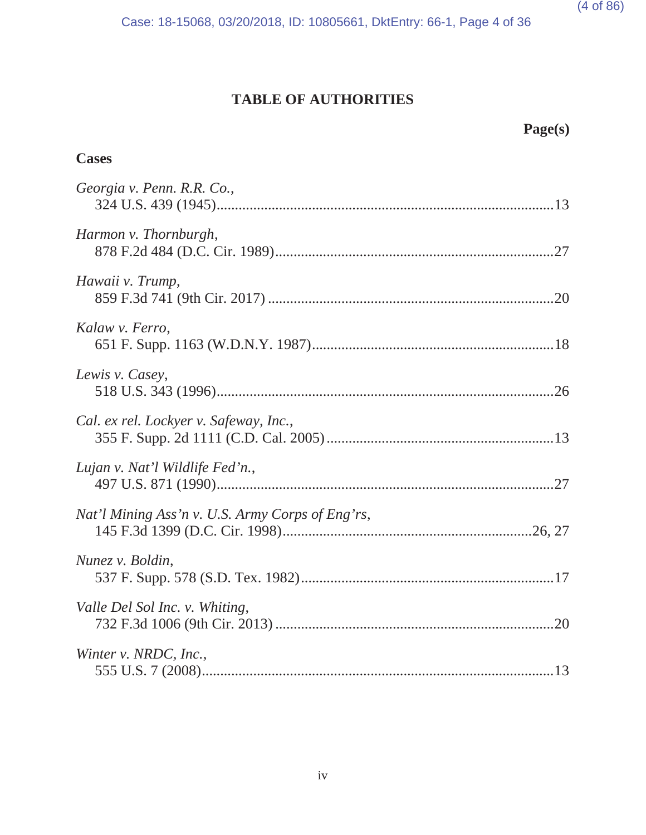# **TABLE OF AUTHORITIES**

# **Page(s)**

# **Cases**

| Georgia v. Penn. R.R. Co.,                       |  |
|--------------------------------------------------|--|
| Harmon v. Thornburgh,                            |  |
| Hawaii v. Trump,                                 |  |
| Kalaw v. Ferro,                                  |  |
| Lewis v. Casey,                                  |  |
| Cal. ex rel. Lockyer v. Safeway, Inc.,           |  |
| Lujan v. Nat'l Wildlife Fed'n.,                  |  |
| Nat'l Mining Ass'n v. U.S. Army Corps of Eng'rs, |  |
| Nunez v. Boldin,                                 |  |
| Valle Del Sol Inc. v. Whiting,                   |  |
| Winter v. NRDC, Inc.,                            |  |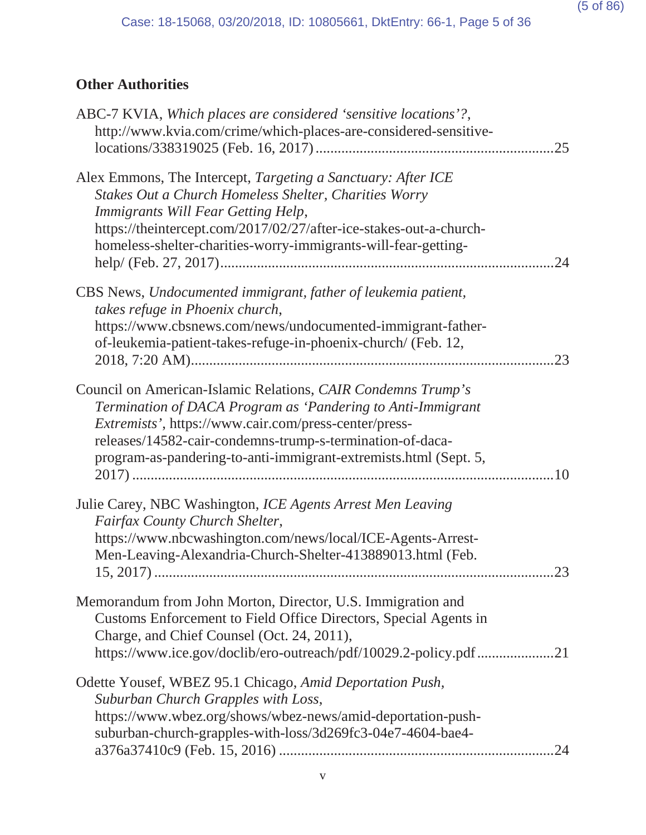# **Other Authorities**

| ABC-7 KVIA, Which places are considered 'sensitive locations'?,<br>http://www.kvia.com/crime/which-places-are-considered-sensitive-                                                                                                                                                                                           | 25 |
|-------------------------------------------------------------------------------------------------------------------------------------------------------------------------------------------------------------------------------------------------------------------------------------------------------------------------------|----|
| Alex Emmons, The Intercept, Targeting a Sanctuary: After ICE<br>Stakes Out a Church Homeless Shelter, Charities Worry<br>Immigrants Will Fear Getting Help,<br>https://theintercept.com/2017/02/27/after-ice-stakes-out-a-church-<br>homeless-shelter-charities-worry-immigrants-will-fear-getting-                           | 24 |
| CBS News, Undocumented immigrant, father of leukemia patient,<br>takes refuge in Phoenix church,<br>https://www.cbsnews.com/news/undocumented-immigrant-father-<br>of-leukemia-patient-takes-refuge-in-phoenix-church/ (Feb. 12,                                                                                              | 23 |
| Council on American-Islamic Relations, CAIR Condemns Trump's<br>Termination of DACA Program as 'Pandering to Anti-Immigrant<br><i>Extremists'</i> , https://www.cair.com/press-center/press-<br>releases/14582-cair-condemns-trump-s-termination-of-daca-<br>program-as-pandering-to-anti-immigrant-extremists.html (Sept. 5, |    |
| Julie Carey, NBC Washington, ICE Agents Arrest Men Leaving<br>Fairfax County Church Shelter,<br>https://www.nbcwashington.com/news/local/ICE-Agents-Arrest-<br>Men-Leaving-Alexandria-Church-Shelter-413889013.html (Feb.                                                                                                     | 23 |
| Memorandum from John Morton, Director, U.S. Immigration and<br>Customs Enforcement to Field Office Directors, Special Agents in<br>Charge, and Chief Counsel (Oct. 24, 2011),<br>https://www.ice.gov/doclib/ero-outreach/pdf/10029.2-policy.pdf21                                                                             |    |
| Odette Yousef, WBEZ 95.1 Chicago, Amid Deportation Push,<br>Suburban Church Grapples with Loss,<br>https://www.wbez.org/shows/wbez-news/amid-deportation-push-<br>suburban-church-grapples-with-loss/3d269fc3-04e7-4604-bae4-                                                                                                 | 24 |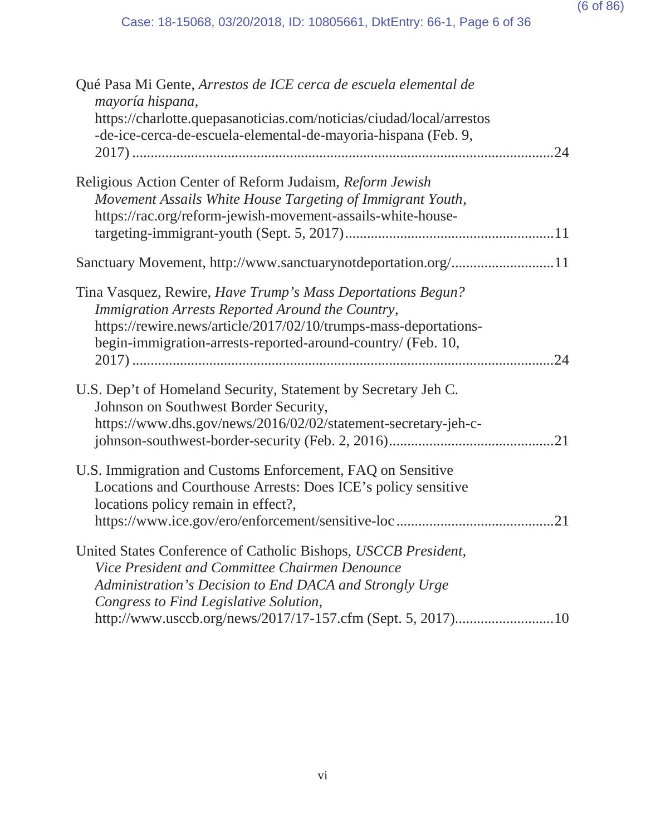| Qué Pasa Mi Gente, Arrestos de ICE cerca de escuela elemental de<br>mayoría hispana,                                                                                                                                                                                                 |
|--------------------------------------------------------------------------------------------------------------------------------------------------------------------------------------------------------------------------------------------------------------------------------------|
| https://charlotte.quepasanoticias.com/noticias/ciudad/local/arrestos<br>-de-ice-cerca-de-escuela-elemental-de-mayoria-hispana (Feb. 9,<br>24                                                                                                                                         |
| Religious Action Center of Reform Judaism, Reform Jewish<br>Movement Assails White House Targeting of Immigrant Youth,<br>https://rac.org/reform-jewish-movement-assails-white-house-                                                                                                |
| Sanctuary Movement, http://www.sanctuarynotdeportation.org/11                                                                                                                                                                                                                        |
| Tina Vasquez, Rewire, Have Trump's Mass Deportations Begun?<br>Immigration Arrests Reported Around the Country,<br>https://rewire.news/article/2017/02/10/trumps-mass-deportations-<br>begin-immigration-arrests-reported-around-country/ (Feb. 10,<br>.24                           |
| U.S. Dep't of Homeland Security, Statement by Secretary Jeh C.<br>Johnson on Southwest Border Security,<br>https://www.dhs.gov/news/2016/02/02/statement-secretary-jeh-c-                                                                                                            |
| U.S. Immigration and Customs Enforcement, FAQ on Sensitive<br>Locations and Courthouse Arrests: Does ICE's policy sensitive<br>locations policy remain in effect?,<br>.21                                                                                                            |
| United States Conference of Catholic Bishops, USCCB President,<br>Vice President and Committee Chairmen Denounce<br>Administration's Decision to End DACA and Strongly Urge<br>Congress to Find Legislative Solution,<br>http://www.usccb.org/news/2017/17-157.cfm (Sept. 5, 2017)10 |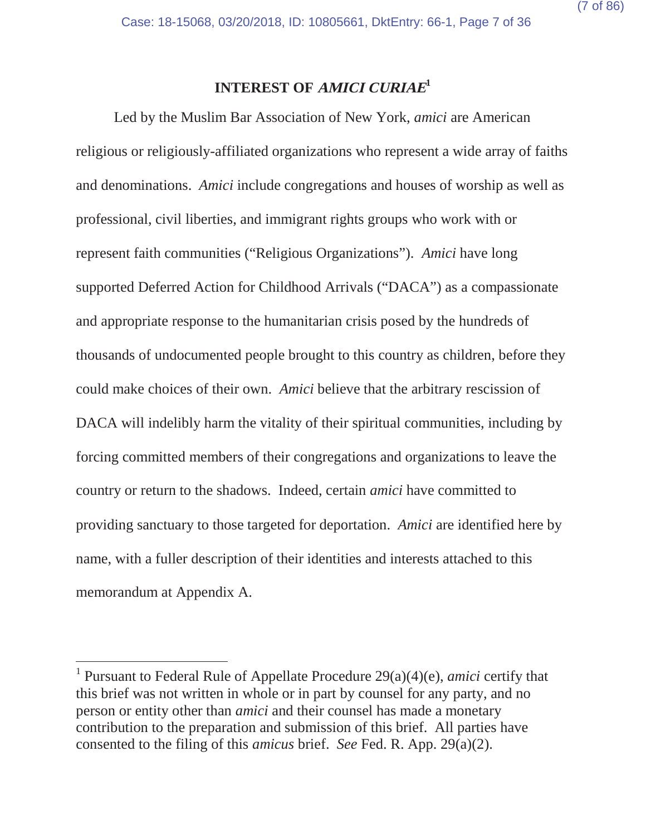# **INTEREST OF AMICI CURIAE<sup>1</sup>**

Led by the Muslim Bar Association of New York, *amici* are American religious or religiously-affiliated organizations who represent a wide array of faiths and denominations. *Amici* include congregations and houses of worship as well as professional, civil liberties, and immigrant rights groups who work with or represent faith communities ("Religious Organizations"). *Amici* have long supported Deferred Action for Childhood Arrivals ("DACA") as a compassionate and appropriate response to the humanitarian crisis posed by the hundreds of thousands of undocumented people brought to this country as children, before they could make choices of their own. *Amici* believe that the arbitrary rescission of DACA will indelibly harm the vitality of their spiritual communities, including by forcing committed members of their congregations and organizations to leave the country or return to the shadows. Indeed, certain *amici* have committed to providing sanctuary to those targeted for deportation. *Amici* are identified here by name, with a fuller description of their identities and interests attached to this memorandum at Appendix A.

<sup>1</sup> Pursuant to Federal Rule of Appellate Procedure 29(a)(4)(e), *amici* certify that this brief was not written in whole or in part by counsel for any party, and no person or entity other than *amici* and their counsel has made a monetary contribution to the preparation and submission of this brief. All parties have consented to the filing of this *amicus* brief. *See* Fed. R. App. 29(a)(2).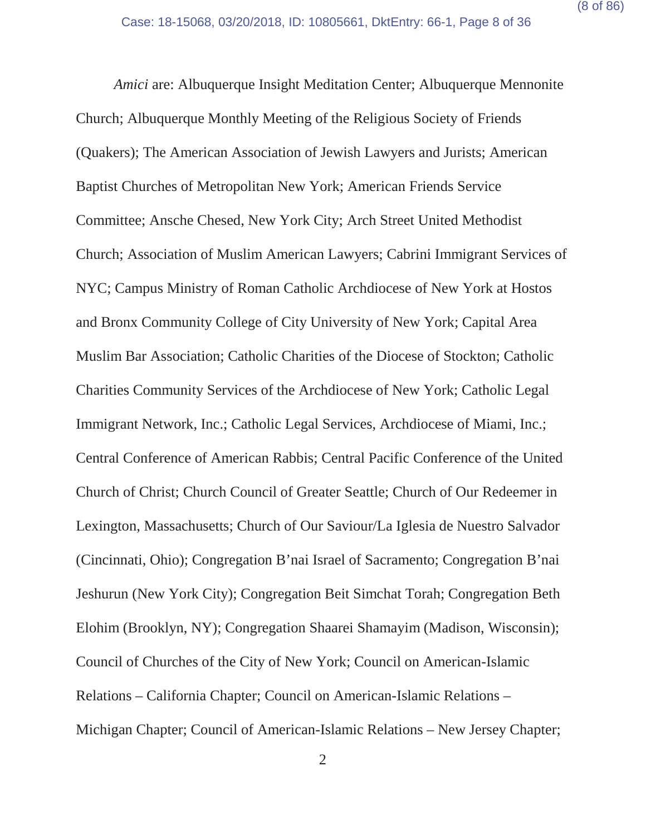*Amici* are: Albuquerque Insight Meditation Center; Albuquerque Mennonite Church; Albuquerque Monthly Meeting of the Religious Society of Friends (Quakers); The American Association of Jewish Lawyers and Jurists; American Baptist Churches of Metropolitan New York; American Friends Service Committee; Ansche Chesed, New York City; Arch Street United Methodist Church; Association of Muslim American Lawyers; Cabrini Immigrant Services of NYC; Campus Ministry of Roman Catholic Archdiocese of New York at Hostos and Bronx Community College of City University of New York; Capital Area Muslim Bar Association; Catholic Charities of the Diocese of Stockton; Catholic Charities Community Services of the Archdiocese of New York; Catholic Legal Immigrant Network, Inc.; Catholic Legal Services, Archdiocese of Miami, Inc.; Central Conference of American Rabbis; Central Pacific Conference of the United Church of Christ; Church Council of Greater Seattle; Church of Our Redeemer in Lexington, Massachusetts; Church of Our Saviour/La Iglesia de Nuestro Salvador (Cincinnati, Ohio); Congregation B'nai Israel of Sacramento; Congregation B'nai Jeshurun (New York City); Congregation Beit Simchat Torah; Congregation Beth Elohim (Brooklyn, NY); Congregation Shaarei Shamayim (Madison, Wisconsin); Council of Churches of the City of New York; Council on American-Islamic Relations – California Chapter; Council on American-Islamic Relations – Michigan Chapter; Council of American-Islamic Relations – New Jersey Chapter;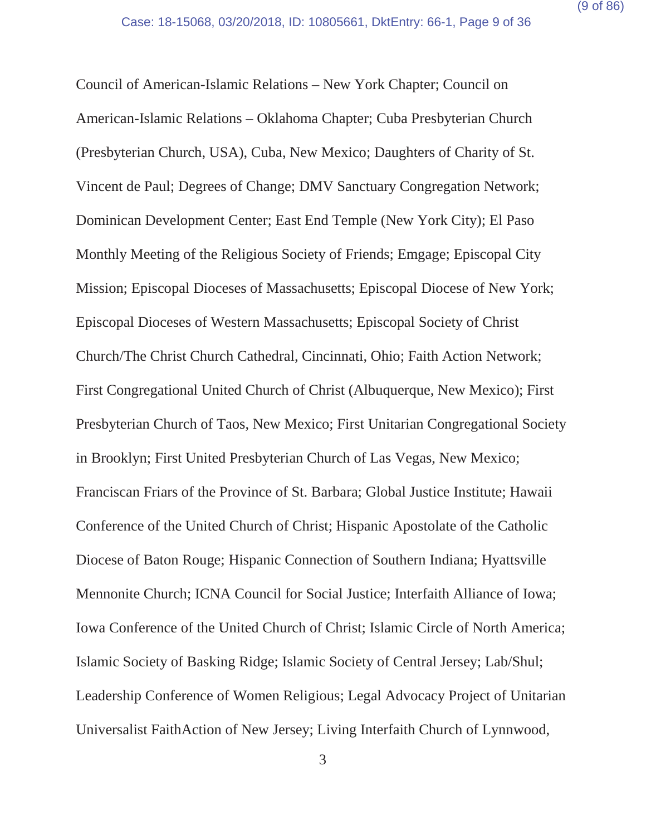Council of American-Islamic Relations – New York Chapter; Council on American-Islamic Relations – Oklahoma Chapter; Cuba Presbyterian Church (Presbyterian Church, USA), Cuba, New Mexico; Daughters of Charity of St. Vincent de Paul; Degrees of Change; DMV Sanctuary Congregation Network; Dominican Development Center; East End Temple (New York City); El Paso Monthly Meeting of the Religious Society of Friends; Emgage; Episcopal City Mission; Episcopal Dioceses of Massachusetts; Episcopal Diocese of New York; Episcopal Dioceses of Western Massachusetts; Episcopal Society of Christ Church/The Christ Church Cathedral, Cincinnati, Ohio; Faith Action Network; First Congregational United Church of Christ (Albuquerque, New Mexico); First Presbyterian Church of Taos, New Mexico; First Unitarian Congregational Society in Brooklyn; First United Presbyterian Church of Las Vegas, New Mexico; Franciscan Friars of the Province of St. Barbara; Global Justice Institute; Hawaii Conference of the United Church of Christ; Hispanic Apostolate of the Catholic Diocese of Baton Rouge; Hispanic Connection of Southern Indiana; Hyattsville Mennonite Church; ICNA Council for Social Justice; Interfaith Alliance of Iowa; Iowa Conference of the United Church of Christ; Islamic Circle of North America; Islamic Society of Basking Ridge; Islamic Society of Central Jersey; Lab/Shul; Leadership Conference of Women Religious; Legal Advocacy Project of Unitarian Universalist FaithAction of New Jersey; Living Interfaith Church of Lynnwood,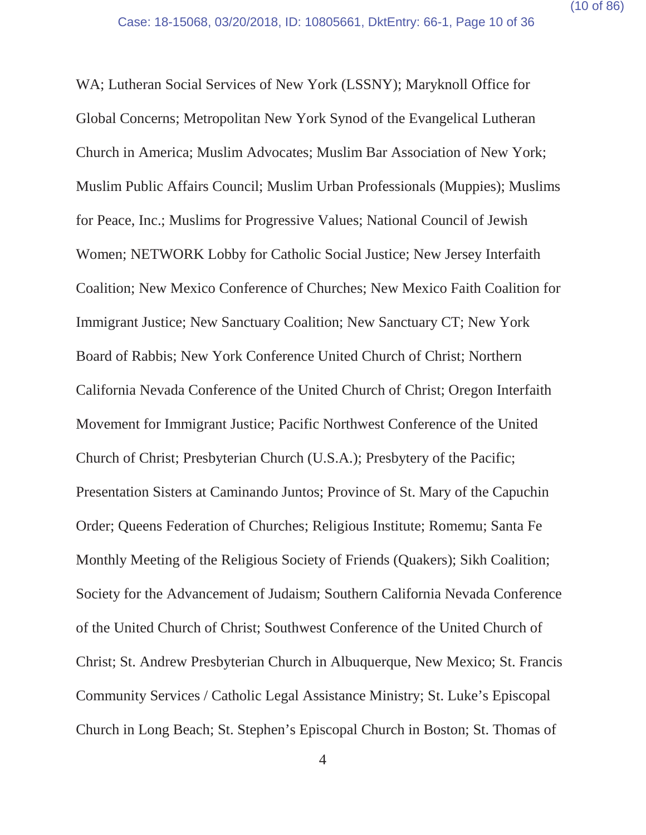WA; Lutheran Social Services of New York (LSSNY); Maryknoll Office for Global Concerns; Metropolitan New York Synod of the Evangelical Lutheran Church in America; Muslim Advocates; Muslim Bar Association of New York; Muslim Public Affairs Council; Muslim Urban Professionals (Muppies); Muslims for Peace, Inc.; Muslims for Progressive Values; National Council of Jewish Women; NETWORK Lobby for Catholic Social Justice; New Jersey Interfaith Coalition; New Mexico Conference of Churches; New Mexico Faith Coalition for Immigrant Justice; New Sanctuary Coalition; New Sanctuary CT; New York Board of Rabbis; New York Conference United Church of Christ; Northern California Nevada Conference of the United Church of Christ; Oregon Interfaith Movement for Immigrant Justice; Pacific Northwest Conference of the United Church of Christ; Presbyterian Church (U.S.A.); Presbytery of the Pacific; Presentation Sisters at Caminando Juntos; Province of St. Mary of the Capuchin Order; Queens Federation of Churches; Religious Institute; Romemu; Santa Fe Monthly Meeting of the Religious Society of Friends (Quakers); Sikh Coalition; Society for the Advancement of Judaism; Southern California Nevada Conference of the United Church of Christ; Southwest Conference of the United Church of Christ; St. Andrew Presbyterian Church in Albuquerque, New Mexico; St. Francis Community Services / Catholic Legal Assistance Ministry; St. Luke's Episcopal Church in Long Beach; St. Stephen's Episcopal Church in Boston; St. Thomas of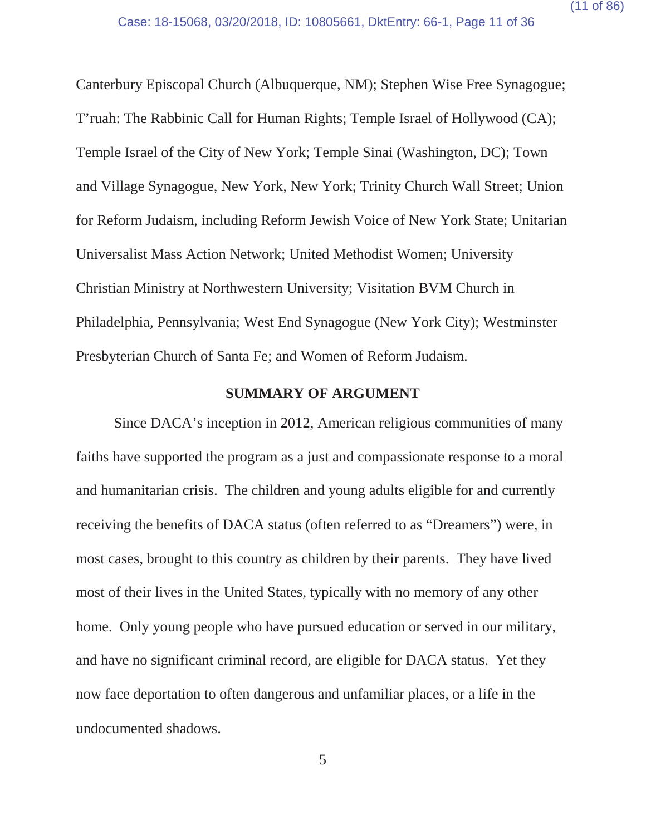Canterbury Episcopal Church (Albuquerque, NM); Stephen Wise Free Synagogue; T'ruah: The Rabbinic Call for Human Rights; Temple Israel of Hollywood (CA); Temple Israel of the City of New York; Temple Sinai (Washington, DC); Town and Village Synagogue, New York, New York; Trinity Church Wall Street; Union for Reform Judaism, including Reform Jewish Voice of New York State; Unitarian Universalist Mass Action Network; United Methodist Women; University Christian Ministry at Northwestern University; Visitation BVM Church in Philadelphia, Pennsylvania; West End Synagogue (New York City); Westminster Presbyterian Church of Santa Fe; and Women of Reform Judaism.

#### **SUMMARY OF ARGUMENT**

Since DACA's inception in 2012, American religious communities of many faiths have supported the program as a just and compassionate response to a moral and humanitarian crisis. The children and young adults eligible for and currently receiving the benefits of DACA status (often referred to as "Dreamers") were, in most cases, brought to this country as children by their parents. They have lived most of their lives in the United States, typically with no memory of any other home. Only young people who have pursued education or served in our military, and have no significant criminal record, are eligible for DACA status. Yet they now face deportation to often dangerous and unfamiliar places, or a life in the undocumented shadows.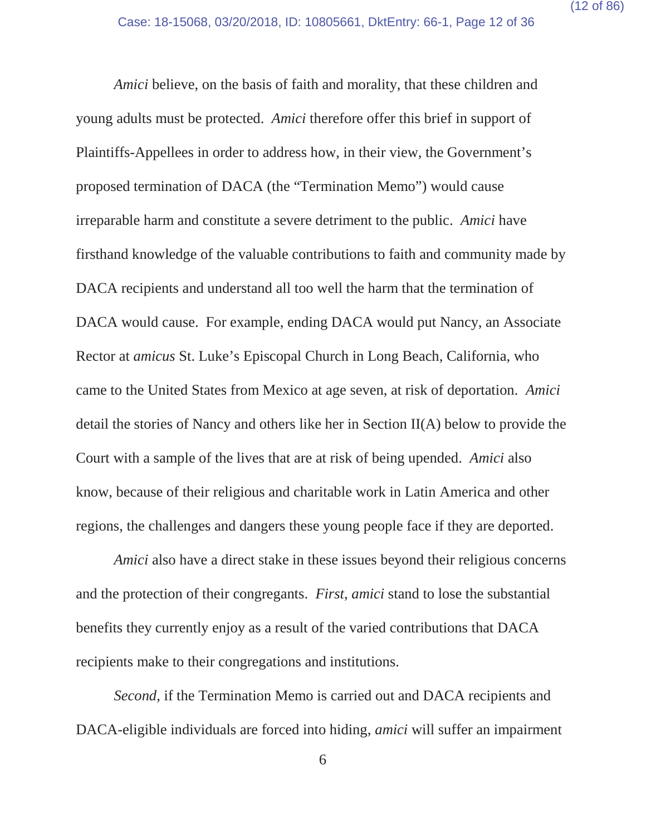*Amici* believe, on the basis of faith and morality, that these children and young adults must be protected. *Amici* therefore offer this brief in support of Plaintiffs-Appellees in order to address how, in their view, the Government's proposed termination of DACA (the "Termination Memo") would cause irreparable harm and constitute a severe detriment to the public. *Amici* have firsthand knowledge of the valuable contributions to faith and community made by DACA recipients and understand all too well the harm that the termination of DACA would cause. For example, ending DACA would put Nancy, an Associate Rector at *amicus* St. Luke's Episcopal Church in Long Beach, California, who came to the United States from Mexico at age seven, at risk of deportation. *Amici* detail the stories of Nancy and others like her in Section II(A) below to provide the Court with a sample of the lives that are at risk of being upended. *Amici* also know, because of their religious and charitable work in Latin America and other regions, the challenges and dangers these young people face if they are deported.

*Amici* also have a direct stake in these issues beyond their religious concerns and the protection of their congregants. *First*, *amici* stand to lose the substantial benefits they currently enjoy as a result of the varied contributions that DACA recipients make to their congregations and institutions.

*Second*, if the Termination Memo is carried out and DACA recipients and DACA-eligible individuals are forced into hiding, *amici* will suffer an impairment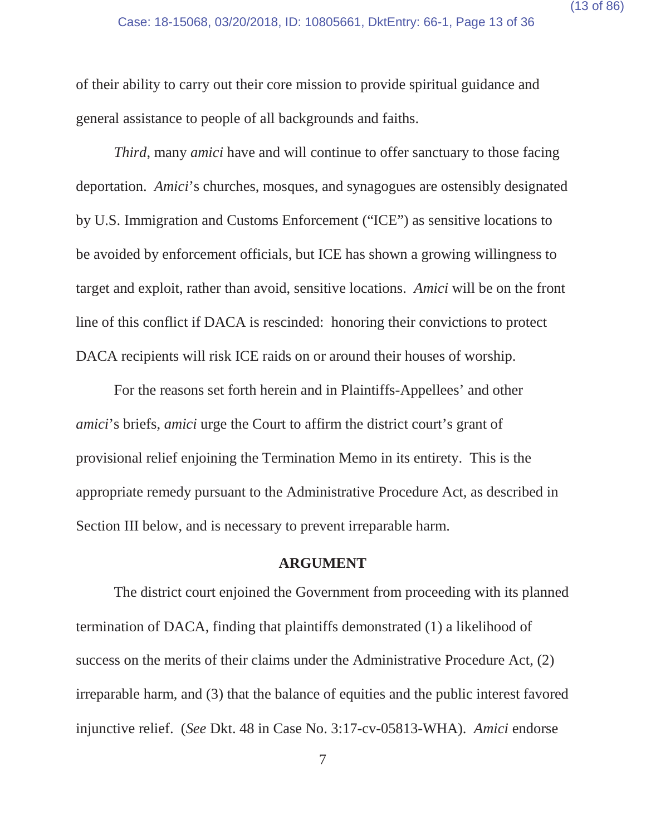of their ability to carry out their core mission to provide spiritual guidance and general assistance to people of all backgrounds and faiths.

*Third*, many *amici* have and will continue to offer sanctuary to those facing deportation. *Amici*'s churches, mosques, and synagogues are ostensibly designated by U.S. Immigration and Customs Enforcement ("ICE") as sensitive locations to be avoided by enforcement officials, but ICE has shown a growing willingness to target and exploit, rather than avoid, sensitive locations. *Amici* will be on the front line of this conflict if DACA is rescinded: honoring their convictions to protect DACA recipients will risk ICE raids on or around their houses of worship.

For the reasons set forth herein and in Plaintiffs-Appellees' and other *amici*'s briefs, *amici* urge the Court to affirm the district court's grant of provisional relief enjoining the Termination Memo in its entirety. This is the appropriate remedy pursuant to the Administrative Procedure Act, as described in Section III below, and is necessary to prevent irreparable harm.

#### **ARGUMENT**

The district court enjoined the Government from proceeding with its planned termination of DACA, finding that plaintiffs demonstrated (1) a likelihood of success on the merits of their claims under the Administrative Procedure Act, (2) irreparable harm, and (3) that the balance of equities and the public interest favored injunctive relief. (*See* Dkt. 48 in Case No. 3:17-cv-05813-WHA). *Amici* endorse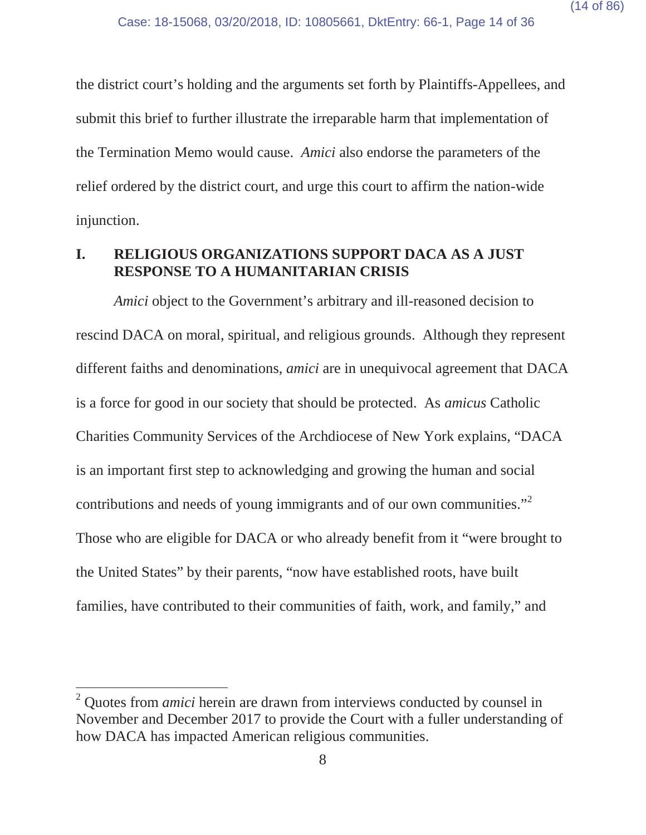the district court's holding and the arguments set forth by Plaintiffs-Appellees, and submit this brief to further illustrate the irreparable harm that implementation of the Termination Memo would cause. *Amici* also endorse the parameters of the relief ordered by the district court, and urge this court to affirm the nation-wide injunction.

#### **I. RELIGIOUS ORGANIZATIONS SUPPORT DACA AS A JUST RESPONSE TO A HUMANITARIAN CRISIS**

*Amici* object to the Government's arbitrary and ill-reasoned decision to rescind DACA on moral, spiritual, and religious grounds. Although they represent different faiths and denominations, *amici* are in unequivocal agreement that DACA is a force for good in our society that should be protected. As *amicus* Catholic Charities Community Services of the Archdiocese of New York explains, "DACA is an important first step to acknowledging and growing the human and social contributions and needs of young immigrants and of our own communities." Those who are eligible for DACA or who already benefit from it "were brought to the United States" by their parents, "now have established roots, have built families, have contributed to their communities of faith, work, and family," and

<sup>2</sup> Quotes from *amici* herein are drawn from interviews conducted by counsel in November and December 2017 to provide the Court with a fuller understanding of how DACA has impacted American religious communities.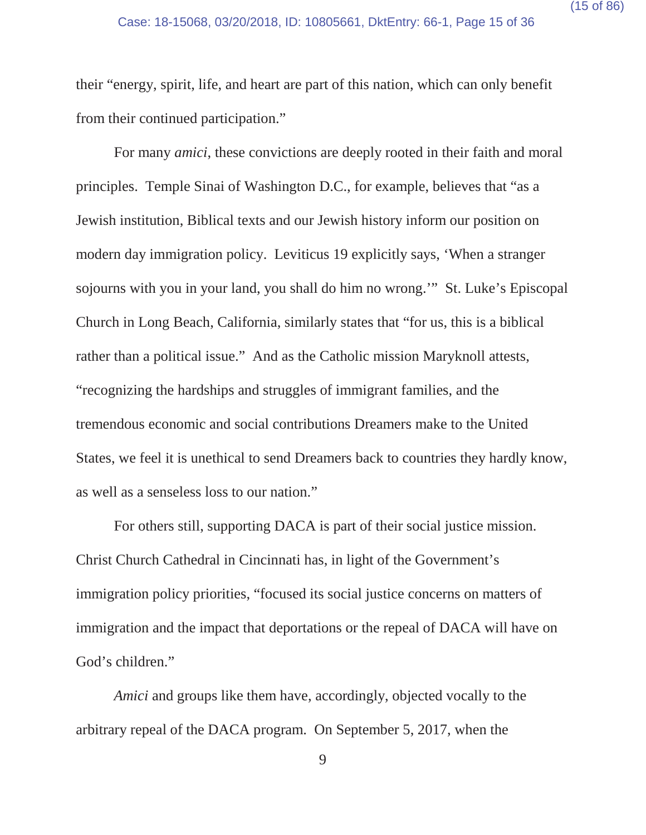their "energy, spirit, life, and heart are part of this nation, which can only benefit from their continued participation."

For many *amici*, these convictions are deeply rooted in their faith and moral principles. Temple Sinai of Washington D.C., for example, believes that "as a Jewish institution, Biblical texts and our Jewish history inform our position on modern day immigration policy. Leviticus 19 explicitly says, 'When a stranger sojourns with you in your land, you shall do him no wrong.'" St. Luke's Episcopal Church in Long Beach, California, similarly states that "for us, this is a biblical rather than a political issue." And as the Catholic mission Maryknoll attests, "recognizing the hardships and struggles of immigrant families, and the tremendous economic and social contributions Dreamers make to the United States, we feel it is unethical to send Dreamers back to countries they hardly know, as well as a senseless loss to our nation."

For others still, supporting DACA is part of their social justice mission. Christ Church Cathedral in Cincinnati has, in light of the Government's immigration policy priorities, "focused its social justice concerns on matters of immigration and the impact that deportations or the repeal of DACA will have on God's children."

*Amici* and groups like them have, accordingly, objected vocally to the arbitrary repeal of the DACA program. On September 5, 2017, when the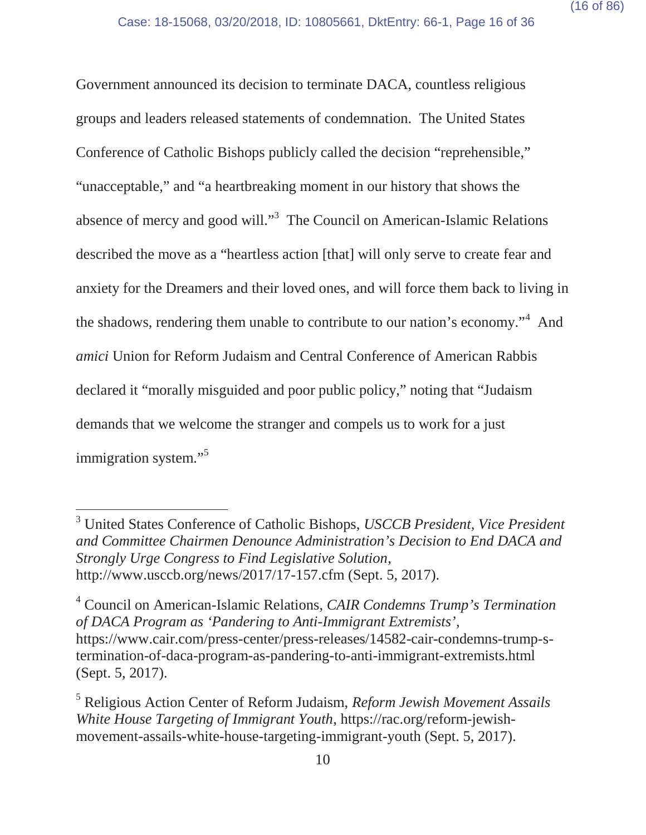Government announced its decision to terminate DACA, countless religious groups and leaders released statements of condemnation. The United States Conference of Catholic Bishops publicly called the decision "reprehensible," "unacceptable," and "a heartbreaking moment in our history that shows the absence of mercy and good will."3 The Council on American-Islamic Relations described the move as a "heartless action [that] will only serve to create fear and anxiety for the Dreamers and their loved ones, and will force them back to living in the shadows, rendering them unable to contribute to our nation's economy."<sup>4</sup> And *amici* Union for Reform Judaism and Central Conference of American Rabbis declared it "morally misguided and poor public policy," noting that "Judaism demands that we welcome the stranger and compels us to work for a just immigration system."<sup>5</sup>

<sup>3</sup> United States Conference of Catholic Bishops, *USCCB President, Vice President and Committee Chairmen Denounce Administration's Decision to End DACA and Strongly Urge Congress to Find Legislative Solution*, http://www.usccb.org/news/2017/17-157.cfm (Sept. 5, 2017).

<sup>4</sup> Council on American-Islamic Relations, *CAIR Condemns Trump's Termination of DACA Program as 'Pandering to Anti-Immigrant Extremists'*, https://www.cair.com/press-center/press-releases/14582-cair-condemns-trump-stermination-of-daca-program-as-pandering-to-anti-immigrant-extremists.html (Sept. 5, 2017).

<sup>5</sup> Religious Action Center of Reform Judaism, *Reform Jewish Movement Assails White House Targeting of Immigrant Youth*, https://rac.org/reform-jewishmovement-assails-white-house-targeting-immigrant-youth (Sept. 5, 2017).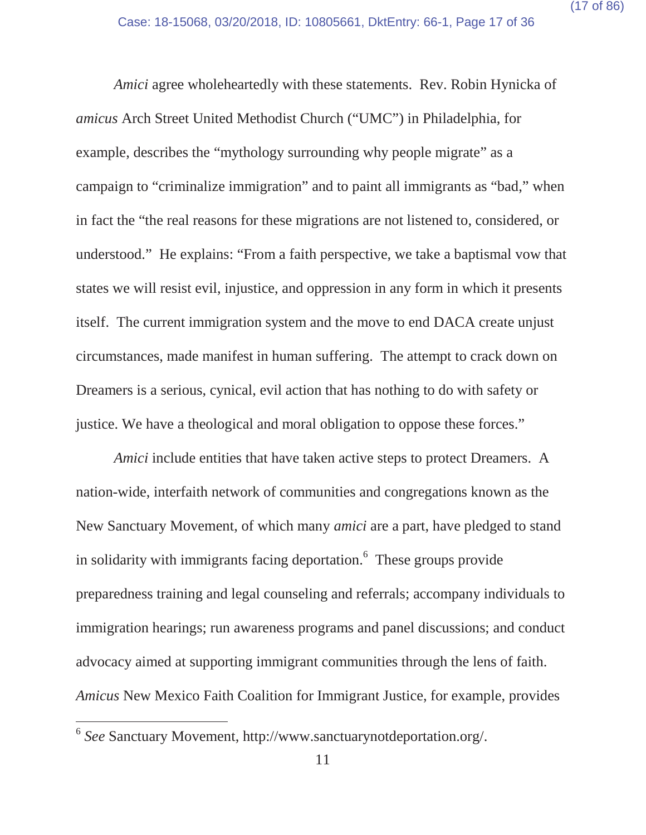*Amici* agree wholeheartedly with these statements. Rev. Robin Hynicka of *amicus* Arch Street United Methodist Church ("UMC") in Philadelphia, for example, describes the "mythology surrounding why people migrate" as a campaign to "criminalize immigration" and to paint all immigrants as "bad," when in fact the "the real reasons for these migrations are not listened to, considered, or understood." He explains: "From a faith perspective, we take a baptismal vow that states we will resist evil, injustice, and oppression in any form in which it presents itself. The current immigration system and the move to end DACA create unjust circumstances, made manifest in human suffering. The attempt to crack down on Dreamers is a serious, cynical, evil action that has nothing to do with safety or justice. We have a theological and moral obligation to oppose these forces."

*Amici* include entities that have taken active steps to protect Dreamers. A nation-wide, interfaith network of communities and congregations known as the New Sanctuary Movement, of which many *amici* are a part, have pledged to stand in solidarity with immigrants facing deportation.<sup>6</sup> These groups provide preparedness training and legal counseling and referrals; accompany individuals to immigration hearings; run awareness programs and panel discussions; and conduct advocacy aimed at supporting immigrant communities through the lens of faith. *Amicus* New Mexico Faith Coalition for Immigrant Justice, for example, provides

<sup>6</sup> *See* Sanctuary Movement, http://www.sanctuarynotdeportation.org/.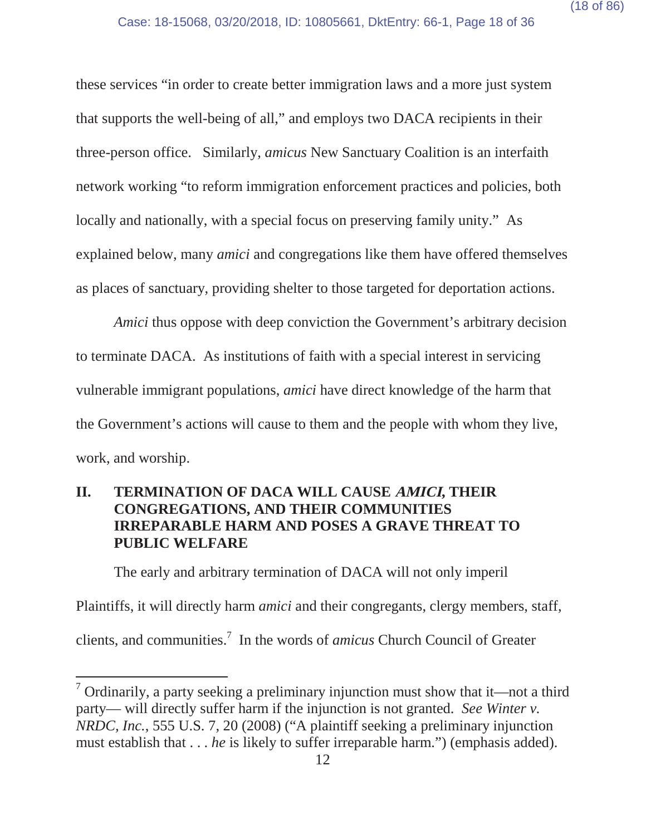these services "in order to create better immigration laws and a more just system that supports the well-being of all," and employs two DACA recipients in their three-person office. Similarly, *amicus* New Sanctuary Coalition is an interfaith network working "to reform immigration enforcement practices and policies, both locally and nationally, with a special focus on preserving family unity." As explained below, many *amici* and congregations like them have offered themselves as places of sanctuary, providing shelter to those targeted for deportation actions.

*Amici* thus oppose with deep conviction the Government's arbitrary decision to terminate DACA. As institutions of faith with a special interest in servicing vulnerable immigrant populations, *amici* have direct knowledge of the harm that the Government's actions will cause to them and the people with whom they live, work, and worship.

# **II. TERMINATION OF DACA WILL CAUSE AMICI, THEIR CONGREGATIONS, AND THEIR COMMUNITIES IRREPARABLE HARM AND POSES A GRAVE THREAT TO PUBLIC WELFARE**

The early and arbitrary termination of DACA will not only imperil Plaintiffs, it will directly harm *amici* and their congregants, clergy members, staff, clients, and communities.7 In the words of *amicus* Church Council of Greater

<sup>&</sup>lt;sup>7</sup> Ordinarily, a party seeking a preliminary injunction must show that it—not a third party— will directly suffer harm if the injunction is not granted. *See Winter v. NRDC, Inc.*, 555 U.S. 7, 20 (2008) ("A plaintiff seeking a preliminary injunction must establish that . . . *he* is likely to suffer irreparable harm.") (emphasis added).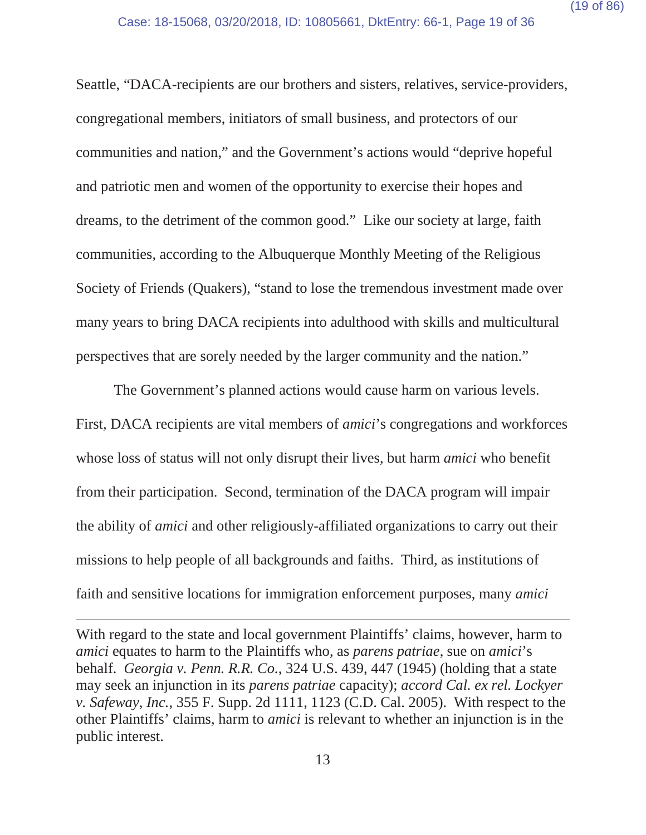Seattle, "DACA-recipients are our brothers and sisters, relatives, service-providers, congregational members, initiators of small business, and protectors of our communities and nation," and the Government's actions would "deprive hopeful and patriotic men and women of the opportunity to exercise their hopes and dreams, to the detriment of the common good." Like our society at large, faith communities, according to the Albuquerque Monthly Meeting of the Religious Society of Friends (Quakers), "stand to lose the tremendous investment made over many years to bring DACA recipients into adulthood with skills and multicultural perspectives that are sorely needed by the larger community and the nation."

The Government's planned actions would cause harm on various levels. First, DACA recipients are vital members of *amici*'s congregations and workforces whose loss of status will not only disrupt their lives, but harm *amici* who benefit from their participation. Second, termination of the DACA program will impair the ability of *amici* and other religiously-affiliated organizations to carry out their missions to help people of all backgrounds and faiths. Third, as institutions of faith and sensitive locations for immigration enforcement purposes, many *amici*

With regard to the state and local government Plaintiffs' claims, however, harm to *amici* equates to harm to the Plaintiffs who, as *parens patriae*, sue on *amici*'s behalf. *Georgia v. Penn. R.R. Co.*, 324 U.S. 439, 447 (1945) (holding that a state may seek an injunction in its *parens patriae* capacity); *accord Cal. ex rel. Lockyer v. Safeway, Inc.*, 355 F. Supp. 2d 1111, 1123 (C.D. Cal. 2005). With respect to the other Plaintiffs' claims, harm to *amici* is relevant to whether an injunction is in the public interest.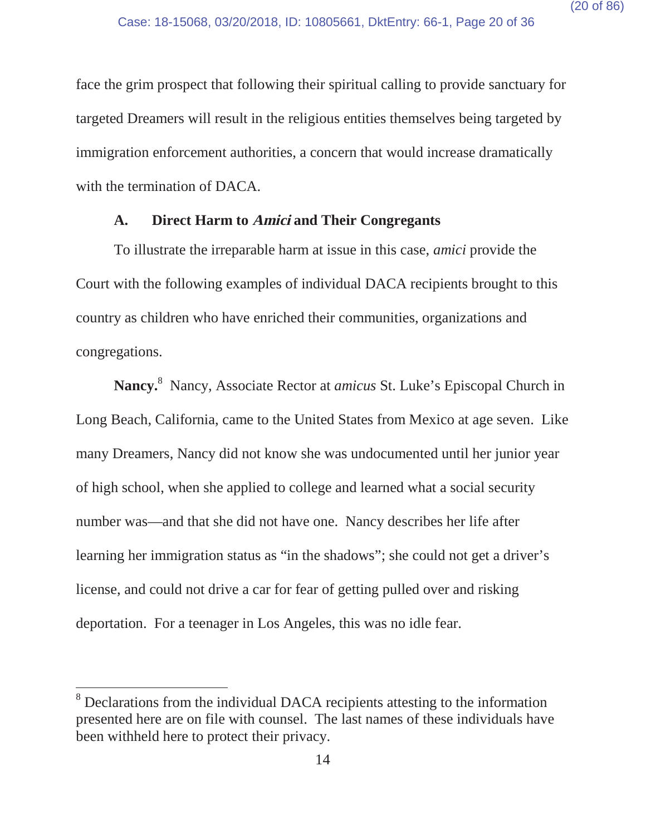face the grim prospect that following their spiritual calling to provide sanctuary for targeted Dreamers will result in the religious entities themselves being targeted by immigration enforcement authorities, a concern that would increase dramatically with the termination of DACA.

#### **A. Direct Harm to Amici and Their Congregants**

To illustrate the irreparable harm at issue in this case, *amici* provide the Court with the following examples of individual DACA recipients brought to this country as children who have enriched their communities, organizations and congregations.

**Nancy.**<sup>8</sup> Nancy, Associate Rector at *amicus* St. Luke's Episcopal Church in Long Beach, California, came to the United States from Mexico at age seven. Like many Dreamers, Nancy did not know she was undocumented until her junior year of high school, when she applied to college and learned what a social security number was—and that she did not have one. Nancy describes her life after learning her immigration status as "in the shadows"; she could not get a driver's license, and could not drive a car for fear of getting pulled over and risking deportation. For a teenager in Los Angeles, this was no idle fear.

<sup>&</sup>lt;sup>8</sup> Declarations from the individual DACA recipients attesting to the information presented here are on file with counsel. The last names of these individuals have been withheld here to protect their privacy.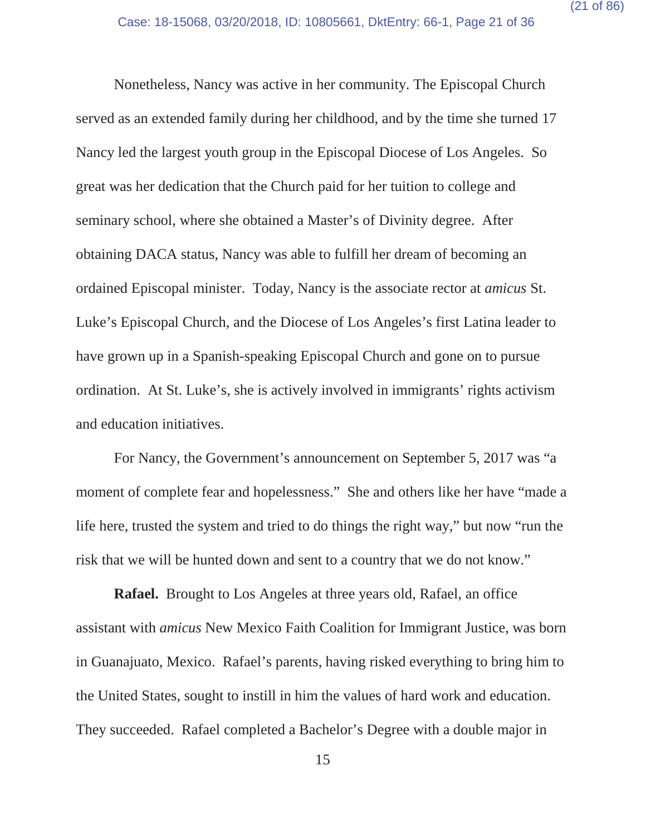Nonetheless, Nancy was active in her community. The Episcopal Church served as an extended family during her childhood, and by the time she turned 17 Nancy led the largest youth group in the Episcopal Diocese of Los Angeles. So great was her dedication that the Church paid for her tuition to college and seminary school, where she obtained a Master's of Divinity degree. After obtaining DACA status, Nancy was able to fulfill her dream of becoming an ordained Episcopal minister. Today, Nancy is the associate rector at *amicus* St. Luke's Episcopal Church, and the Diocese of Los Angeles's first Latina leader to have grown up in a Spanish-speaking Episcopal Church and gone on to pursue ordination. At St. Luke's, she is actively involved in immigrants' rights activism and education initiatives.

For Nancy, the Government's announcement on September 5, 2017 was "a moment of complete fear and hopelessness." She and others like her have "made a life here, trusted the system and tried to do things the right way," but now "run the risk that we will be hunted down and sent to a country that we do not know."

**Rafael.** Brought to Los Angeles at three years old, Rafael, an office assistant with *amicus* New Mexico Faith Coalition for Immigrant Justice, was born in Guanajuato, Mexico. Rafael's parents, having risked everything to bring him to the United States, sought to instill in him the values of hard work and education. They succeeded. Rafael completed a Bachelor's Degree with a double major in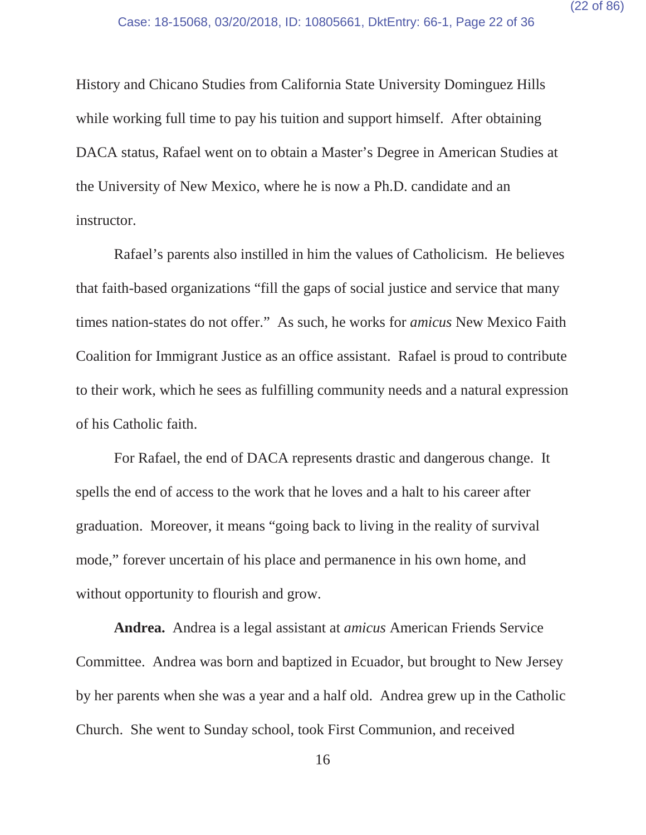History and Chicano Studies from California State University Dominguez Hills while working full time to pay his tuition and support himself. After obtaining DACA status, Rafael went on to obtain a Master's Degree in American Studies at the University of New Mexico, where he is now a Ph.D. candidate and an instructor.

Rafael's parents also instilled in him the values of Catholicism. He believes that faith-based organizations "fill the gaps of social justice and service that many times nation-states do not offer." As such, he works for *amicus* New Mexico Faith Coalition for Immigrant Justice as an office assistant. Rafael is proud to contribute to their work, which he sees as fulfilling community needs and a natural expression of his Catholic faith.

For Rafael, the end of DACA represents drastic and dangerous change. It spells the end of access to the work that he loves and a halt to his career after graduation. Moreover, it means "going back to living in the reality of survival mode," forever uncertain of his place and permanence in his own home, and without opportunity to flourish and grow.

**Andrea.** Andrea is a legal assistant at *amicus* American Friends Service Committee. Andrea was born and baptized in Ecuador, but brought to New Jersey by her parents when she was a year and a half old. Andrea grew up in the Catholic Church. She went to Sunday school, took First Communion, and received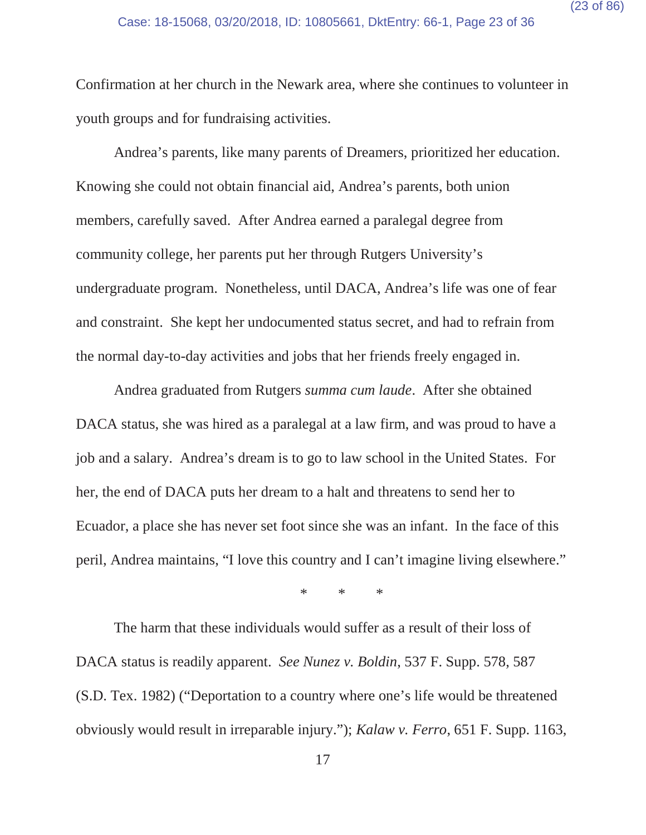Confirmation at her church in the Newark area, where she continues to volunteer in youth groups and for fundraising activities.

Andrea's parents, like many parents of Dreamers, prioritized her education. Knowing she could not obtain financial aid, Andrea's parents, both union members, carefully saved. After Andrea earned a paralegal degree from community college, her parents put her through Rutgers University's undergraduate program. Nonetheless, until DACA, Andrea's life was one of fear and constraint. She kept her undocumented status secret, and had to refrain from the normal day-to-day activities and jobs that her friends freely engaged in.

Andrea graduated from Rutgers *summa cum laude*. After she obtained DACA status, she was hired as a paralegal at a law firm, and was proud to have a job and a salary. Andrea's dream is to go to law school in the United States. For her, the end of DACA puts her dream to a halt and threatens to send her to Ecuador, a place she has never set foot since she was an infant. In the face of this peril, Andrea maintains, "I love this country and I can't imagine living elsewhere."

\*\*\*

The harm that these individuals would suffer as a result of their loss of DACA status is readily apparent. *See Nunez v. Boldin*, 537 F. Supp. 578, 587 (S.D. Tex. 1982) ("Deportation to a country where one's life would be threatened obviously would result in irreparable injury."); *Kalaw v. Ferro*, 651 F. Supp. 1163,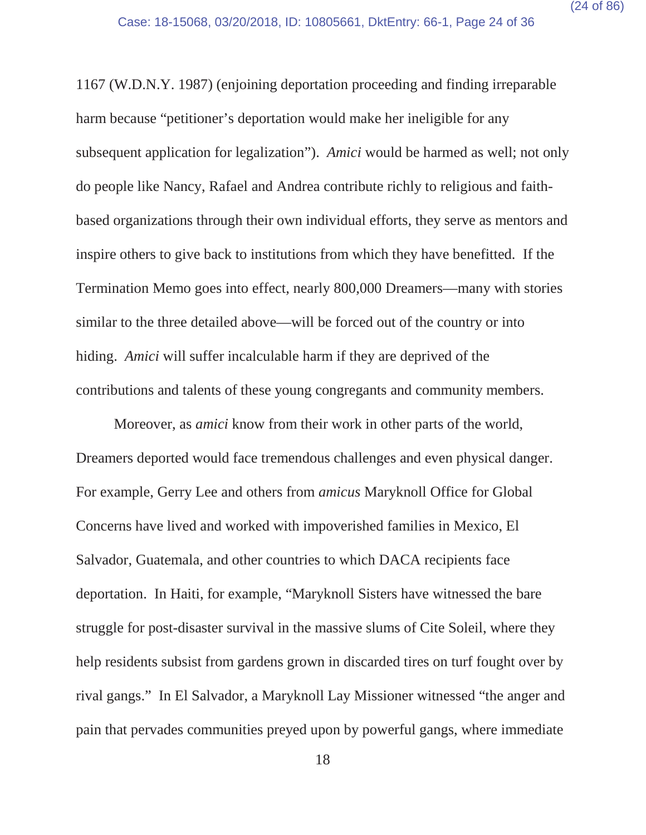1167 (W.D.N.Y. 1987) (enjoining deportation proceeding and finding irreparable harm because "petitioner's deportation would make her ineligible for any subsequent application for legalization"). *Amici* would be harmed as well; not only do people like Nancy, Rafael and Andrea contribute richly to religious and faithbased organizations through their own individual efforts, they serve as mentors and inspire others to give back to institutions from which they have benefitted. If the Termination Memo goes into effect, nearly 800,000 Dreamers—many with stories similar to the three detailed above—will be forced out of the country or into hiding. *Amici* will suffer incalculable harm if they are deprived of the contributions and talents of these young congregants and community members.

Moreover, as *amici* know from their work in other parts of the world, Dreamers deported would face tremendous challenges and even physical danger. For example, Gerry Lee and others from *amicus* Maryknoll Office for Global Concerns have lived and worked with impoverished families in Mexico, El Salvador, Guatemala, and other countries to which DACA recipients face deportation. In Haiti, for example, "Maryknoll Sisters have witnessed the bare struggle for post-disaster survival in the massive slums of Cite Soleil, where they help residents subsist from gardens grown in discarded tires on turf fought over by rival gangs." In El Salvador, a Maryknoll Lay Missioner witnessed "the anger and pain that pervades communities preyed upon by powerful gangs, where immediate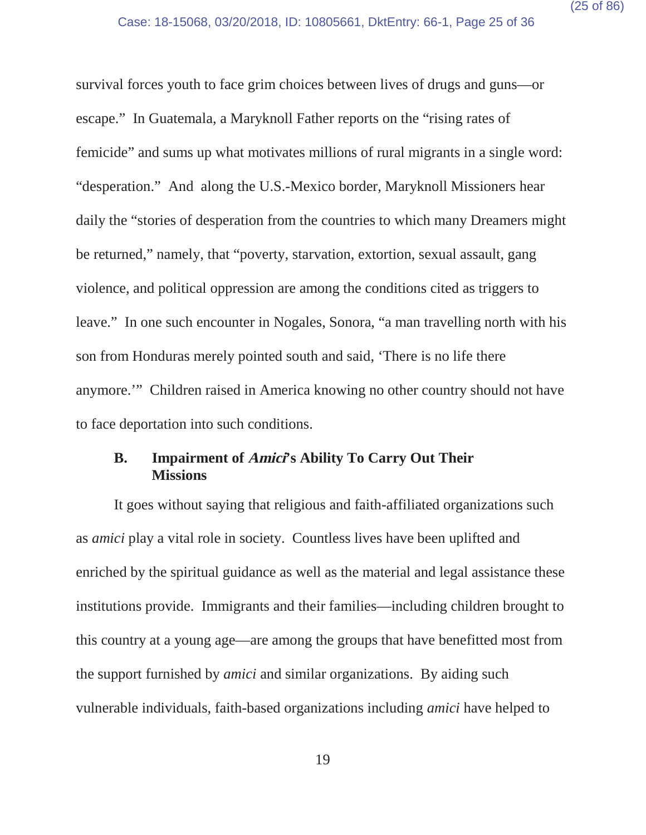survival forces youth to face grim choices between lives of drugs and guns—or escape." In Guatemala, a Maryknoll Father reports on the "rising rates of femicide" and sums up what motivates millions of rural migrants in a single word: "desperation." And along the U.S.-Mexico border, Maryknoll Missioners hear daily the "stories of desperation from the countries to which many Dreamers might be returned," namely, that "poverty, starvation, extortion, sexual assault, gang violence, and political oppression are among the conditions cited as triggers to leave." In one such encounter in Nogales, Sonora, "a man travelling north with his son from Honduras merely pointed south and said, 'There is no life there anymore.'" Children raised in America knowing no other country should not have to face deportation into such conditions.

#### **B. Impairment of Amici's Ability To Carry Out Their Missions**

It goes without saying that religious and faith-affiliated organizations such as *amici* play a vital role in society. Countless lives have been uplifted and enriched by the spiritual guidance as well as the material and legal assistance these institutions provide. Immigrants and their families—including children brought to this country at a young age—are among the groups that have benefitted most from the support furnished by *amici* and similar organizations. By aiding such vulnerable individuals, faith-based organizations including *amici* have helped to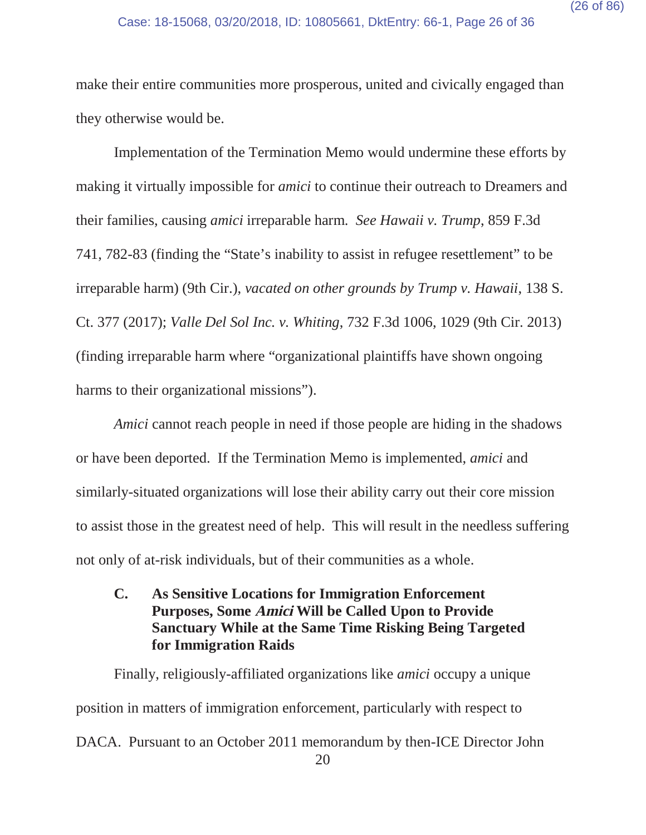make their entire communities more prosperous, united and civically engaged than they otherwise would be.

Implementation of the Termination Memo would undermine these efforts by making it virtually impossible for *amici* to continue their outreach to Dreamers and their families, causing *amici* irreparable harm. *See Hawaii v. Trump*, 859 F.3d 741, 782-83 (finding the "State's inability to assist in refugee resettlement" to be irreparable harm) (9th Cir.), *vacated on other grounds by Trump v. Hawaii*, 138 S. Ct. 377 (2017); *Valle Del Sol Inc. v. Whiting*, 732 F.3d 1006, 1029 (9th Cir. 2013) (finding irreparable harm where "organizational plaintiffs have shown ongoing harms to their organizational missions").

*Amici* cannot reach people in need if those people are hiding in the shadows or have been deported. If the Termination Memo is implemented, *amici* and similarly-situated organizations will lose their ability carry out their core mission to assist those in the greatest need of help. This will result in the needless suffering not only of at-risk individuals, but of their communities as a whole.

**C. As Sensitive Locations for Immigration Enforcement Purposes, Some Amici Will be Called Upon to Provide Sanctuary While at the Same Time Risking Being Targeted for Immigration Raids**

20 Finally, religiously-affiliated organizations like *amici* occupy a unique position in matters of immigration enforcement, particularly with respect to DACA. Pursuant to an October 2011 memorandum by then-ICE Director John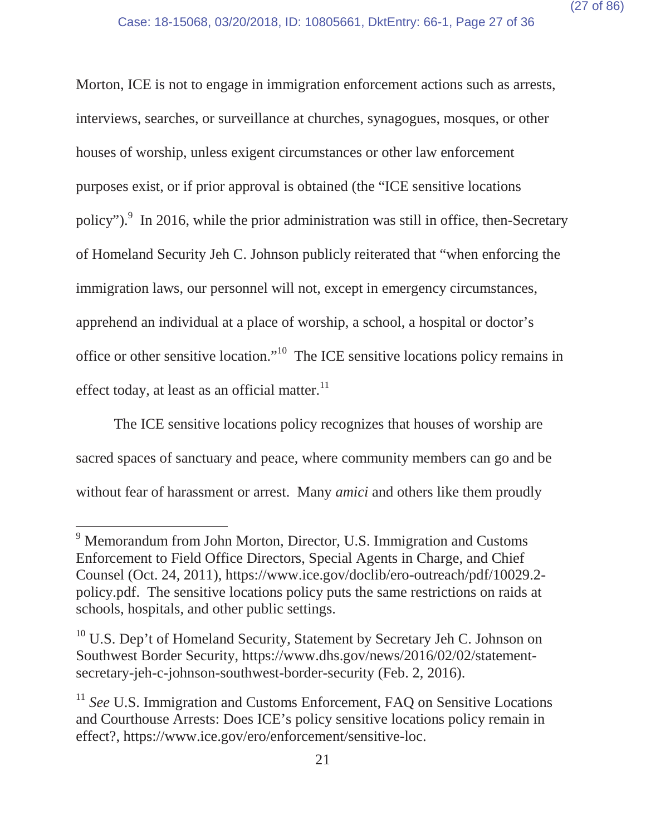Morton, ICE is not to engage in immigration enforcement actions such as arrests, interviews, searches, or surveillance at churches, synagogues, mosques, or other houses of worship, unless exigent circumstances or other law enforcement purposes exist, or if prior approval is obtained (the "ICE sensitive locations policy"). $\frac{9}{5}$  In 2016, while the prior administration was still in office, then-Secretary of Homeland Security Jeh C. Johnson publicly reiterated that "when enforcing the immigration laws, our personnel will not, except in emergency circumstances, apprehend an individual at a place of worship, a school, a hospital or doctor's office or other sensitive location."10 The ICE sensitive locations policy remains in effect today, at least as an official matter.<sup>11</sup>

The ICE sensitive locations policy recognizes that houses of worship are sacred spaces of sanctuary and peace, where community members can go and be without fear of harassment or arrest. Many *amici* and others like them proudly

<sup>&</sup>lt;sup>9</sup> Memorandum from John Morton, Director, U.S. Immigration and Customs Enforcement to Field Office Directors, Special Agents in Charge, and Chief Counsel (Oct. 24, 2011), https://www.ice.gov/doclib/ero-outreach/pdf/10029.2 policy.pdf. The sensitive locations policy puts the same restrictions on raids at schools, hospitals, and other public settings.

<sup>&</sup>lt;sup>10</sup> U.S. Dep't of Homeland Security, Statement by Secretary Jeh C. Johnson on Southwest Border Security, https://www.dhs.gov/news/2016/02/02/statementsecretary-jeh-c-johnson-southwest-border-security (Feb. 2, 2016).

<sup>&</sup>lt;sup>11</sup> *See* U.S. Immigration and Customs Enforcement, FAQ on Sensitive Locations and Courthouse Arrests: Does ICE's policy sensitive locations policy remain in effect?, https://www.ice.gov/ero/enforcement/sensitive-loc.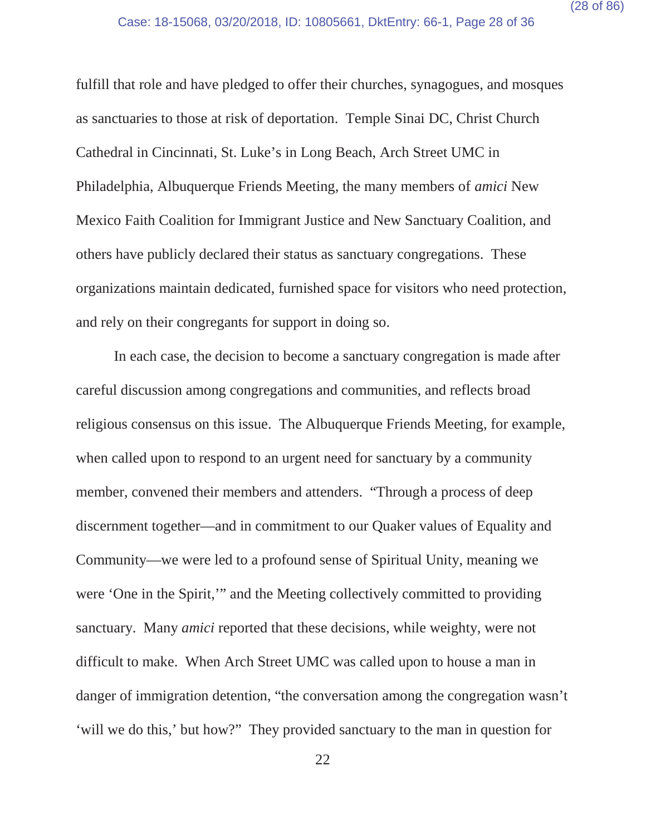fulfill that role and have pledged to offer their churches, synagogues, and mosques as sanctuaries to those at risk of deportation. Temple Sinai DC, Christ Church Cathedral in Cincinnati, St. Luke's in Long Beach, Arch Street UMC in Philadelphia, Albuquerque Friends Meeting, the many members of *amici* New Mexico Faith Coalition for Immigrant Justice and New Sanctuary Coalition, and others have publicly declared their status as sanctuary congregations. These organizations maintain dedicated, furnished space for visitors who need protection, and rely on their congregants for support in doing so.

In each case, the decision to become a sanctuary congregation is made after careful discussion among congregations and communities, and reflects broad religious consensus on this issue. The Albuquerque Friends Meeting, for example, when called upon to respond to an urgent need for sanctuary by a community member, convened their members and attenders. "Through a process of deep discernment together—and in commitment to our Quaker values of Equality and Community—we were led to a profound sense of Spiritual Unity, meaning we were 'One in the Spirit,'" and the Meeting collectively committed to providing sanctuary. Many *amici* reported that these decisions, while weighty, were not difficult to make. When Arch Street UMC was called upon to house a man in danger of immigration detention, "the conversation among the congregation wasn't 'will we do this,' but how?" They provided sanctuary to the man in question for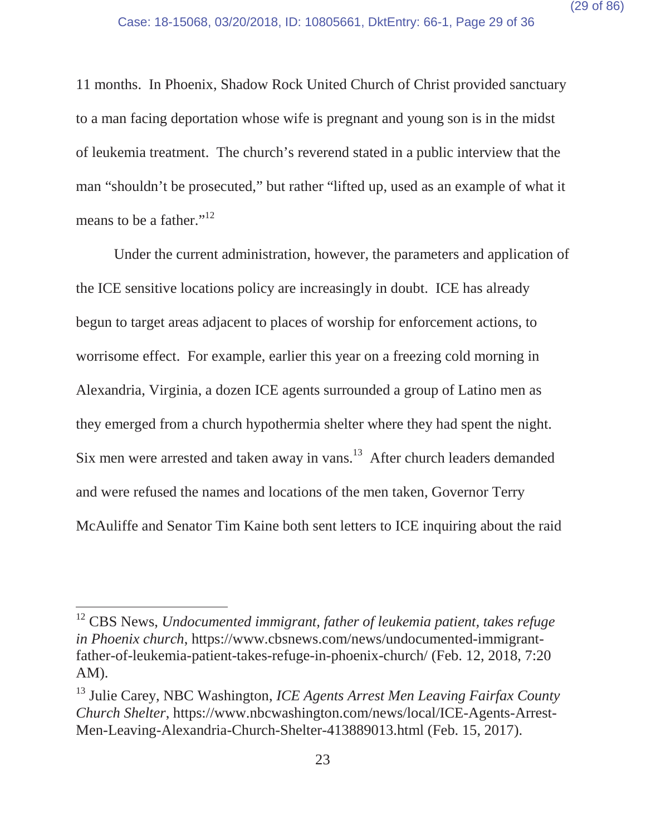11 months. In Phoenix, Shadow Rock United Church of Christ provided sanctuary to a man facing deportation whose wife is pregnant and young son is in the midst of leukemia treatment. The church's reverend stated in a public interview that the man "shouldn't be prosecuted," but rather "lifted up, used as an example of what it means to be a father."<sup>12</sup>

Under the current administration, however, the parameters and application of the ICE sensitive locations policy are increasingly in doubt. ICE has already begun to target areas adjacent to places of worship for enforcement actions, to worrisome effect. For example, earlier this year on a freezing cold morning in Alexandria, Virginia, a dozen ICE agents surrounded a group of Latino men as they emerged from a church hypothermia shelter where they had spent the night. Six men were arrested and taken away in vans.<sup>13</sup> After church leaders demanded and were refused the names and locations of the men taken, Governor Terry McAuliffe and Senator Tim Kaine both sent letters to ICE inquiring about the raid

<sup>12</sup> CBS News, *Undocumented immigrant, father of leukemia patient, takes refuge in Phoenix church*, https://www.cbsnews.com/news/undocumented-immigrantfather-of-leukemia-patient-takes-refuge-in-phoenix-church/ (Feb. 12, 2018, 7:20 AM).

<sup>13</sup> Julie Carey, NBC Washington, *ICE Agents Arrest Men Leaving Fairfax County Church Shelter*, https://www.nbcwashington.com/news/local/ICE-Agents-Arrest-Men-Leaving-Alexandria-Church-Shelter-413889013.html (Feb. 15, 2017).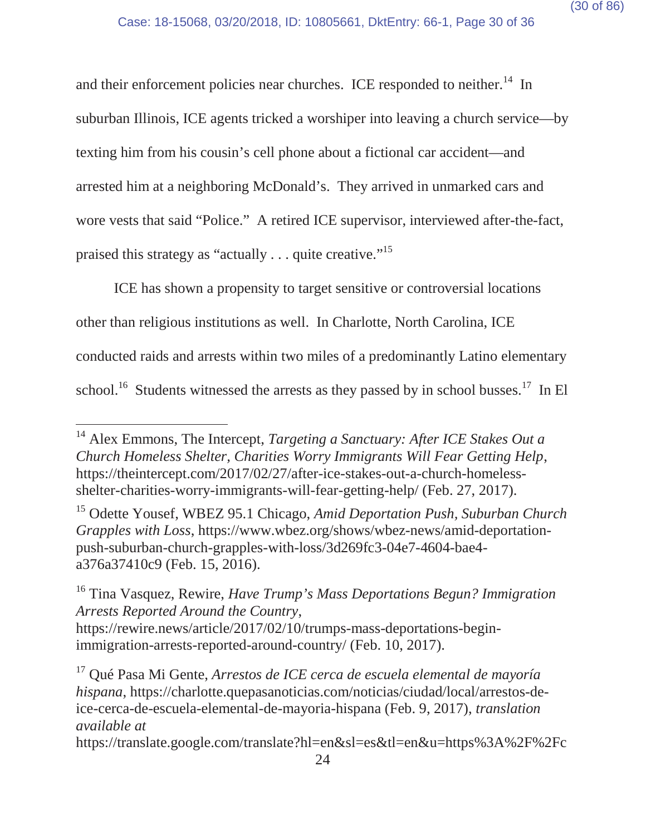and their enforcement policies near churches. ICE responded to neither.<sup>14</sup> In suburban Illinois, ICE agents tricked a worshiper into leaving a church service—by texting him from his cousin's cell phone about a fictional car accident—and arrested him at a neighboring McDonald's. They arrived in unmarked cars and wore vests that said "Police." A retired ICE supervisor, interviewed after-the-fact, praised this strategy as "actually . . . quite creative."15

ICE has shown a propensity to target sensitive or controversial locations other than religious institutions as well. In Charlotte, North Carolina, ICE conducted raids and arrests within two miles of a predominantly Latino elementary school.<sup>16</sup> Students witnessed the arrests as they passed by in school busses.<sup>17</sup> In El

<sup>14</sup> Alex Emmons, The Intercept, *Targeting a Sanctuary: After ICE Stakes Out a Church Homeless Shelter, Charities Worry Immigrants Will Fear Getting Help*, https://theintercept.com/2017/02/27/after-ice-stakes-out-a-church-homelessshelter-charities-worry-immigrants-will-fear-getting-help/ (Feb. 27, 2017).

<sup>15</sup> Odette Yousef, WBEZ 95.1 Chicago, *Amid Deportation Push, Suburban Church Grapples with Loss*, https://www.wbez.org/shows/wbez-news/amid-deportationpush-suburban-church-grapples-with-loss/3d269fc3-04e7-4604-bae4 a376a37410c9 (Feb. 15, 2016).

<sup>16</sup> Tina Vasquez, Rewire, *Have Trump's Mass Deportations Begun? Immigration Arrests Reported Around the Country*, https://rewire.news/article/2017/02/10/trumps-mass-deportations-begin-

immigration-arrests-reported-around-country/ (Feb. 10, 2017).

<sup>17</sup> Qué Pasa Mi Gente, *Arrestos de ICE cerca de escuela elemental de mayoría hispana*, https://charlotte.quepasanoticias.com/noticias/ciudad/local/arrestos-deice-cerca-de-escuela-elemental-de-mayoria-hispana (Feb. 9, 2017), *translation available at*

https://translate.google.com/translate?hl=en&sl=es&tl=en&u=https%3A%2F%2Fc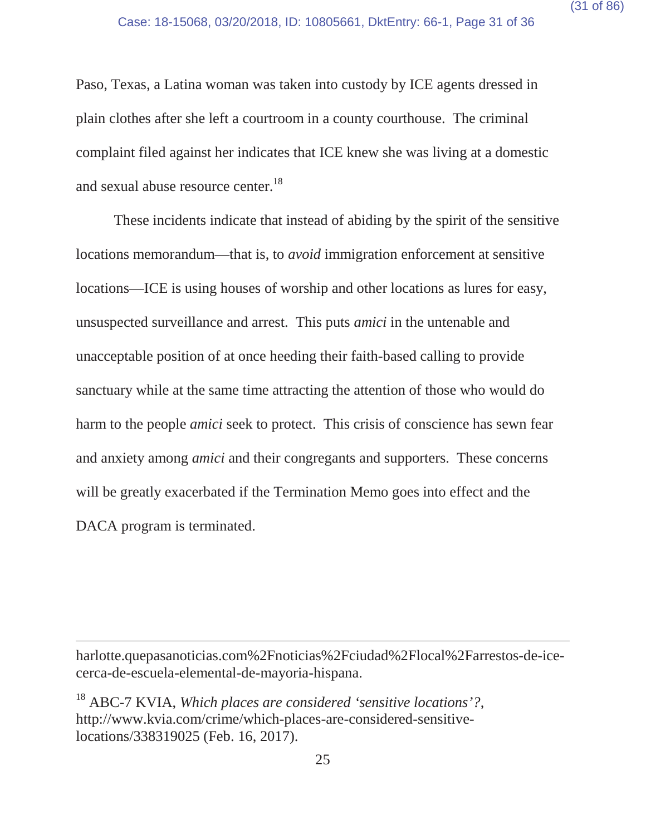Paso, Texas, a Latina woman was taken into custody by ICE agents dressed in plain clothes after she left a courtroom in a county courthouse. The criminal complaint filed against her indicates that ICE knew she was living at a domestic and sexual abuse resource center.<sup>18</sup>

These incidents indicate that instead of abiding by the spirit of the sensitive locations memorandum—that is, to *avoid* immigration enforcement at sensitive locations—ICE is using houses of worship and other locations as lures for easy, unsuspected surveillance and arrest. This puts *amici* in the untenable and unacceptable position of at once heeding their faith-based calling to provide sanctuary while at the same time attracting the attention of those who would do harm to the people *amici* seek to protect. This crisis of conscience has sewn fear and anxiety among *amici* and their congregants and supporters. These concerns will be greatly exacerbated if the Termination Memo goes into effect and the DACA program is terminated.

harlotte.quepasanoticias.com%2Fnoticias%2Fciudad%2Flocal%2Farrestos-de-icecerca-de-escuela-elemental-de-mayoria-hispana.

<sup>18</sup> ABC-7 KVIA, *Which places are considered 'sensitive locations'?*, http://www.kvia.com/crime/which-places-are-considered-sensitivelocations/338319025 (Feb. 16, 2017).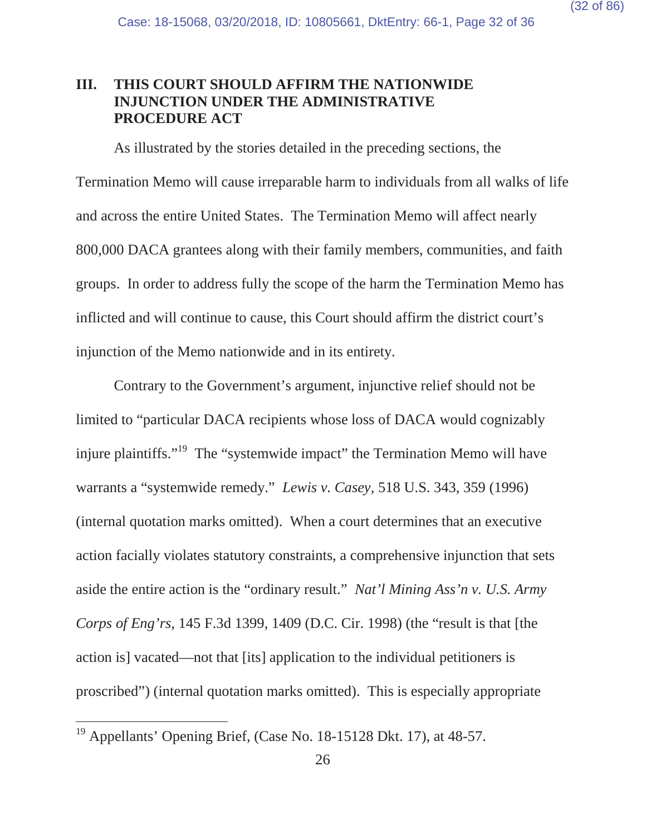#### **III. THIS COURT SHOULD AFFIRM THE NATIONWIDE INJUNCTION UNDER THE ADMINISTRATIVE PROCEDURE ACT**

As illustrated by the stories detailed in the preceding sections, the Termination Memo will cause irreparable harm to individuals from all walks of life and across the entire United States. The Termination Memo will affect nearly 800,000 DACA grantees along with their family members, communities, and faith groups. In order to address fully the scope of the harm the Termination Memo has inflicted and will continue to cause, this Court should affirm the district court's injunction of the Memo nationwide and in its entirety.

Contrary to the Government's argument, injunctive relief should not be limited to "particular DACA recipients whose loss of DACA would cognizably injure plaintiffs."<sup>19</sup> The "systemwide impact" the Termination Memo will have warrants a "systemwide remedy." *Lewis v. Casey,* 518 U.S. 343, 359 (1996) (internal quotation marks omitted). When a court determines that an executive action facially violates statutory constraints, a comprehensive injunction that sets aside the entire action is the "ordinary result." *Nat'l Mining Ass'n v. U.S. Army Corps of Eng'rs,* 145 F.3d 1399, 1409 (D.C. Cir. 1998) (the "result is that [the action is] vacated—not that [its] application to the individual petitioners is proscribed") (internal quotation marks omitted). This is especially appropriate

<sup>&</sup>lt;sup>19</sup> Appellants' Opening Brief, (Case No. 18-15128 Dkt. 17), at  $48-57$ .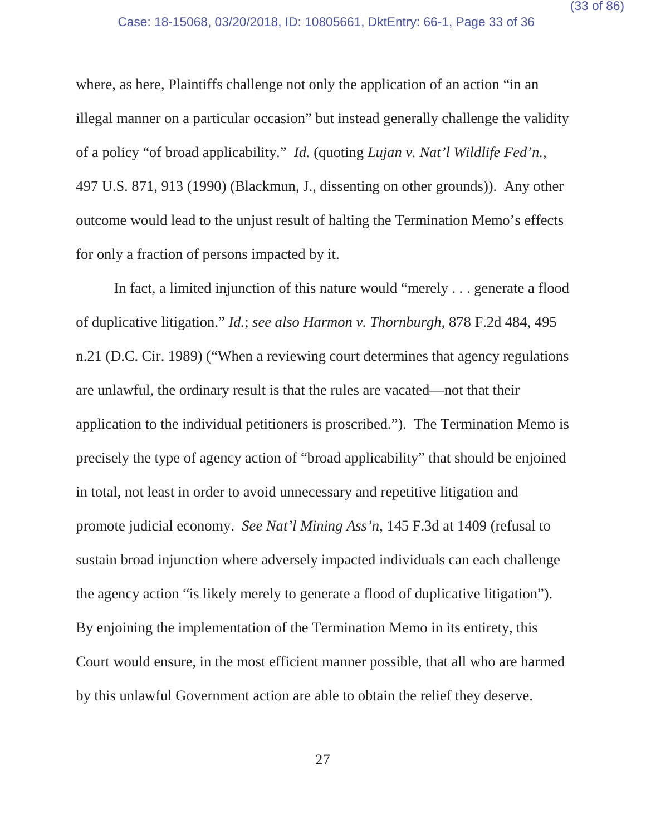where, as here, Plaintiffs challenge not only the application of an action "in an illegal manner on a particular occasion" but instead generally challenge the validity of a policy "of broad applicability." *Id.* (quoting *Lujan v. Nat'l Wildlife Fed'n.,* 497 U.S. 871, 913 (1990) (Blackmun, J., dissenting on other grounds)). Any other outcome would lead to the unjust result of halting the Termination Memo's effects for only a fraction of persons impacted by it.

In fact, a limited injunction of this nature would "merely . . . generate a flood of duplicative litigation." *Id.*; *see also Harmon v. Thornburgh,* 878 F.2d 484, 495 n.21 (D.C. Cir. 1989) ("When a reviewing court determines that agency regulations are unlawful, the ordinary result is that the rules are vacated—not that their application to the individual petitioners is proscribed."). The Termination Memo is precisely the type of agency action of "broad applicability" that should be enjoined in total, not least in order to avoid unnecessary and repetitive litigation and promote judicial economy. *See Nat'l Mining Ass'n*, 145 F.3d at 1409 (refusal to sustain broad injunction where adversely impacted individuals can each challenge the agency action "is likely merely to generate a flood of duplicative litigation"). By enjoining the implementation of the Termination Memo in its entirety, this Court would ensure, in the most efficient manner possible, that all who are harmed by this unlawful Government action are able to obtain the relief they deserve.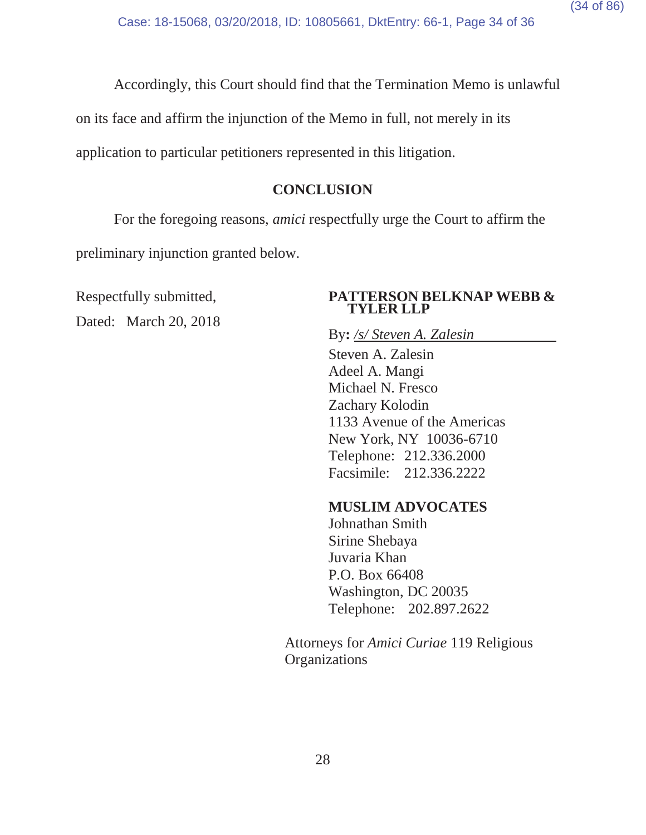Accordingly, this Court should find that the Termination Memo is unlawful

on its face and affirm the injunction of the Memo in full, not merely in its

application to particular petitioners represented in this litigation.

#### **CONCLUSION**

For the foregoing reasons, *amici* respectfully urge the Court to affirm the preliminary injunction granted below.

Dated: March 20, 2018

#### Respectfully submitted, **PATTERSON BELKNAP WEBB & TYLER LLP**

By**:** */s/ Steven A. Zalesin*

Steven A. Zalesin Adeel A. Mangi Michael N. Fresco Zachary Kolodin 1133 Avenue of the Americas New York, NY 10036-6710 Telephone: 212.336.2000 Facsimile: 212.336.2222

#### **MUSLIM ADVOCATES**

Johnathan Smith Sirine Shebaya Juvaria Khan P.O. Box 66408 Washington, DC 20035 Telephone: 202.897.2622

Attorneys for *Amici Curiae* 119 Religious **Organizations**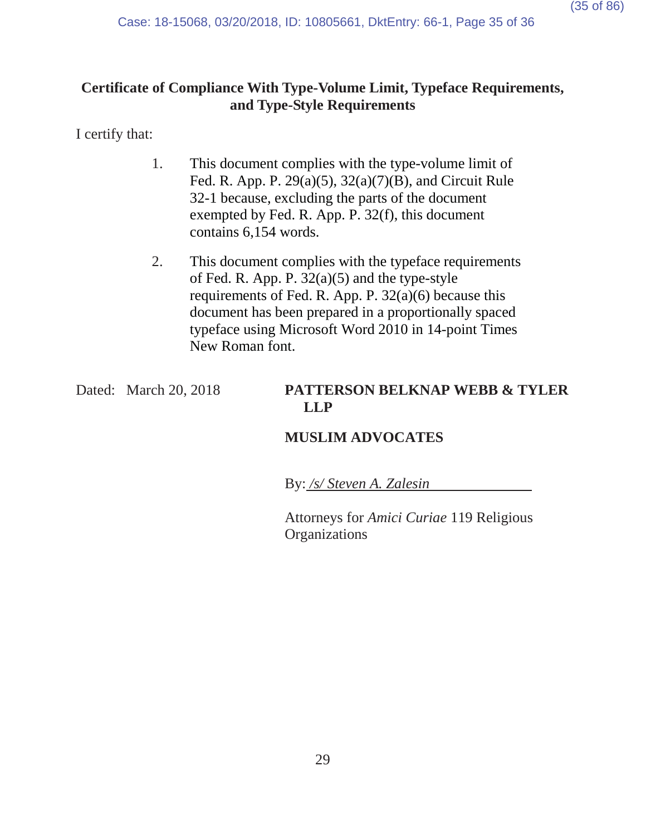# **Certificate of Compliance With Type-Volume Limit, Typeface Requirements, and Type-Style Requirements**

I certify that:

- 1. This document complies with the type-volume limit of Fed. R. App. P. 29(a)(5), 32(a)(7)(B), and Circuit Rule 32-1 because, excluding the parts of the document exempted by Fed. R. App. P. 32(f), this document contains 6,154 words.
- 2. This document complies with the typeface requirements of Fed. R. App. P.  $32(a)(5)$  and the type-style requirements of Fed. R. App. P.  $32(a)(6)$  because this document has been prepared in a proportionally spaced typeface using Microsoft Word 2010 in 14-point Times New Roman font.

## Dated: March 20, 2018 **PATTERSON BELKNAP WEBB & TYLER LLP**

# **MUSLIM ADVOCATES**

By: */s/ Steven A. Zalesin*

Attorneys for *Amici Curiae* 119 Religious **Organizations**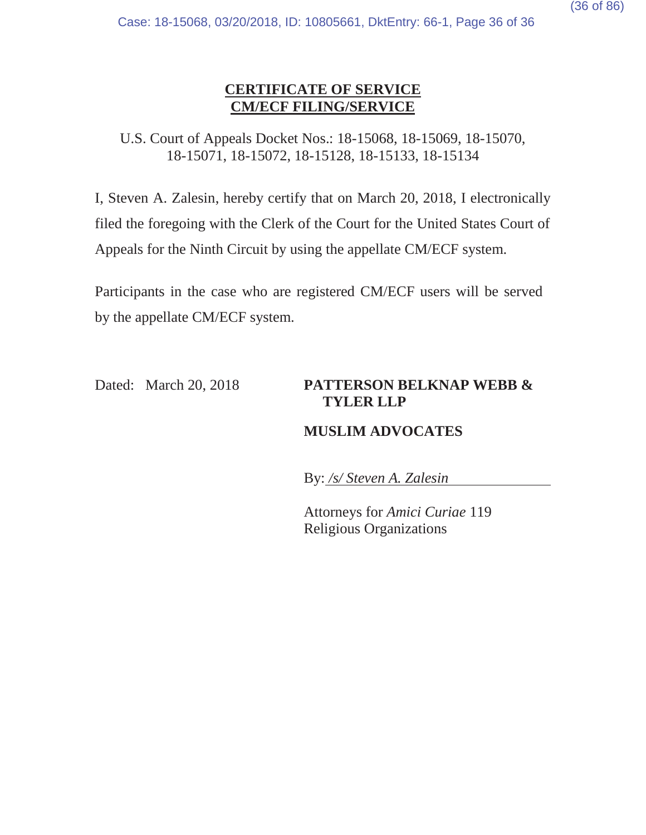# **CERTIFICATE OF SERVICE CM/ECF FILING/SERVICE**

U.S. Court of Appeals Docket Nos.: 18-15068, 18-15069, 18-15070, 18-15071, 18-15072, 18-15128, 18-15133, 18-15134

I, Steven A. Zalesin, hereby certify that on March 20, 2018, I electronically filed the foregoing with the Clerk of the Court for the United States Court of Appeals for the Ninth Circuit by using the appellate CM/ECF system.

Participants in the case who are registered CM/ECF users will be served by the appellate CM/ECF system.

### Dated: March 20, 2018 **PATTERSON BELKNAP WEBB & TYLER LLP**

# **MUSLIM ADVOCATES**

By: */s/ Steven A. Zalesin*

Attorneys for *Amici Curiae* 119 Religious Organizations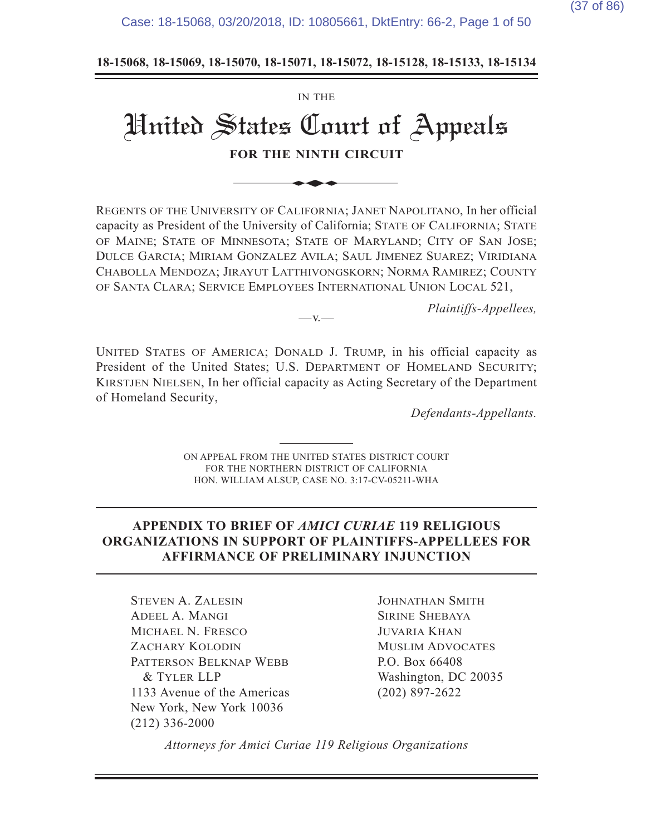Case: 18-15068, 03/20/2018, ID: 10805661, DktEntry: 66-2, Page 1 of 50

18-15068, 18-15069, 18-15070, 18-15071, 18-15072, 18-15128, 18-15133, 18-15134

# IN THE United States Court of Appeals **FOR THE NINTH CIRCUIT** IN THE<br>
States Court of<br>
For the ninth circuit<br>
Sity of California; Janet N

REGENTS OF THE UNIVERSITY OF CALIFORNIA; JANET NAPOLITANO, In her official capacity as President of the University of California; STATE OF CALIFORNIA; STATE OF MAINE; STATE OF MINNESOTA; STATE OF MARYLAND; CITY OF SAN JOSE; DULCE GARCIA; MIRIAM GONZALEZ AVILA; SAUL JIMENEZ SUAREZ; VIRIDIANA CHABOLLA MENDOZA; JIRAYUT LATTHIVONGSKORN; NORMA RAMIREZ; COUNTY OF SANTA CLARA; SERVICE EMPLOYEES INTERNATIONAL UNION LOCAL 521,

*Plaintiffs-Appellees.* 

UNITED STATES OF AMERICA; DONALD J. TRUMP, in his official capacity as President of the United States; U.S. DEPARTMENT OF HOMELAND SECURITY; KIRSTJEN NIELSEN, In her official capacity as Acting Secretary of the Department of Homeland Security,

 $-v$ 

Defendants-Appellants.

ON APPEAL FROM THE UNITED STATES DISTRICT COURT FOR THE NORTHERN DISTRICT OF CALIFORNIA HON. WILLIAM ALSUP, CASE NO. 3:17-CV-05211-WHA

#### **APPENDIX TO BRIEF OF AMICI CURIAE 119 RELIGIOUS 25 ORGANIZATIONS IN SUPPORT OF PLAINTIFFS-APPELLEES FOR AFFIRMANCE OF PRELIMINARY INJUNCTION**

**STEVEN A. ZALESIN** ADEEL A. MANGI MICHAEL N. FRESCO ZACHARY KOLODIN PATTERSON BELKNAP WEBB **& TYLER LLP** 1133 Avenue of the Americas New York, New York 10036  $(212)$  336-2000

JOHNATHAN SMITH **SIRINE SHEBAYA JUVARIA KHAN MUSLIM ADVOCATES** P.O. Box 66408 Washington, DC 20035  $(202)$  897-2622

*Attorneys for Amici Curiae 119 Religious Organizations*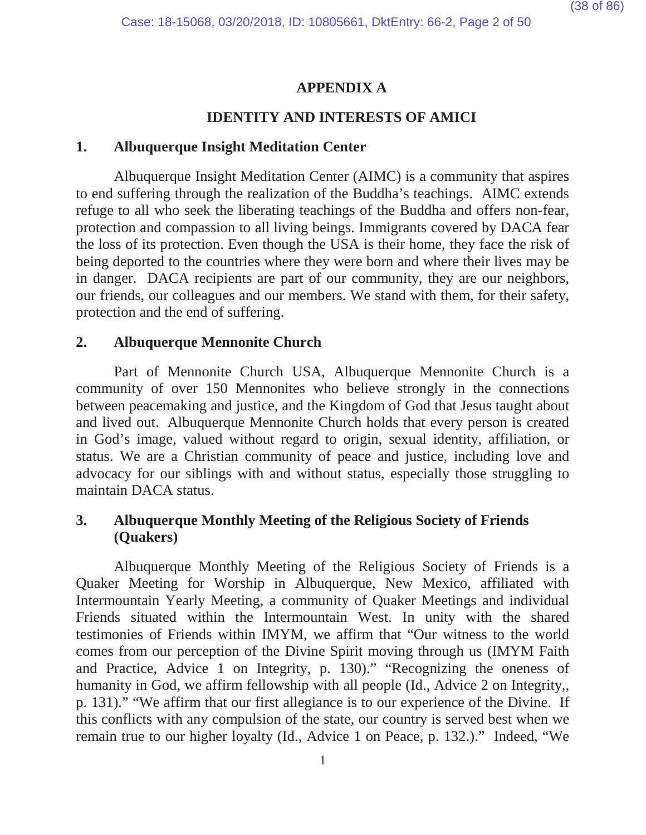# **APPENDIX A**

# **IDENTITY AND INTERESTS OF AMICI**

## **1. Albuquerque Insight Meditation Center**

Albuquerque Insight Meditation Center (AIMC) is a community that aspires to end suffering through the realization of the Buddha's teachings. AIMC extends refuge to all who seek the liberating teachings of the Buddha and offers non-fear, protection and compassion to all living beings. Immigrants covered by DACA fear the loss of its protection. Even though the USA is their home, they face the risk of being deported to the countries where they were born and where their lives may be in danger. DACA recipients are part of our community, they are our neighbors, our friends, our colleagues and our members. We stand with them, for their safety, protection and the end of suffering.

# **2. Albuquerque Mennonite Church**

Part of Mennonite Church USA, Albuquerque Mennonite Church is a community of over 150 Mennonites who believe strongly in the connections between peacemaking and justice, and the Kingdom of God that Jesus taught about and lived out. Albuquerque Mennonite Church holds that every person is created in God's image, valued without regard to origin, sexual identity, affiliation, or status. We are a Christian community of peace and justice, including love and advocacy for our siblings with and without status, especially those struggling to maintain DACA status.

# **3. Albuquerque Monthly Meeting of the Religious Society of Friends (Quakers)**

Albuquerque Monthly Meeting of the Religious Society of Friends is a Quaker Meeting for Worship in Albuquerque, New Mexico, affiliated with Intermountain Yearly Meeting, a community of Quaker Meetings and individual Friends situated within the Intermountain West. In unity with the shared testimonies of Friends within IMYM, we affirm that "Our witness to the world comes from our perception of the Divine Spirit moving through us (IMYM Faith and Practice, Advice 1 on Integrity, p. 130)." "Recognizing the oneness of humanity in God, we affirm fellowship with all people (Id., Advice 2 on Integrity,, p. 131)." "We affirm that our first allegiance is to our experience of the Divine. If this conflicts with any compulsion of the state, our country is served best when we remain true to our higher loyalty (Id., Advice 1 on Peace, p. 132.)." Indeed, "We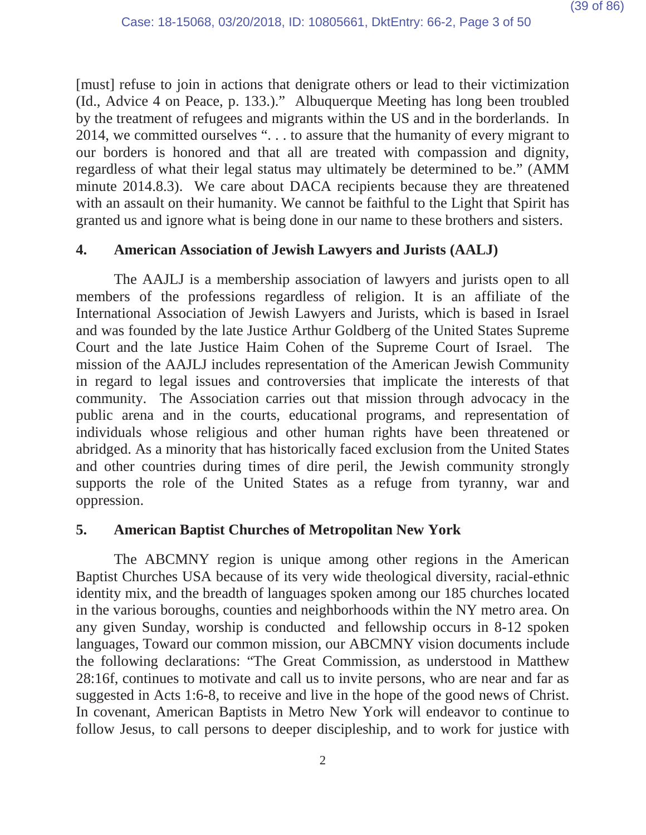[must] refuse to join in actions that denigrate others or lead to their victimization (Id., Advice 4 on Peace, p. 133.)." Albuquerque Meeting has long been troubled by the treatment of refugees and migrants within the US and in the borderlands. In 2014, we committed ourselves ". . . to assure that the humanity of every migrant to our borders is honored and that all are treated with compassion and dignity, regardless of what their legal status may ultimately be determined to be." (AMM minute 2014.8.3). We care about DACA recipients because they are threatened with an assault on their humanity. We cannot be faithful to the Light that Spirit has granted us and ignore what is being done in our name to these brothers and sisters.

## **4. American Association of Jewish Lawyers and Jurists (AALJ)**

The AAJLJ is a membership association of lawyers and jurists open to all members of the professions regardless of religion. It is an affiliate of the International Association of Jewish Lawyers and Jurists, which is based in Israel and was founded by the late Justice Arthur Goldberg of the United States Supreme Court and the late Justice Haim Cohen of the Supreme Court of Israel. The mission of the AAJLJ includes representation of the American Jewish Community in regard to legal issues and controversies that implicate the interests of that community. The Association carries out that mission through advocacy in the public arena and in the courts, educational programs, and representation of individuals whose religious and other human rights have been threatened or abridged. As a minority that has historically faced exclusion from the United States and other countries during times of dire peril, the Jewish community strongly supports the role of the United States as a refuge from tyranny, war and oppression.

### **5. American Baptist Churches of Metropolitan New York**

The ABCMNY region is unique among other regions in the American Baptist Churches USA because of its very wide theological diversity, racial-ethnic identity mix, and the breadth of languages spoken among our 185 churches located in the various boroughs, counties and neighborhoods within the NY metro area. On any given Sunday, worship is conducted and fellowship occurs in 8-12 spoken languages, Toward our common mission, our ABCMNY vision documents include the following declarations: "The Great Commission, as understood in Matthew 28:16f, continues to motivate and call us to invite persons, who are near and far as suggested in Acts 1:6-8, to receive and live in the hope of the good news of Christ. In covenant, American Baptists in Metro New York will endeavor to continue to follow Jesus, to call persons to deeper discipleship, and to work for justice with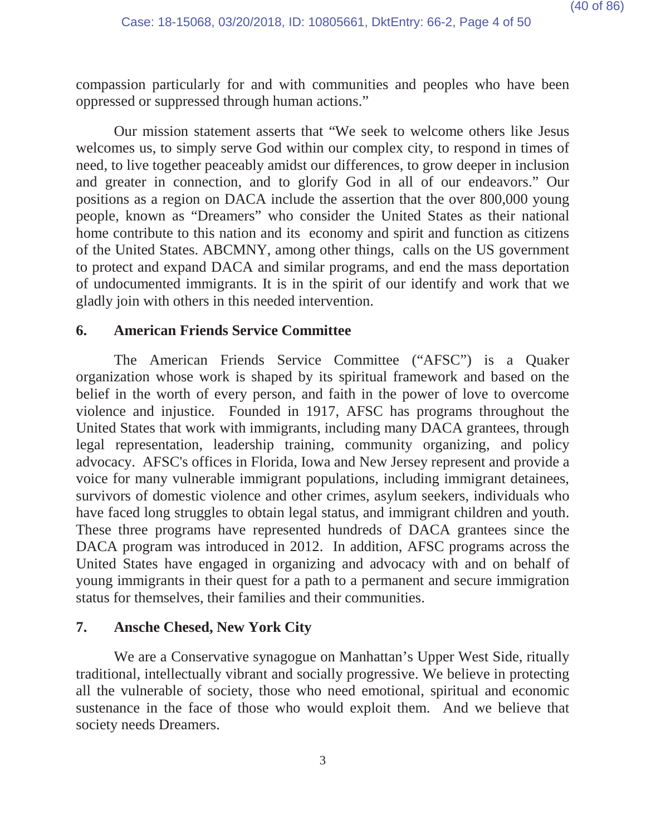compassion particularly for and with communities and peoples who have been oppressed or suppressed through human actions."

Our mission statement asserts that "We seek to welcome others like Jesus welcomes us, to simply serve God within our complex city, to respond in times of need, to live together peaceably amidst our differences, to grow deeper in inclusion and greater in connection, and to glorify God in all of our endeavors." Our positions as a region on DACA include the assertion that the over 800,000 young people, known as "Dreamers" who consider the United States as their national home contribute to this nation and its economy and spirit and function as citizens of the United States. ABCMNY, among other things, calls on the US government to protect and expand DACA and similar programs, and end the mass deportation of undocumented immigrants. It is in the spirit of our identify and work that we gladly join with others in this needed intervention.

### **6. American Friends Service Committee**

The American Friends Service Committee ("AFSC") is a Quaker organization whose work is shaped by its spiritual framework and based on the belief in the worth of every person, and faith in the power of love to overcome violence and injustice. Founded in 1917, AFSC has programs throughout the United States that work with immigrants, including many DACA grantees, through legal representation, leadership training, community organizing, and policy advocacy. AFSC's offices in Florida, Iowa and New Jersey represent and provide a voice for many vulnerable immigrant populations, including immigrant detainees, survivors of domestic violence and other crimes, asylum seekers, individuals who have faced long struggles to obtain legal status, and immigrant children and youth. These three programs have represented hundreds of DACA grantees since the DACA program was introduced in 2012. In addition, AFSC programs across the United States have engaged in organizing and advocacy with and on behalf of young immigrants in their quest for a path to a permanent and secure immigration status for themselves, their families and their communities.

### **7. Ansche Chesed, New York City**

We are a Conservative synagogue on Manhattan's Upper West Side, ritually traditional, intellectually vibrant and socially progressive. We believe in protecting all the vulnerable of society, those who need emotional, spiritual and economic sustenance in the face of those who would exploit them. And we believe that society needs Dreamers.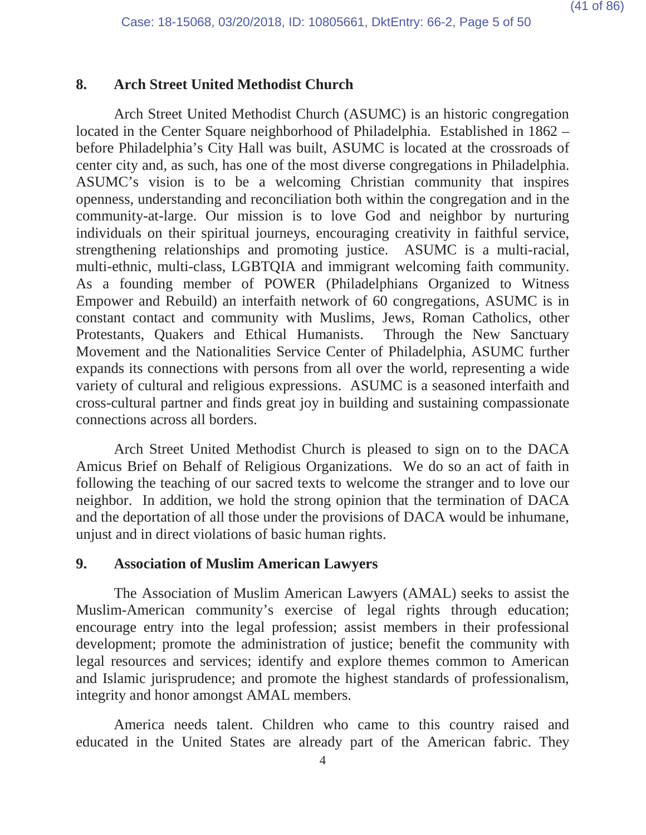## **8. Arch Street United Methodist Church**

Arch Street United Methodist Church (ASUMC) is an historic congregation located in the Center Square neighborhood of Philadelphia. Established in 1862 – before Philadelphia's City Hall was built, ASUMC is located at the crossroads of center city and, as such, has one of the most diverse congregations in Philadelphia. ASUMC's vision is to be a welcoming Christian community that inspires openness, understanding and reconciliation both within the congregation and in the community-at-large. Our mission is to love God and neighbor by nurturing individuals on their spiritual journeys, encouraging creativity in faithful service, strengthening relationships and promoting justice. ASUMC is a multi-racial, multi-ethnic, multi-class, LGBTQIA and immigrant welcoming faith community. As a founding member of POWER (Philadelphians Organized to Witness Empower and Rebuild) an interfaith network of 60 congregations, ASUMC is in constant contact and community with Muslims, Jews, Roman Catholics, other Protestants, Quakers and Ethical Humanists. Through the New Sanctuary Movement and the Nationalities Service Center of Philadelphia, ASUMC further expands its connections with persons from all over the world, representing a wide variety of cultural and religious expressions. ASUMC is a seasoned interfaith and cross-cultural partner and finds great joy in building and sustaining compassionate connections across all borders.

Arch Street United Methodist Church is pleased to sign on to the DACA Amicus Brief on Behalf of Religious Organizations. We do so an act of faith in following the teaching of our sacred texts to welcome the stranger and to love our neighbor. In addition, we hold the strong opinion that the termination of DACA and the deportation of all those under the provisions of DACA would be inhumane, unjust and in direct violations of basic human rights.

### **9. Association of Muslim American Lawyers**

The Association of Muslim American Lawyers (AMAL) seeks to assist the Muslim-American community's exercise of legal rights through education; encourage entry into the legal profession; assist members in their professional development; promote the administration of justice; benefit the community with legal resources and services; identify and explore themes common to American and Islamic jurisprudence; and promote the highest standards of professionalism, integrity and honor amongst AMAL members.

America needs talent. Children who came to this country raised and educated in the United States are already part of the American fabric. They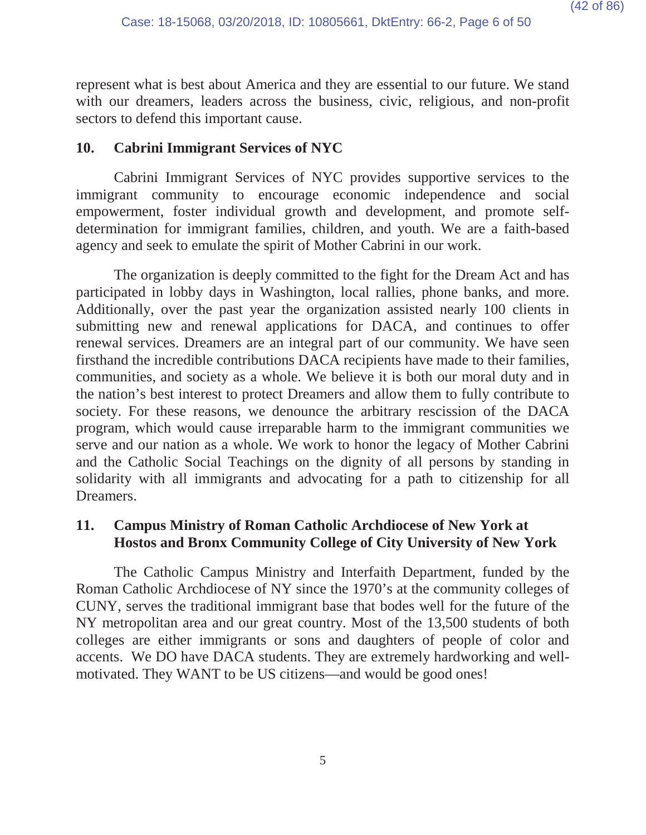represent what is best about America and they are essential to our future. We stand with our dreamers, leaders across the business, civic, religious, and non-profit sectors to defend this important cause.

## **10. Cabrini Immigrant Services of NYC**

Cabrini Immigrant Services of NYC provides supportive services to the immigrant community to encourage economic independence and social empowerment, foster individual growth and development, and promote selfdetermination for immigrant families, children, and youth. We are a faith-based agency and seek to emulate the spirit of Mother Cabrini in our work.

The organization is deeply committed to the fight for the Dream Act and has participated in lobby days in Washington, local rallies, phone banks, and more. Additionally, over the past year the organization assisted nearly 100 clients in submitting new and renewal applications for DACA, and continues to offer renewal services. Dreamers are an integral part of our community. We have seen firsthand the incredible contributions DACA recipients have made to their families, communities, and society as a whole. We believe it is both our moral duty and in the nation's best interest to protect Dreamers and allow them to fully contribute to society. For these reasons, we denounce the arbitrary rescission of the DACA program, which would cause irreparable harm to the immigrant communities we serve and our nation as a whole. We work to honor the legacy of Mother Cabrini and the Catholic Social Teachings on the dignity of all persons by standing in solidarity with all immigrants and advocating for a path to citizenship for all Dreamers.

# **11. Campus Ministry of Roman Catholic Archdiocese of New York at Hostos and Bronx Community College of City University of New York**

The Catholic Campus Ministry and Interfaith Department, funded by the Roman Catholic Archdiocese of NY since the 1970's at the community colleges of CUNY, serves the traditional immigrant base that bodes well for the future of the NY metropolitan area and our great country. Most of the 13,500 students of both colleges are either immigrants or sons and daughters of people of color and accents. We DO have DACA students. They are extremely hardworking and wellmotivated. They WANT to be US citizens—and would be good ones!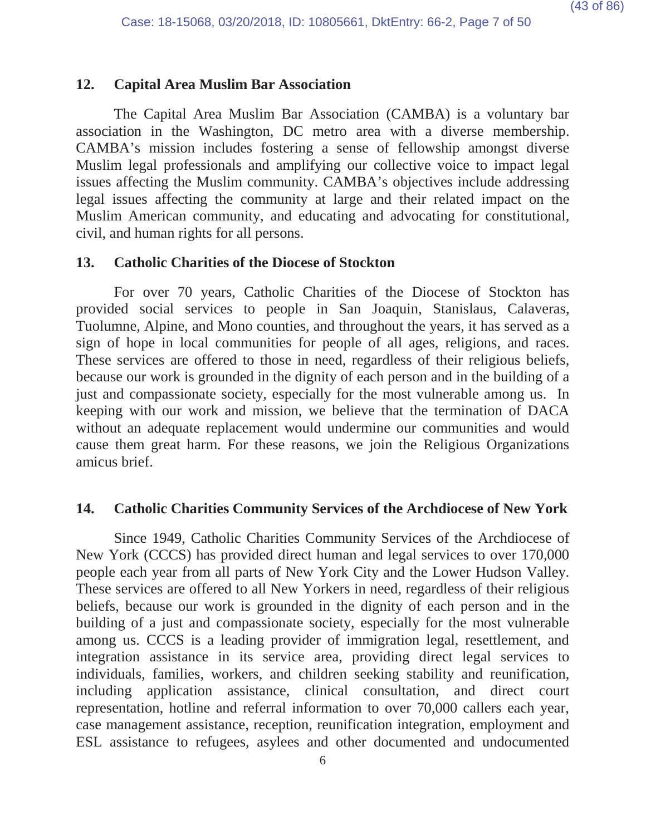## **12. Capital Area Muslim Bar Association**

The Capital Area Muslim Bar Association (CAMBA) is a voluntary bar association in the Washington, DC metro area with a diverse membership. CAMBA's mission includes fostering a sense of fellowship amongst diverse Muslim legal professionals and amplifying our collective voice to impact legal issues affecting the Muslim community. CAMBA's objectives include addressing legal issues affecting the community at large and their related impact on the Muslim American community, and educating and advocating for constitutional, civil, and human rights for all persons.

### **13. Catholic Charities of the Diocese of Stockton**

For over 70 years, Catholic Charities of the Diocese of Stockton has provided social services to people in San Joaquin, Stanislaus, Calaveras, Tuolumne, Alpine, and Mono counties, and throughout the years, it has served as a sign of hope in local communities for people of all ages, religions, and races. These services are offered to those in need, regardless of their religious beliefs, because our work is grounded in the dignity of each person and in the building of a just and compassionate society, especially for the most vulnerable among us. In keeping with our work and mission, we believe that the termination of DACA without an adequate replacement would undermine our communities and would cause them great harm. For these reasons, we join the Religious Organizations amicus brief.

### **14. Catholic Charities Community Services of the Archdiocese of New York**

Since 1949, Catholic Charities Community Services of the Archdiocese of New York (CCCS) has provided direct human and legal services to over 170,000 people each year from all parts of New York City and the Lower Hudson Valley. These services are offered to all New Yorkers in need, regardless of their religious beliefs, because our work is grounded in the dignity of each person and in the building of a just and compassionate society, especially for the most vulnerable among us. CCCS is a leading provider of immigration legal, resettlement, and integration assistance in its service area, providing direct legal services to individuals, families, workers, and children seeking stability and reunification, including application assistance, clinical consultation, and direct court representation, hotline and referral information to over 70,000 callers each year, case management assistance, reception, reunification integration, employment and ESL assistance to refugees, asylees and other documented and undocumented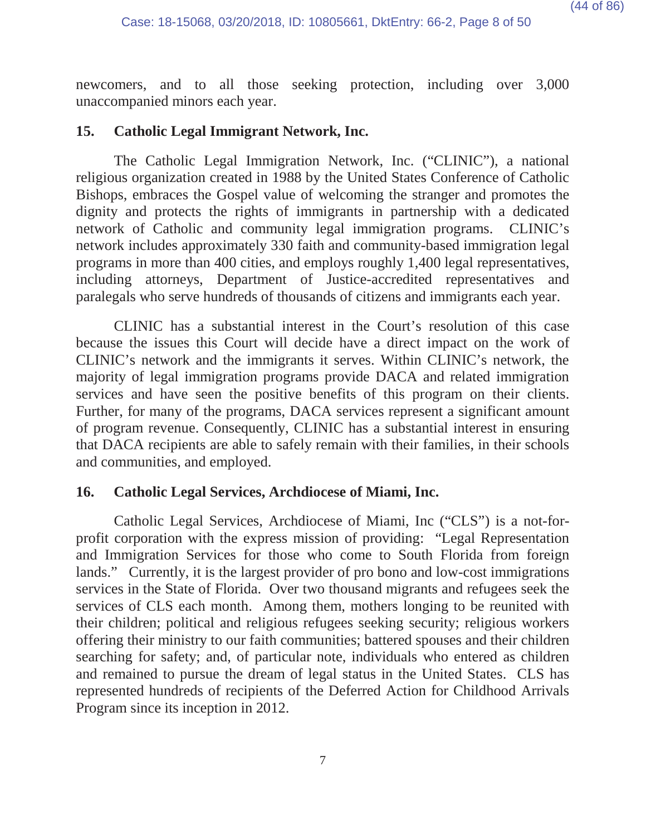newcomers, and to all those seeking protection, including over 3,000 unaccompanied minors each year.

## **15. Catholic Legal Immigrant Network, Inc.**

The Catholic Legal Immigration Network, Inc. ("CLINIC"), a national religious organization created in 1988 by the United States Conference of Catholic Bishops, embraces the Gospel value of welcoming the stranger and promotes the dignity and protects the rights of immigrants in partnership with a dedicated network of Catholic and community legal immigration programs. CLINIC's network includes approximately 330 faith and community-based immigration legal programs in more than 400 cities, and employs roughly 1,400 legal representatives, including attorneys, Department of Justice-accredited representatives and paralegals who serve hundreds of thousands of citizens and immigrants each year.

CLINIC has a substantial interest in the Court's resolution of this case because the issues this Court will decide have a direct impact on the work of CLINIC's network and the immigrants it serves. Within CLINIC's network, the majority of legal immigration programs provide DACA and related immigration services and have seen the positive benefits of this program on their clients. Further, for many of the programs, DACA services represent a significant amount of program revenue. Consequently, CLINIC has a substantial interest in ensuring that DACA recipients are able to safely remain with their families, in their schools and communities, and employed.

# **16. Catholic Legal Services, Archdiocese of Miami, Inc.**

Catholic Legal Services, Archdiocese of Miami, Inc ("CLS") is a not-forprofit corporation with the express mission of providing: "Legal Representation and Immigration Services for those who come to South Florida from foreign lands." Currently, it is the largest provider of pro bono and low-cost immigrations services in the State of Florida. Over two thousand migrants and refugees seek the services of CLS each month. Among them, mothers longing to be reunited with their children; political and religious refugees seeking security; religious workers offering their ministry to our faith communities; battered spouses and their children searching for safety; and, of particular note, individuals who entered as children and remained to pursue the dream of legal status in the United States. CLS has represented hundreds of recipients of the Deferred Action for Childhood Arrivals Program since its inception in 2012.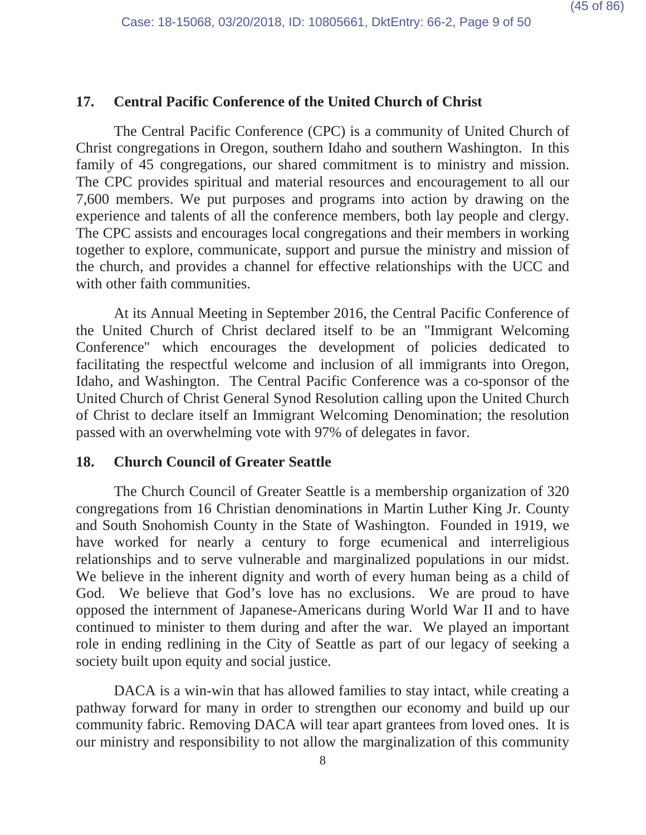# **17. Central Pacific Conference of the United Church of Christ**

The Central Pacific Conference (CPC) is a community of United Church of Christ congregations in Oregon, southern Idaho and southern Washington. In this family of 45 congregations, our shared commitment is to ministry and mission. The CPC provides spiritual and material resources and encouragement to all our 7,600 members. We put purposes and programs into action by drawing on the experience and talents of all the conference members, both lay people and clergy. The CPC assists and encourages local congregations and their members in working together to explore, communicate, support and pursue the ministry and mission of the church, and provides a channel for effective relationships with the UCC and with other faith communities.

At its Annual Meeting in September 2016, the Central Pacific Conference of the United Church of Christ declared itself to be an "Immigrant Welcoming Conference" which encourages the development of policies dedicated to facilitating the respectful welcome and inclusion of all immigrants into Oregon, Idaho, and Washington. The Central Pacific Conference was a co-sponsor of the United Church of Christ General Synod Resolution calling upon the United Church of Christ to declare itself an Immigrant Welcoming Denomination; the resolution passed with an overwhelming vote with 97% of delegates in favor.

#### **18. Church Council of Greater Seattle**

The Church Council of Greater Seattle is a membership organization of 320 congregations from 16 Christian denominations in Martin Luther King Jr. County and South Snohomish County in the State of Washington. Founded in 1919, we have worked for nearly a century to forge ecumenical and interreligious relationships and to serve vulnerable and marginalized populations in our midst. We believe in the inherent dignity and worth of every human being as a child of God. We believe that God's love has no exclusions. We are proud to have opposed the internment of Japanese-Americans during World War II and to have continued to minister to them during and after the war. We played an important role in ending redlining in the City of Seattle as part of our legacy of seeking a society built upon equity and social justice.

DACA is a win-win that has allowed families to stay intact, while creating a pathway forward for many in order to strengthen our economy and build up our community fabric. Removing DACA will tear apart grantees from loved ones. It is our ministry and responsibility to not allow the marginalization of this community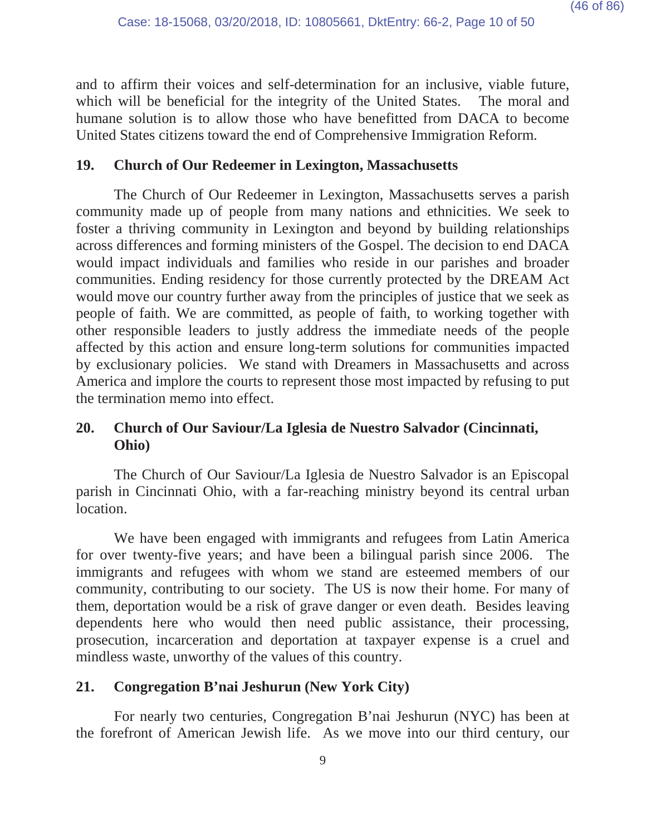and to affirm their voices and self-determination for an inclusive, viable future, which will be beneficial for the integrity of the United States. The moral and humane solution is to allow those who have benefitted from DACA to become United States citizens toward the end of Comprehensive Immigration Reform.

# **19. Church of Our Redeemer in Lexington, Massachusetts**

The Church of Our Redeemer in Lexington, Massachusetts serves a parish community made up of people from many nations and ethnicities. We seek to foster a thriving community in Lexington and beyond by building relationships across differences and forming ministers of the Gospel. The decision to end DACA would impact individuals and families who reside in our parishes and broader communities. Ending residency for those currently protected by the DREAM Act would move our country further away from the principles of justice that we seek as people of faith. We are committed, as people of faith, to working together with other responsible leaders to justly address the immediate needs of the people affected by this action and ensure long-term solutions for communities impacted by exclusionary policies. We stand with Dreamers in Massachusetts and across America and implore the courts to represent those most impacted by refusing to put the termination memo into effect.

# **20. Church of Our Saviour/La Iglesia de Nuestro Salvador (Cincinnati, Ohio)**

The Church of Our Saviour/La Iglesia de Nuestro Salvador is an Episcopal parish in Cincinnati Ohio, with a far-reaching ministry beyond its central urban location.

We have been engaged with immigrants and refugees from Latin America for over twenty-five years; and have been a bilingual parish since 2006. The immigrants and refugees with whom we stand are esteemed members of our community, contributing to our society. The US is now their home. For many of them, deportation would be a risk of grave danger or even death. Besides leaving dependents here who would then need public assistance, their processing, prosecution, incarceration and deportation at taxpayer expense is a cruel and mindless waste, unworthy of the values of this country.

# **21. Congregation B'nai Jeshurun (New York City)**

For nearly two centuries, Congregation B'nai Jeshurun (NYC) has been at the forefront of American Jewish life. As we move into our third century, our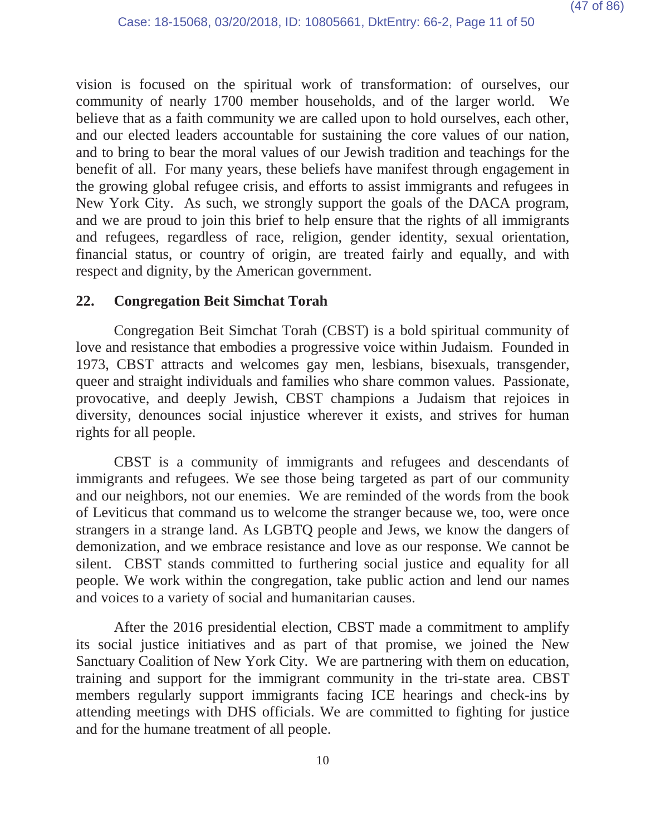vision is focused on the spiritual work of transformation: of ourselves, our community of nearly 1700 member households, and of the larger world. We believe that as a faith community we are called upon to hold ourselves, each other, and our elected leaders accountable for sustaining the core values of our nation, and to bring to bear the moral values of our Jewish tradition and teachings for the benefit of all. For many years, these beliefs have manifest through engagement in the growing global refugee crisis, and efforts to assist immigrants and refugees in New York City. As such, we strongly support the goals of the DACA program, and we are proud to join this brief to help ensure that the rights of all immigrants and refugees, regardless of race, religion, gender identity, sexual orientation, financial status, or country of origin, are treated fairly and equally, and with respect and dignity, by the American government.

### **22. Congregation Beit Simchat Torah**

Congregation Beit Simchat Torah (CBST) is a bold spiritual community of love and resistance that embodies a progressive voice within Judaism. Founded in 1973, CBST attracts and welcomes gay men, lesbians, bisexuals, transgender, queer and straight individuals and families who share common values. Passionate, provocative, and deeply Jewish, CBST champions a Judaism that rejoices in diversity, denounces social injustice wherever it exists, and strives for human rights for all people.

CBST is a community of immigrants and refugees and descendants of immigrants and refugees. We see those being targeted as part of our community and our neighbors, not our enemies. We are reminded of the words from the book of Leviticus that command us to welcome the stranger because we, too, were once strangers in a strange land. As LGBTQ people and Jews, we know the dangers of demonization, and we embrace resistance and love as our response. We cannot be silent. CBST stands committed to furthering social justice and equality for all people. We work within the congregation, take public action and lend our names and voices to a variety of social and humanitarian causes.

After the 2016 presidential election, CBST made a commitment to amplify its social justice initiatives and as part of that promise, we joined the New Sanctuary Coalition of New York City. We are partnering with them on education, training and support for the immigrant community in the tri-state area. CBST members regularly support immigrants facing ICE hearings and check-ins by attending meetings with DHS officials. We are committed to fighting for justice and for the humane treatment of all people.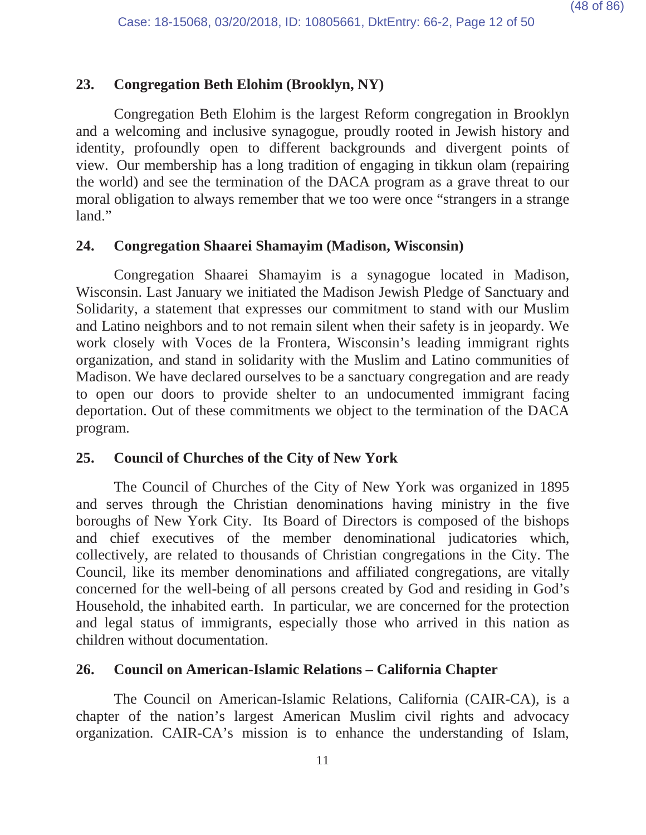# **23. Congregation Beth Elohim (Brooklyn, NY)**

Congregation Beth Elohim is the largest Reform congregation in Brooklyn and a welcoming and inclusive synagogue, proudly rooted in Jewish history and identity, profoundly open to different backgrounds and divergent points of view. Our membership has a long tradition of engaging in tikkun olam (repairing the world) and see the termination of the DACA program as a grave threat to our moral obligation to always remember that we too were once "strangers in a strange land."

### **24. Congregation Shaarei Shamayim (Madison, Wisconsin)**

Congregation Shaarei Shamayim is a synagogue located in Madison, Wisconsin. Last January we initiated the Madison Jewish Pledge of Sanctuary and Solidarity, a statement that expresses our commitment to stand with our Muslim and Latino neighbors and to not remain silent when their safety is in jeopardy. We work closely with Voces de la Frontera, Wisconsin's leading immigrant rights organization, and stand in solidarity with the Muslim and Latino communities of Madison. We have declared ourselves to be a sanctuary congregation and are ready to open our doors to provide shelter to an undocumented immigrant facing deportation. Out of these commitments we object to the termination of the DACA program.

### **25. Council of Churches of the City of New York**

The Council of Churches of the City of New York was organized in 1895 and serves through the Christian denominations having ministry in the five boroughs of New York City. Its Board of Directors is composed of the bishops and chief executives of the member denominational judicatories which, collectively, are related to thousands of Christian congregations in the City. The Council, like its member denominations and affiliated congregations, are vitally concerned for the well-being of all persons created by God and residing in God's Household, the inhabited earth. In particular, we are concerned for the protection and legal status of immigrants, especially those who arrived in this nation as children without documentation.

## **26. Council on American-Islamic Relations – California Chapter**

The Council on American-Islamic Relations, California (CAIR-CA), is a chapter of the nation's largest American Muslim civil rights and advocacy organization. CAIR-CA's mission is to enhance the understanding of Islam,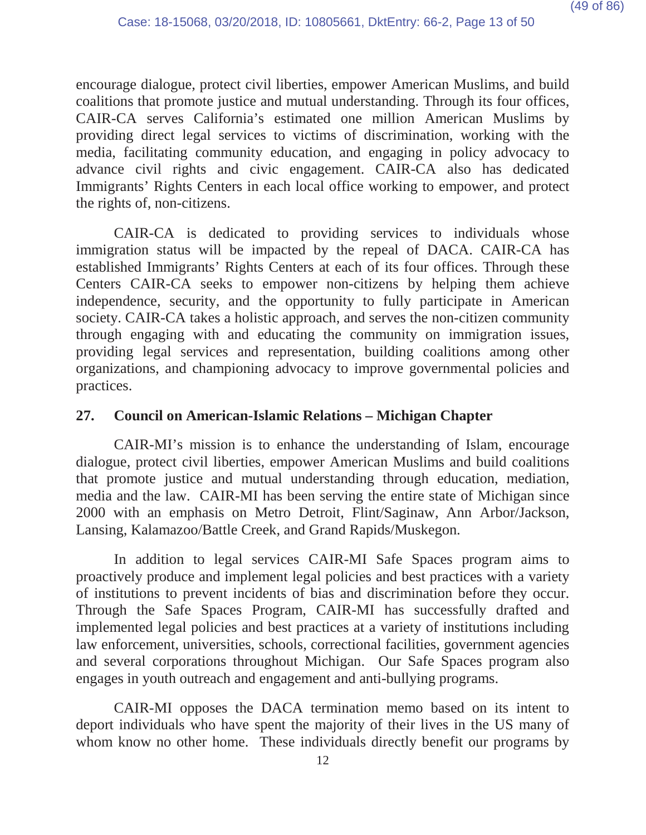encourage dialogue, protect civil liberties, empower American Muslims, and build coalitions that promote justice and mutual understanding. Through its four offices, CAIR-CA serves California's estimated one million American Muslims by providing direct legal services to victims of discrimination, working with the media, facilitating community education, and engaging in policy advocacy to advance civil rights and civic engagement. CAIR-CA also has dedicated Immigrants' Rights Centers in each local office working to empower, and protect the rights of, non-citizens.

CAIR-CA is dedicated to providing services to individuals whose immigration status will be impacted by the repeal of DACA. CAIR-CA has established Immigrants' Rights Centers at each of its four offices. Through these Centers CAIR-CA seeks to empower non-citizens by helping them achieve independence, security, and the opportunity to fully participate in American society. CAIR-CA takes a holistic approach, and serves the non-citizen community through engaging with and educating the community on immigration issues, providing legal services and representation, building coalitions among other organizations, and championing advocacy to improve governmental policies and practices.

## **27. Council on American-Islamic Relations – Michigan Chapter**

CAIR-MI's mission is to enhance the understanding of Islam, encourage dialogue, protect civil liberties, empower American Muslims and build coalitions that promote justice and mutual understanding through education, mediation, media and the law. CAIR-MI has been serving the entire state of Michigan since 2000 with an emphasis on Metro Detroit, Flint/Saginaw, Ann Arbor/Jackson, Lansing, Kalamazoo/Battle Creek, and Grand Rapids/Muskegon.

In addition to legal services CAIR-MI Safe Spaces program aims to proactively produce and implement legal policies and best practices with a variety of institutions to prevent incidents of bias and discrimination before they occur. Through the Safe Spaces Program, CAIR-MI has successfully drafted and implemented legal policies and best practices at a variety of institutions including law enforcement, universities, schools, correctional facilities, government agencies and several corporations throughout Michigan. Our Safe Spaces program also engages in youth outreach and engagement and anti-bullying programs.

CAIR-MI opposes the DACA termination memo based on its intent to deport individuals who have spent the majority of their lives in the US many of whom know no other home. These individuals directly benefit our programs by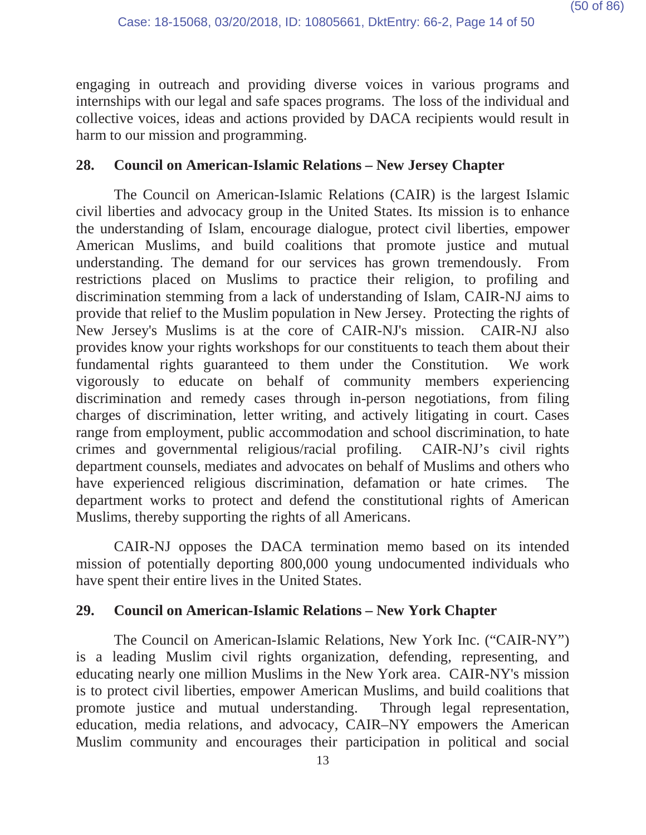engaging in outreach and providing diverse voices in various programs and internships with our legal and safe spaces programs. The loss of the individual and collective voices, ideas and actions provided by DACA recipients would result in harm to our mission and programming.

### **28. Council on American-Islamic Relations – New Jersey Chapter**

The Council on American-Islamic Relations (CAIR) is the largest Islamic civil liberties and advocacy group in the United States. Its mission is to enhance the understanding of Islam, encourage dialogue, protect civil liberties, empower American Muslims, and build coalitions that promote justice and mutual understanding. The demand for our services has grown tremendously. From restrictions placed on Muslims to practice their religion, to profiling and discrimination stemming from a lack of understanding of Islam, CAIR-NJ aims to provide that relief to the Muslim population in New Jersey. Protecting the rights of New Jersey's Muslims is at the core of CAIR-NJ's mission. CAIR-NJ also provides know your rights workshops for our constituents to teach them about their fundamental rights guaranteed to them under the Constitution. We work vigorously to educate on behalf of community members experiencing discrimination and remedy cases through in-person negotiations, from filing charges of discrimination, letter writing, and actively litigating in court. Cases range from employment, public accommodation and school discrimination, to hate crimes and governmental religious/racial profiling. CAIR-NJ's civil rights department counsels, mediates and advocates on behalf of Muslims and others who have experienced religious discrimination, defamation or hate crimes. The department works to protect and defend the constitutional rights of American Muslims, thereby supporting the rights of all Americans.

CAIR-NJ opposes the DACA termination memo based on its intended mission of potentially deporting 800,000 young undocumented individuals who have spent their entire lives in the United States.

### **29. Council on American-Islamic Relations – New York Chapter**

The Council on American-Islamic Relations, New York Inc. ("CAIR-NY") is a leading Muslim civil rights organization, defending, representing, and educating nearly one million Muslims in the New York area. CAIR-NY's mission is to protect civil liberties, empower American Muslims, and build coalitions that promote justice and mutual understanding. Through legal representation, education, media relations, and advocacy, CAIR–NY empowers the American Muslim community and encourages their participation in political and social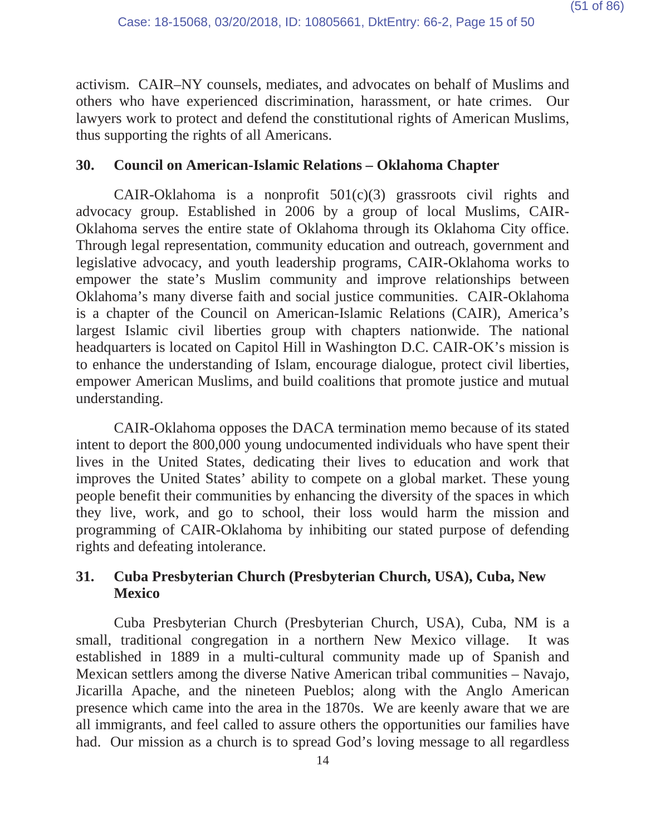activism. CAIR–NY counsels, mediates, and advocates on behalf of Muslims and others who have experienced discrimination, harassment, or hate crimes. Our lawyers work to protect and defend the constitutional rights of American Muslims, thus supporting the rights of all Americans.

## **30. Council on American-Islamic Relations – Oklahoma Chapter**

CAIR-Oklahoma is a nonprofit  $501(c)(3)$  grassroots civil rights and advocacy group. Established in 2006 by a group of local Muslims, CAIR-Oklahoma serves the entire state of Oklahoma through its Oklahoma City office. Through legal representation, community education and outreach, government and legislative advocacy, and youth leadership programs, CAIR-Oklahoma works to empower the state's Muslim community and improve relationships between Oklahoma's many diverse faith and social justice communities. CAIR-Oklahoma is a chapter of the Council on American-Islamic Relations (CAIR), America's largest Islamic civil liberties group with chapters nationwide. The national headquarters is located on Capitol Hill in Washington D.C. CAIR-OK's mission is to enhance the understanding of Islam, encourage dialogue, protect civil liberties, empower American Muslims, and build coalitions that promote justice and mutual understanding.

CAIR-Oklahoma opposes the DACA termination memo because of its stated intent to deport the 800,000 young undocumented individuals who have spent their lives in the United States, dedicating their lives to education and work that improves the United States' ability to compete on a global market. These young people benefit their communities by enhancing the diversity of the spaces in which they live, work, and go to school, their loss would harm the mission and programming of CAIR-Oklahoma by inhibiting our stated purpose of defending rights and defeating intolerance.

# **31. Cuba Presbyterian Church (Presbyterian Church, USA), Cuba, New Mexico**

Cuba Presbyterian Church (Presbyterian Church, USA), Cuba, NM is a small, traditional congregation in a northern New Mexico village. It was established in 1889 in a multi-cultural community made up of Spanish and Mexican settlers among the diverse Native American tribal communities – Navajo, Jicarilla Apache, and the nineteen Pueblos; along with the Anglo American presence which came into the area in the 1870s. We are keenly aware that we are all immigrants, and feel called to assure others the opportunities our families have had. Our mission as a church is to spread God's loving message to all regardless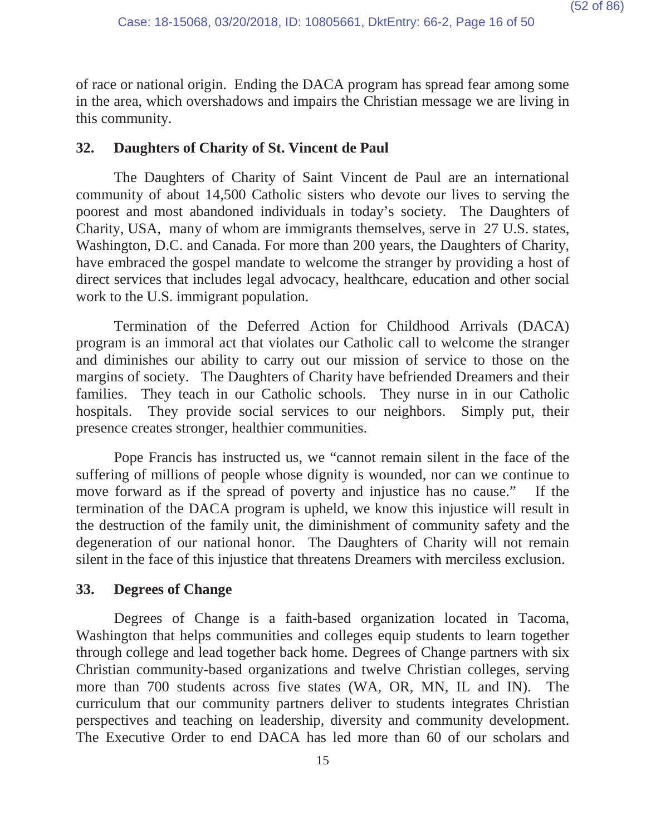of race or national origin. Ending the DACA program has spread fear among some in the area, which overshadows and impairs the Christian message we are living in this community.

## **32. Daughters of Charity of St. Vincent de Paul**

The Daughters of Charity of Saint Vincent de Paul are an international community of about 14,500 Catholic sisters who devote our lives to serving the poorest and most abandoned individuals in today's society. The Daughters of Charity, USA, many of whom are immigrants themselves, serve in 27 U.S. states, Washington, D.C. and Canada. For more than 200 years, the Daughters of Charity, have embraced the gospel mandate to welcome the stranger by providing a host of direct services that includes legal advocacy, healthcare, education and other social work to the U.S. immigrant population.

Termination of the Deferred Action for Childhood Arrivals (DACA) program is an immoral act that violates our Catholic call to welcome the stranger and diminishes our ability to carry out our mission of service to those on the margins of society. The Daughters of Charity have befriended Dreamers and their families. They teach in our Catholic schools. They nurse in in our Catholic hospitals. They provide social services to our neighbors. Simply put, their presence creates stronger, healthier communities.

Pope Francis has instructed us, we "cannot remain silent in the face of the suffering of millions of people whose dignity is wounded, nor can we continue to move forward as if the spread of poverty and injustice has no cause." If the termination of the DACA program is upheld, we know this injustice will result in the destruction of the family unit, the diminishment of community safety and the degeneration of our national honor. The Daughters of Charity will not remain silent in the face of this injustice that threatens Dreamers with merciless exclusion.

# **33. Degrees of Change**

Degrees of Change is a faith-based organization located in Tacoma, Washington that helps communities and colleges equip students to learn together through college and lead together back home. Degrees of Change partners with six Christian community-based organizations and twelve Christian colleges, serving more than 700 students across five states (WA, OR, MN, IL and IN). The curriculum that our community partners deliver to students integrates Christian perspectives and teaching on leadership, diversity and community development. The Executive Order to end DACA has led more than 60 of our scholars and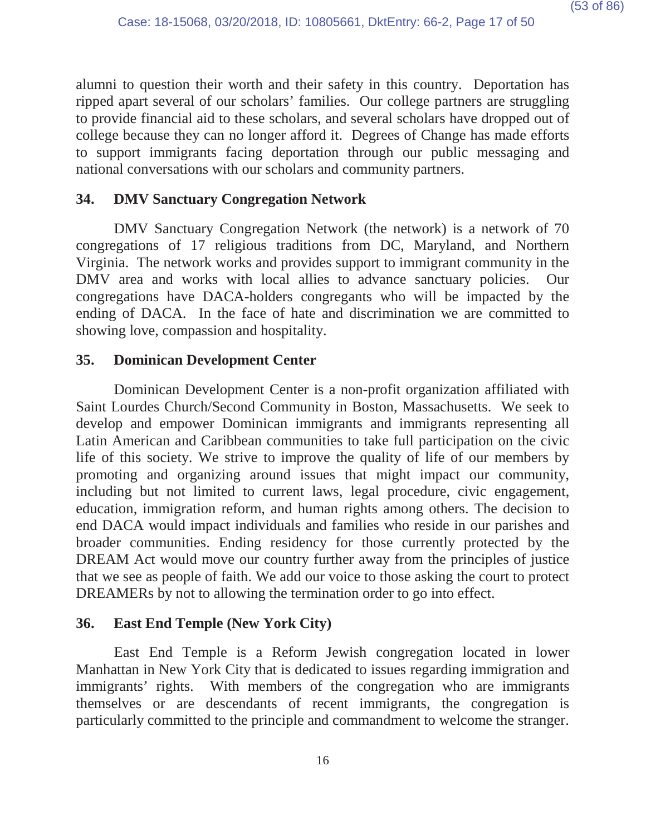alumni to question their worth and their safety in this country. Deportation has ripped apart several of our scholars' families. Our college partners are struggling to provide financial aid to these scholars, and several scholars have dropped out of college because they can no longer afford it. Degrees of Change has made efforts to support immigrants facing deportation through our public messaging and national conversations with our scholars and community partners.

## **34. DMV Sanctuary Congregation Network**

DMV Sanctuary Congregation Network (the network) is a network of 70 congregations of 17 religious traditions from DC, Maryland, and Northern Virginia. The network works and provides support to immigrant community in the DMV area and works with local allies to advance sanctuary policies. Our congregations have DACA-holders congregants who will be impacted by the ending of DACA. In the face of hate and discrimination we are committed to showing love, compassion and hospitality.

### **35. Dominican Development Center**

Dominican Development Center is a non-profit organization affiliated with Saint Lourdes Church/Second Community in Boston, Massachusetts. We seek to develop and empower Dominican immigrants and immigrants representing all Latin American and Caribbean communities to take full participation on the civic life of this society. We strive to improve the quality of life of our members by promoting and organizing around issues that might impact our community, including but not limited to current laws, legal procedure, civic engagement, education, immigration reform, and human rights among others. The decision to end DACA would impact individuals and families who reside in our parishes and broader communities. Ending residency for those currently protected by the DREAM Act would move our country further away from the principles of justice that we see as people of faith. We add our voice to those asking the court to protect DREAMERs by not to allowing the termination order to go into effect.

### **36. East End Temple (New York City)**

East End Temple is a Reform Jewish congregation located in lower Manhattan in New York City that is dedicated to issues regarding immigration and immigrants' rights. With members of the congregation who are immigrants themselves or are descendants of recent immigrants, the congregation is particularly committed to the principle and commandment to welcome the stranger.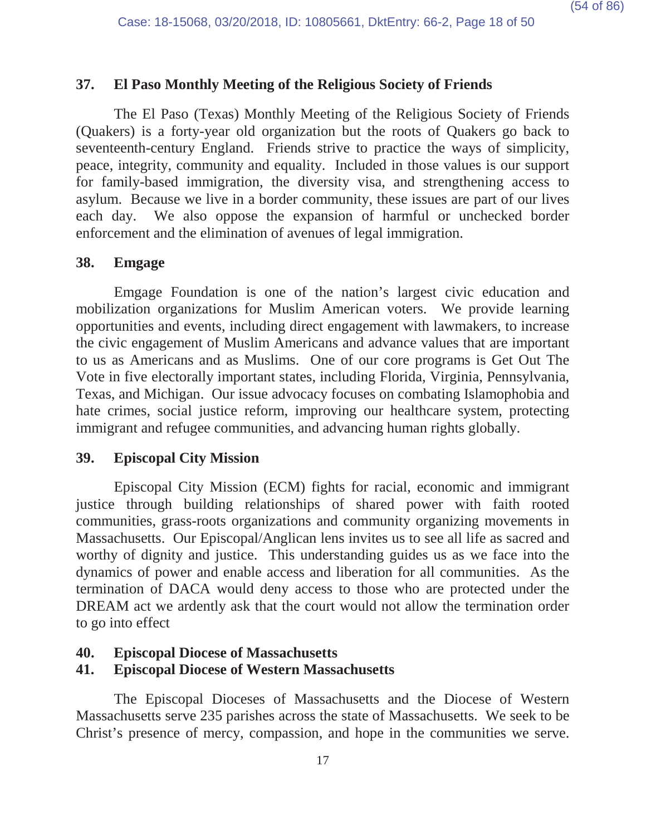# **37. El Paso Monthly Meeting of the Religious Society of Friends**

The El Paso (Texas) Monthly Meeting of the Religious Society of Friends (Quakers) is a forty-year old organization but the roots of Quakers go back to seventeenth-century England. Friends strive to practice the ways of simplicity, peace, integrity, community and equality. Included in those values is our support for family-based immigration, the diversity visa, and strengthening access to asylum. Because we live in a border community, these issues are part of our lives each day. We also oppose the expansion of harmful or unchecked border enforcement and the elimination of avenues of legal immigration.

#### **38. Emgage**

Emgage Foundation is one of the nation's largest civic education and mobilization organizations for Muslim American voters. We provide learning opportunities and events, including direct engagement with lawmakers, to increase the civic engagement of Muslim Americans and advance values that are important to us as Americans and as Muslims. One of our core programs is Get Out The Vote in five electorally important states, including Florida, Virginia, Pennsylvania, Texas, and Michigan. Our issue advocacy focuses on combating Islamophobia and hate crimes, social justice reform, improving our healthcare system, protecting immigrant and refugee communities, and advancing human rights globally.

### **39. Episcopal City Mission**

Episcopal City Mission (ECM) fights for racial, economic and immigrant justice through building relationships of shared power with faith rooted communities, grass-roots organizations and community organizing movements in Massachusetts. Our Episcopal/Anglican lens invites us to see all life as sacred and worthy of dignity and justice. This understanding guides us as we face into the dynamics of power and enable access and liberation for all communities. As the termination of DACA would deny access to those who are protected under the DREAM act we ardently ask that the court would not allow the termination order to go into effect

#### **40. Episcopal Diocese of Massachusetts**

### **41. Episcopal Diocese of Western Massachusetts**

The Episcopal Dioceses of Massachusetts and the Diocese of Western Massachusetts serve 235 parishes across the state of Massachusetts. We seek to be Christ's presence of mercy, compassion, and hope in the communities we serve.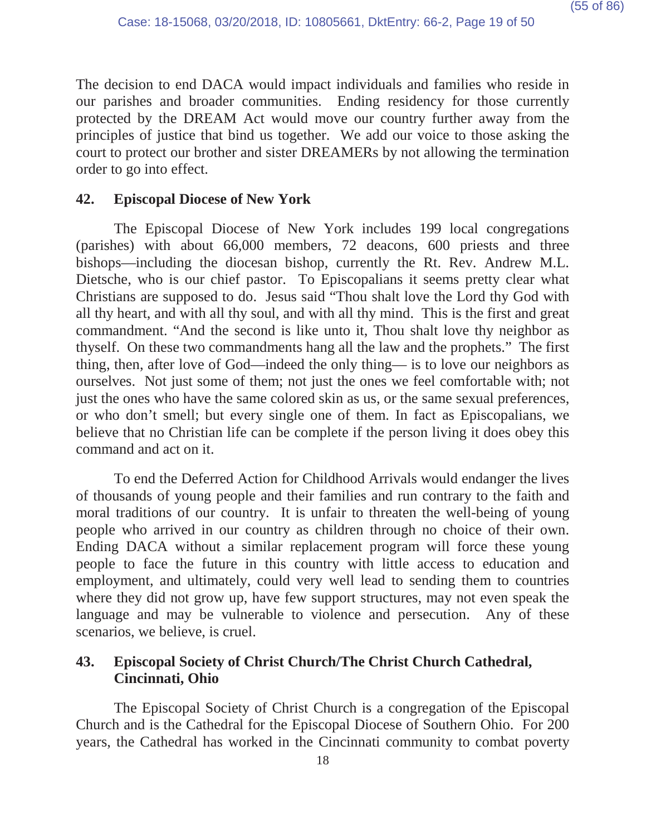The decision to end DACA would impact individuals and families who reside in our parishes and broader communities. Ending residency for those currently protected by the DREAM Act would move our country further away from the principles of justice that bind us together. We add our voice to those asking the court to protect our brother and sister DREAMERs by not allowing the termination order to go into effect.

# **42. Episcopal Diocese of New York**

The Episcopal Diocese of New York includes 199 local congregations (parishes) with about 66,000 members, 72 deacons, 600 priests and three bishops—including the diocesan bishop, currently the Rt. Rev. Andrew M.L. Dietsche, who is our chief pastor. To Episcopalians it seems pretty clear what Christians are supposed to do. Jesus said "Thou shalt love the Lord thy God with all thy heart, and with all thy soul, and with all thy mind. This is the first and great commandment. "And the second is like unto it, Thou shalt love thy neighbor as thyself. On these two commandments hang all the law and the prophets." The first thing, then, after love of God—indeed the only thing— is to love our neighbors as ourselves. Not just some of them; not just the ones we feel comfortable with; not just the ones who have the same colored skin as us, or the same sexual preferences, or who don't smell; but every single one of them. In fact as Episcopalians, we believe that no Christian life can be complete if the person living it does obey this command and act on it.

To end the Deferred Action for Childhood Arrivals would endanger the lives of thousands of young people and their families and run contrary to the faith and moral traditions of our country. It is unfair to threaten the well-being of young people who arrived in our country as children through no choice of their own. Ending DACA without a similar replacement program will force these young people to face the future in this country with little access to education and employment, and ultimately, could very well lead to sending them to countries where they did not grow up, have few support structures, may not even speak the language and may be vulnerable to violence and persecution. Any of these scenarios, we believe, is cruel.

# **43. Episcopal Society of Christ Church/The Christ Church Cathedral, Cincinnati, Ohio**

The Episcopal Society of Christ Church is a congregation of the Episcopal Church and is the Cathedral for the Episcopal Diocese of Southern Ohio. For 200 years, the Cathedral has worked in the Cincinnati community to combat poverty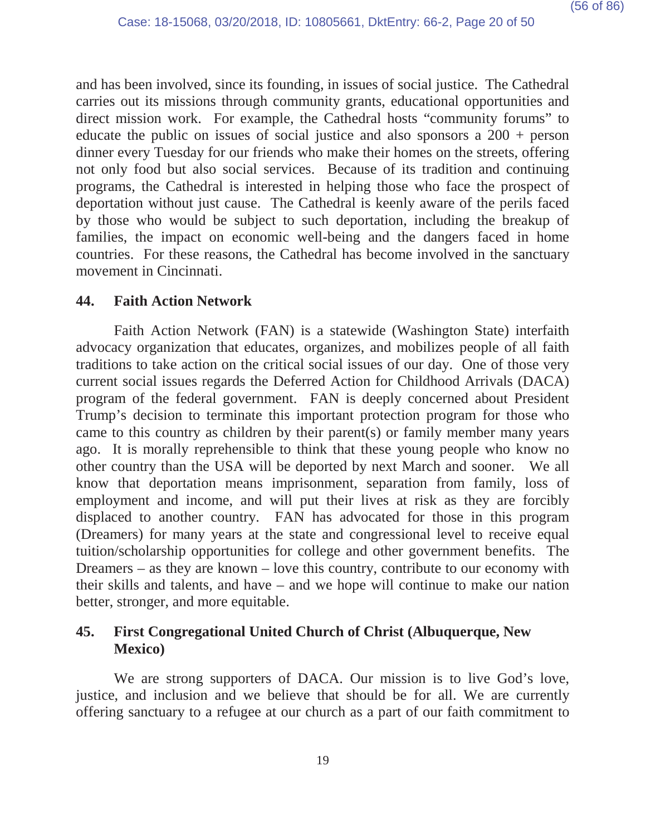and has been involved, since its founding, in issues of social justice. The Cathedral carries out its missions through community grants, educational opportunities and direct mission work. For example, the Cathedral hosts "community forums" to educate the public on issues of social justice and also sponsors a 200 + person dinner every Tuesday for our friends who make their homes on the streets, offering not only food but also social services. Because of its tradition and continuing programs, the Cathedral is interested in helping those who face the prospect of deportation without just cause. The Cathedral is keenly aware of the perils faced by those who would be subject to such deportation, including the breakup of families, the impact on economic well-being and the dangers faced in home countries. For these reasons, the Cathedral has become involved in the sanctuary movement in Cincinnati.

### **44. Faith Action Network**

Faith Action Network (FAN) is a statewide (Washington State) interfaith advocacy organization that educates, organizes, and mobilizes people of all faith traditions to take action on the critical social issues of our day. One of those very current social issues regards the Deferred Action for Childhood Arrivals (DACA) program of the federal government. FAN is deeply concerned about President Trump's decision to terminate this important protection program for those who came to this country as children by their parent(s) or family member many years ago. It is morally reprehensible to think that these young people who know no other country than the USA will be deported by next March and sooner. We all know that deportation means imprisonment, separation from family, loss of employment and income, and will put their lives at risk as they are forcibly displaced to another country. FAN has advocated for those in this program (Dreamers) for many years at the state and congressional level to receive equal tuition/scholarship opportunities for college and other government benefits. The Dreamers – as they are known – love this country, contribute to our economy with their skills and talents, and have – and we hope will continue to make our nation better, stronger, and more equitable.

# **45. First Congregational United Church of Christ (Albuquerque, New Mexico)**

We are strong supporters of DACA. Our mission is to live God's love, justice, and inclusion and we believe that should be for all. We are currently offering sanctuary to a refugee at our church as a part of our faith commitment to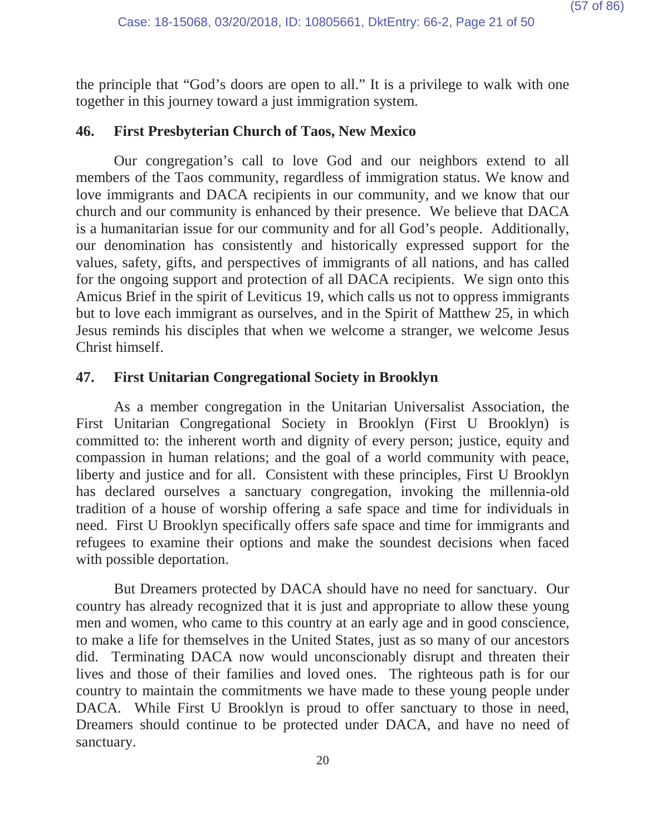the principle that "God's doors are open to all." It is a privilege to walk with one together in this journey toward a just immigration system.

#### **46. First Presbyterian Church of Taos, New Mexico**

Our congregation's call to love God and our neighbors extend to all members of the Taos community, regardless of immigration status. We know and love immigrants and DACA recipients in our community, and we know that our church and our community is enhanced by their presence. We believe that DACA is a humanitarian issue for our community and for all God's people. Additionally, our denomination has consistently and historically expressed support for the values, safety, gifts, and perspectives of immigrants of all nations, and has called for the ongoing support and protection of all DACA recipients. We sign onto this Amicus Brief in the spirit of Leviticus 19, which calls us not to oppress immigrants but to love each immigrant as ourselves, and in the Spirit of Matthew 25, in which Jesus reminds his disciples that when we welcome a stranger, we welcome Jesus Christ himself.

#### **47. First Unitarian Congregational Society in Brooklyn**

As a member congregation in the Unitarian Universalist Association, the First Unitarian Congregational Society in Brooklyn (First U Brooklyn) is committed to: the inherent worth and dignity of every person; justice, equity and compassion in human relations; and the goal of a world community with peace, liberty and justice and for all. Consistent with these principles, First U Brooklyn has declared ourselves a sanctuary congregation, invoking the millennia-old tradition of a house of worship offering a safe space and time for individuals in need. First U Brooklyn specifically offers safe space and time for immigrants and refugees to examine their options and make the soundest decisions when faced with possible deportation.

But Dreamers protected by DACA should have no need for sanctuary. Our country has already recognized that it is just and appropriate to allow these young men and women, who came to this country at an early age and in good conscience, to make a life for themselves in the United States, just as so many of our ancestors did. Terminating DACA now would unconscionably disrupt and threaten their lives and those of their families and loved ones. The righteous path is for our country to maintain the commitments we have made to these young people under DACA. While First U Brooklyn is proud to offer sanctuary to those in need, Dreamers should continue to be protected under DACA, and have no need of sanctuary.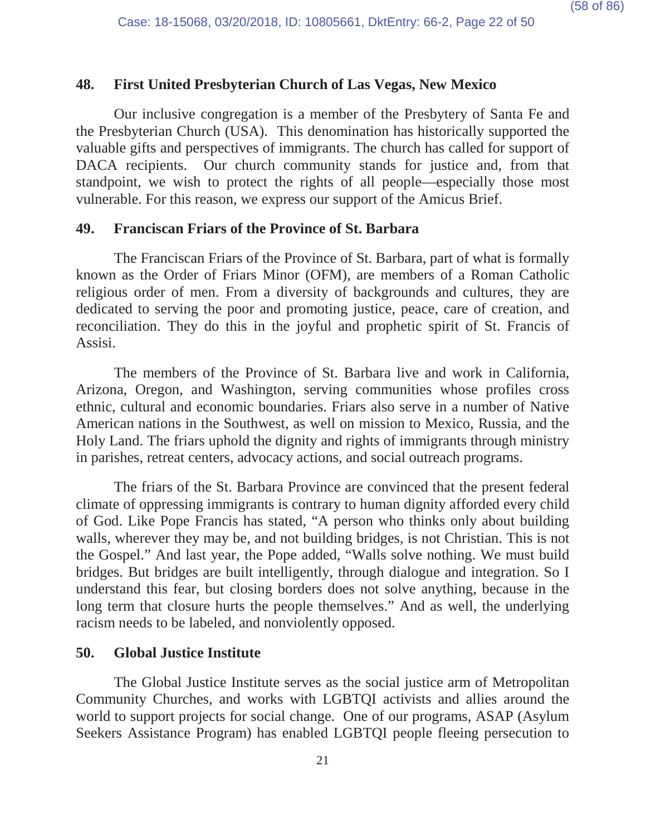## **48. First United Presbyterian Church of Las Vegas, New Mexico**

Our inclusive congregation is a member of the Presbytery of Santa Fe and the Presbyterian Church (USA). This denomination has historically supported the valuable gifts and perspectives of immigrants. The church has called for support of DACA recipients. Our church community stands for justice and, from that standpoint, we wish to protect the rights of all people—especially those most vulnerable. For this reason, we express our support of the Amicus Brief.

#### **49. Franciscan Friars of the Province of St. Barbara**

The Franciscan Friars of the Province of St. Barbara, part of what is formally known as the Order of Friars Minor (OFM), are members of a Roman Catholic religious order of men. From a diversity of backgrounds and cultures, they are dedicated to serving the poor and promoting justice, peace, care of creation, and reconciliation. They do this in the joyful and prophetic spirit of St. Francis of Assisi.

The members of the Province of St. Barbara live and work in California, Arizona, Oregon, and Washington, serving communities whose profiles cross ethnic, cultural and economic boundaries. Friars also serve in a number of Native American nations in the Southwest, as well on mission to Mexico, Russia, and the Holy Land. The friars uphold the dignity and rights of immigrants through ministry in parishes, retreat centers, advocacy actions, and social outreach programs.

The friars of the St. Barbara Province are convinced that the present federal climate of oppressing immigrants is contrary to human dignity afforded every child of God. Like Pope Francis has stated, "A person who thinks only about building walls, wherever they may be, and not building bridges, is not Christian. This is not the Gospel." And last year, the Pope added, "Walls solve nothing. We must build bridges. But bridges are built intelligently, through dialogue and integration. So I understand this fear, but closing borders does not solve anything, because in the long term that closure hurts the people themselves." And as well, the underlying racism needs to be labeled, and nonviolently opposed.

#### **50. Global Justice Institute**

The Global Justice Institute serves as the social justice arm of Metropolitan Community Churches, and works with LGBTQI activists and allies around the world to support projects for social change. One of our programs, ASAP (Asylum Seekers Assistance Program) has enabled LGBTQI people fleeing persecution to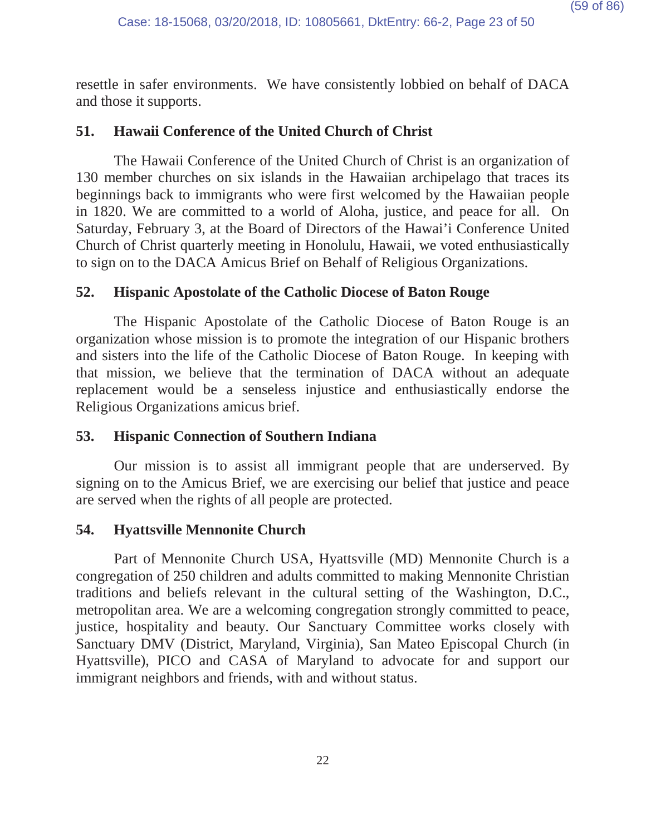resettle in safer environments. We have consistently lobbied on behalf of DACA and those it supports.

## **51. Hawaii Conference of the United Church of Christ**

The Hawaii Conference of the United Church of Christ is an organization of 130 member churches on six islands in the Hawaiian archipelago that traces its beginnings back to immigrants who were first welcomed by the Hawaiian people in 1820. We are committed to a world of Aloha, justice, and peace for all. On Saturday, February 3, at the Board of Directors of the Hawai'i Conference United Church of Christ quarterly meeting in Honolulu, Hawaii, we voted enthusiastically to sign on to the DACA Amicus Brief on Behalf of Religious Organizations.

## **52. Hispanic Apostolate of the Catholic Diocese of Baton Rouge**

The Hispanic Apostolate of the Catholic Diocese of Baton Rouge is an organization whose mission is to promote the integration of our Hispanic brothers and sisters into the life of the Catholic Diocese of Baton Rouge. In keeping with that mission, we believe that the termination of DACA without an adequate replacement would be a senseless injustice and enthusiastically endorse the Religious Organizations amicus brief.

### **53. Hispanic Connection of Southern Indiana**

Our mission is to assist all immigrant people that are underserved. By signing on to the Amicus Brief, we are exercising our belief that justice and peace are served when the rights of all people are protected.

# **54. Hyattsville Mennonite Church**

Part of Mennonite Church USA, Hyattsville (MD) Mennonite Church is a congregation of 250 children and adults committed to making Mennonite Christian traditions and beliefs relevant in the cultural setting of the Washington, D.C., metropolitan area. We are a welcoming congregation strongly committed to peace, justice, hospitality and beauty. Our Sanctuary Committee works closely with Sanctuary DMV (District, Maryland, Virginia), San Mateo Episcopal Church (in Hyattsville), PICO and CASA of Maryland to advocate for and support our immigrant neighbors and friends, with and without status.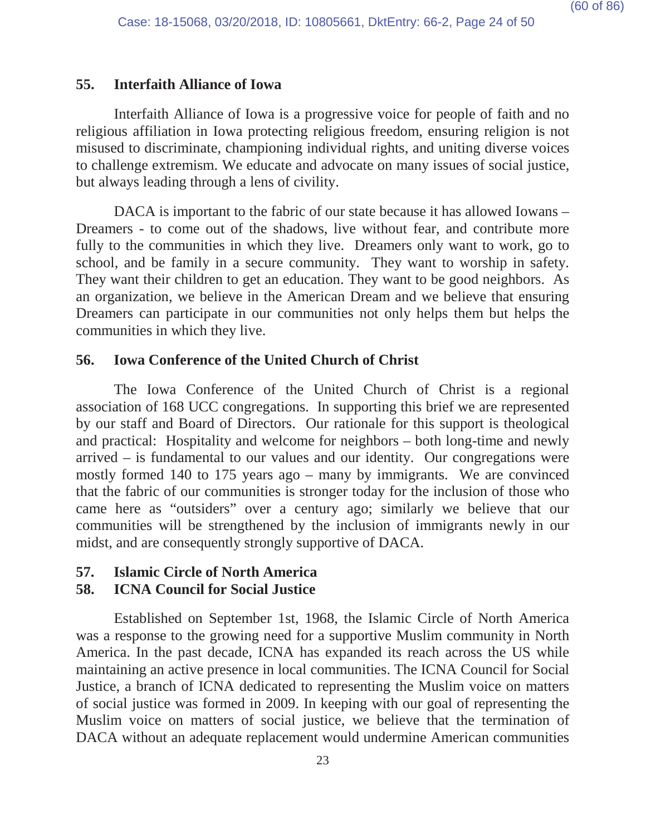#### **55. Interfaith Alliance of Iowa**

Interfaith Alliance of Iowa is a progressive voice for people of faith and no religious affiliation in Iowa protecting religious freedom, ensuring religion is not misused to discriminate, championing individual rights, and uniting diverse voices to challenge extremism. We educate and advocate on many issues of social justice, but always leading through a lens of civility.

DACA is important to the fabric of our state because it has allowed Iowans – Dreamers - to come out of the shadows, live without fear, and contribute more fully to the communities in which they live. Dreamers only want to work, go to school, and be family in a secure community. They want to worship in safety. They want their children to get an education. They want to be good neighbors. As an organization, we believe in the American Dream and we believe that ensuring Dreamers can participate in our communities not only helps them but helps the communities in which they live.

### **56. Iowa Conference of the United Church of Christ**

The Iowa Conference of the United Church of Christ is a regional association of 168 UCC congregations. In supporting this brief we are represented by our staff and Board of Directors. Our rationale for this support is theological and practical: Hospitality and welcome for neighbors – both long-time and newly arrived – is fundamental to our values and our identity. Our congregations were mostly formed 140 to 175 years ago – many by immigrants. We are convinced that the fabric of our communities is stronger today for the inclusion of those who came here as "outsiders" over a century ago; similarly we believe that our communities will be strengthened by the inclusion of immigrants newly in our midst, and are consequently strongly supportive of DACA.

### **57. Islamic Circle of North America**

### **58. ICNA Council for Social Justice**

Established on September 1st, 1968, the Islamic Circle of North America was a response to the growing need for a supportive Muslim community in North America. In the past decade, ICNA has expanded its reach across the US while maintaining an active presence in local communities. The ICNA Council for Social Justice, a branch of ICNA dedicated to representing the Muslim voice on matters of social justice was formed in 2009. In keeping with our goal of representing the Muslim voice on matters of social justice, we believe that the termination of DACA without an adequate replacement would undermine American communities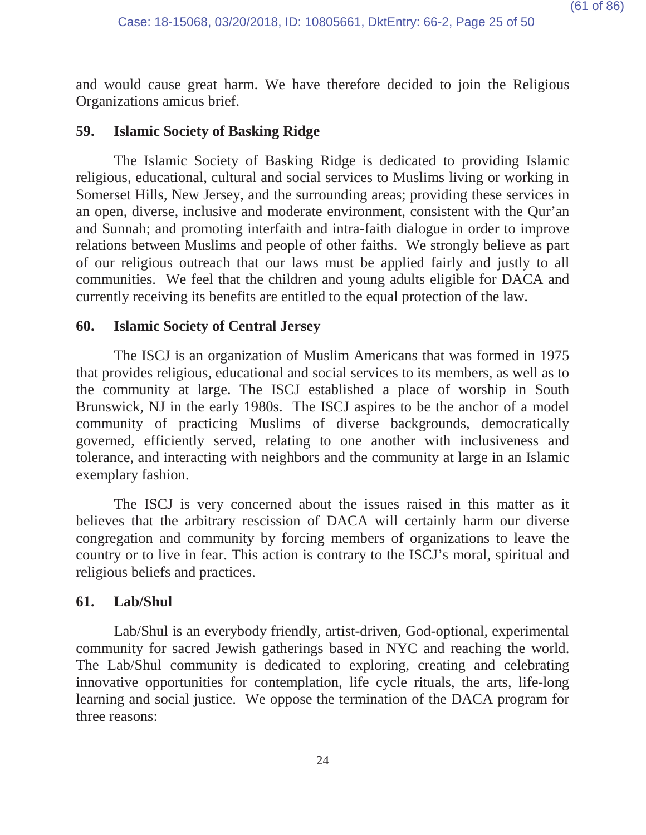and would cause great harm. We have therefore decided to join the Religious Organizations amicus brief.

#### **59. Islamic Society of Basking Ridge**

The Islamic Society of Basking Ridge is dedicated to providing Islamic religious, educational, cultural and social services to Muslims living or working in Somerset Hills, New Jersey, and the surrounding areas; providing these services in an open, diverse, inclusive and moderate environment, consistent with the Qur'an and Sunnah; and promoting interfaith and intra-faith dialogue in order to improve relations between Muslims and people of other faiths. We strongly believe as part of our religious outreach that our laws must be applied fairly and justly to all communities. We feel that the children and young adults eligible for DACA and currently receiving its benefits are entitled to the equal protection of the law.

#### **60. Islamic Society of Central Jersey**

The ISCJ is an organization of Muslim Americans that was formed in 1975 that provides religious, educational and social services to its members, as well as to the community at large. The ISCJ established a place of worship in South Brunswick, NJ in the early 1980s. The ISCJ aspires to be the anchor of a model community of practicing Muslims of diverse backgrounds, democratically governed, efficiently served, relating to one another with inclusiveness and tolerance, and interacting with neighbors and the community at large in an Islamic exemplary fashion.

The ISCJ is very concerned about the issues raised in this matter as it believes that the arbitrary rescission of DACA will certainly harm our diverse congregation and community by forcing members of organizations to leave the country or to live in fear. This action is contrary to the ISCJ's moral, spiritual and religious beliefs and practices.

#### **61. Lab/Shul**

Lab/Shul is an everybody friendly, artist-driven, God-optional, experimental community for sacred Jewish gatherings based in NYC and reaching the world. The Lab/Shul community is dedicated to exploring, creating and celebrating innovative opportunities for contemplation, life cycle rituals, the arts, life-long learning and social justice. We oppose the termination of the DACA program for three reasons: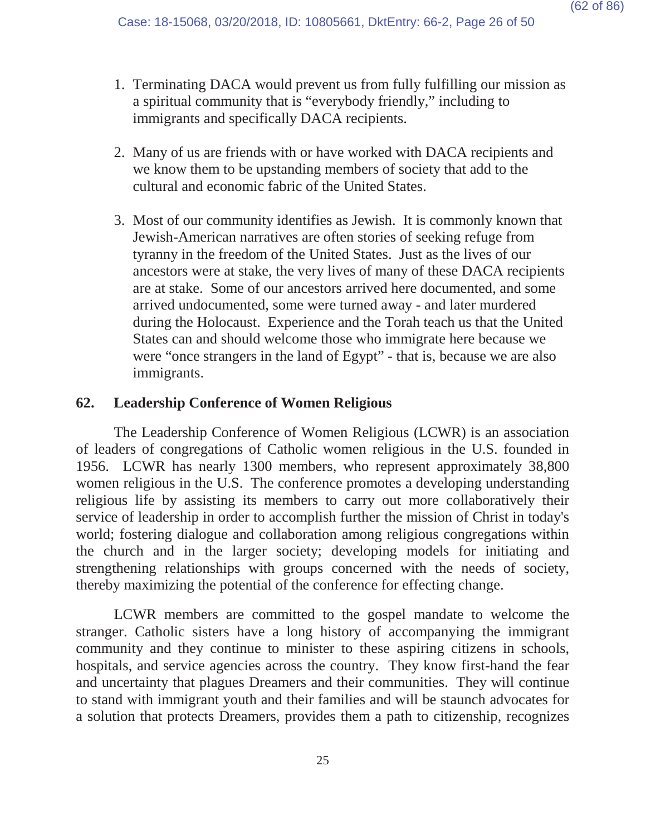- 1. Terminating DACA would prevent us from fully fulfilling our mission as a spiritual community that is "everybody friendly," including to immigrants and specifically DACA recipients.
- 2. Many of us are friends with or have worked with DACA recipients and we know them to be upstanding members of society that add to the cultural and economic fabric of the United States.
- 3. Most of our community identifies as Jewish. It is commonly known that Jewish-American narratives are often stories of seeking refuge from tyranny in the freedom of the United States. Just as the lives of our ancestors were at stake, the very lives of many of these DACA recipients are at stake. Some of our ancestors arrived here documented, and some arrived undocumented, some were turned away - and later murdered during the Holocaust. Experience and the Torah teach us that the United States can and should welcome those who immigrate here because we were "once strangers in the land of Egypt" - that is, because we are also immigrants.

## **62. Leadership Conference of Women Religious**

The Leadership Conference of Women Religious (LCWR) is an association of leaders of congregations of Catholic women religious in the U.S. founded in 1956. LCWR has nearly 1300 members, who represent approximately 38,800 women religious in the U.S. The conference promotes a developing understanding religious life by assisting its members to carry out more collaboratively their service of leadership in order to accomplish further the mission of Christ in today's world; fostering dialogue and collaboration among religious congregations within the church and in the larger society; developing models for initiating and strengthening relationships with groups concerned with the needs of society, thereby maximizing the potential of the conference for effecting change.

LCWR members are committed to the gospel mandate to welcome the stranger. Catholic sisters have a long history of accompanying the immigrant community and they continue to minister to these aspiring citizens in schools, hospitals, and service agencies across the country. They know first-hand the fear and uncertainty that plagues Dreamers and their communities. They will continue to stand with immigrant youth and their families and will be staunch advocates for a solution that protects Dreamers, provides them a path to citizenship, recognizes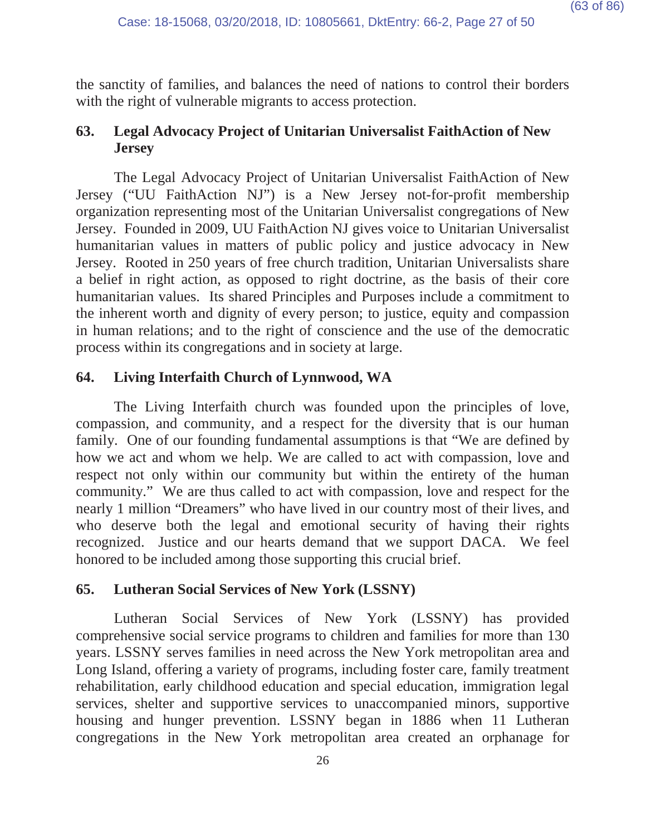the sanctity of families, and balances the need of nations to control their borders with the right of vulnerable migrants to access protection.

# **63. Legal Advocacy Project of Unitarian Universalist FaithAction of New Jersey**

The Legal Advocacy Project of Unitarian Universalist FaithAction of New Jersey ("UU FaithAction NJ") is a New Jersey not-for-profit membership organization representing most of the Unitarian Universalist congregations of New Jersey. Founded in 2009, UU FaithAction NJ gives voice to Unitarian Universalist humanitarian values in matters of public policy and justice advocacy in New Jersey. Rooted in 250 years of free church tradition, Unitarian Universalists share a belief in right action, as opposed to right doctrine, as the basis of their core humanitarian values. Its shared Principles and Purposes include a commitment to the inherent worth and dignity of every person; to justice, equity and compassion in human relations; and to the right of conscience and the use of the democratic process within its congregations and in society at large.

# **64. Living Interfaith Church of Lynnwood, WA**

The Living Interfaith church was founded upon the principles of love, compassion, and community, and a respect for the diversity that is our human family. One of our founding fundamental assumptions is that "We are defined by how we act and whom we help. We are called to act with compassion, love and respect not only within our community but within the entirety of the human community." We are thus called to act with compassion, love and respect for the nearly 1 million "Dreamers" who have lived in our country most of their lives, and who deserve both the legal and emotional security of having their rights recognized. Justice and our hearts demand that we support DACA. We feel honored to be included among those supporting this crucial brief.

# **65. Lutheran Social Services of New York (LSSNY)**

Lutheran Social Services of New York (LSSNY) has provided comprehensive social service programs to children and families for more than 130 years. LSSNY serves families in need across the New York metropolitan area and Long Island, offering a variety of programs, including foster care, family treatment rehabilitation, early childhood education and special education, immigration legal services, shelter and supportive services to unaccompanied minors, supportive housing and hunger prevention. LSSNY began in 1886 when 11 Lutheran congregations in the New York metropolitan area created an orphanage for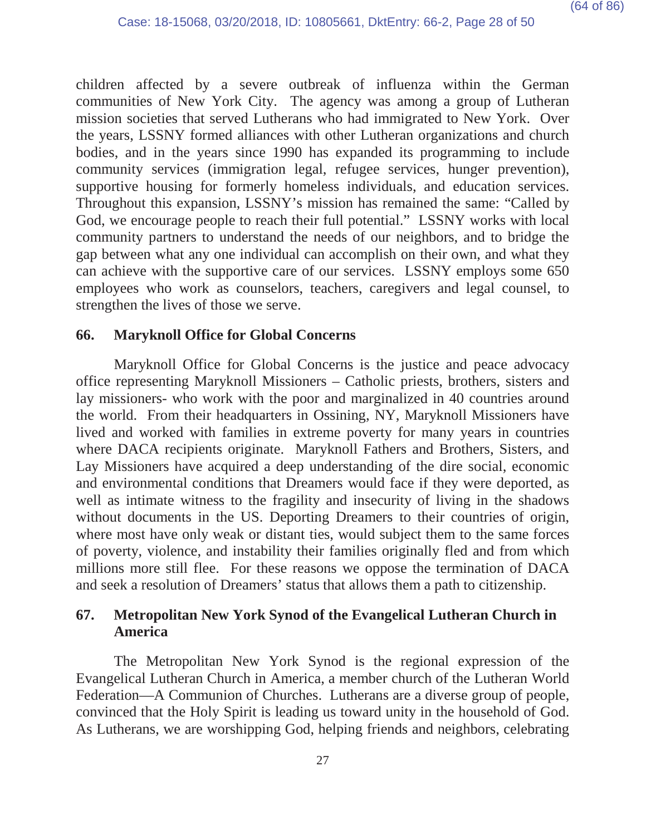children affected by a severe outbreak of influenza within the German communities of New York City. The agency was among a group of Lutheran mission societies that served Lutherans who had immigrated to New York. Over the years, LSSNY formed alliances with other Lutheran organizations and church bodies, and in the years since 1990 has expanded its programming to include community services (immigration legal, refugee services, hunger prevention), supportive housing for formerly homeless individuals, and education services. Throughout this expansion, LSSNY's mission has remained the same: "Called by God, we encourage people to reach their full potential." LSSNY works with local community partners to understand the needs of our neighbors, and to bridge the gap between what any one individual can accomplish on their own, and what they can achieve with the supportive care of our services. LSSNY employs some 650 employees who work as counselors, teachers, caregivers and legal counsel, to strengthen the lives of those we serve.

## **66. Maryknoll Office for Global Concerns**

Maryknoll Office for Global Concerns is the justice and peace advocacy office representing Maryknoll Missioners – Catholic priests, brothers, sisters and lay missioners- who work with the poor and marginalized in 40 countries around the world. From their headquarters in Ossining, NY, Maryknoll Missioners have lived and worked with families in extreme poverty for many years in countries where DACA recipients originate. Maryknoll Fathers and Brothers, Sisters, and Lay Missioners have acquired a deep understanding of the dire social, economic and environmental conditions that Dreamers would face if they were deported, as well as intimate witness to the fragility and insecurity of living in the shadows without documents in the US. Deporting Dreamers to their countries of origin, where most have only weak or distant ties, would subject them to the same forces of poverty, violence, and instability their families originally fled and from which millions more still flee. For these reasons we oppose the termination of DACA and seek a resolution of Dreamers' status that allows them a path to citizenship.

# **67. Metropolitan New York Synod of the Evangelical Lutheran Church in America**

The Metropolitan New York Synod is the regional expression of the Evangelical Lutheran Church in America, a member church of the Lutheran World Federation—A Communion of Churches. Lutherans are a diverse group of people, convinced that the Holy Spirit is leading us toward unity in the household of God. As Lutherans, we are worshipping God, helping friends and neighbors, celebrating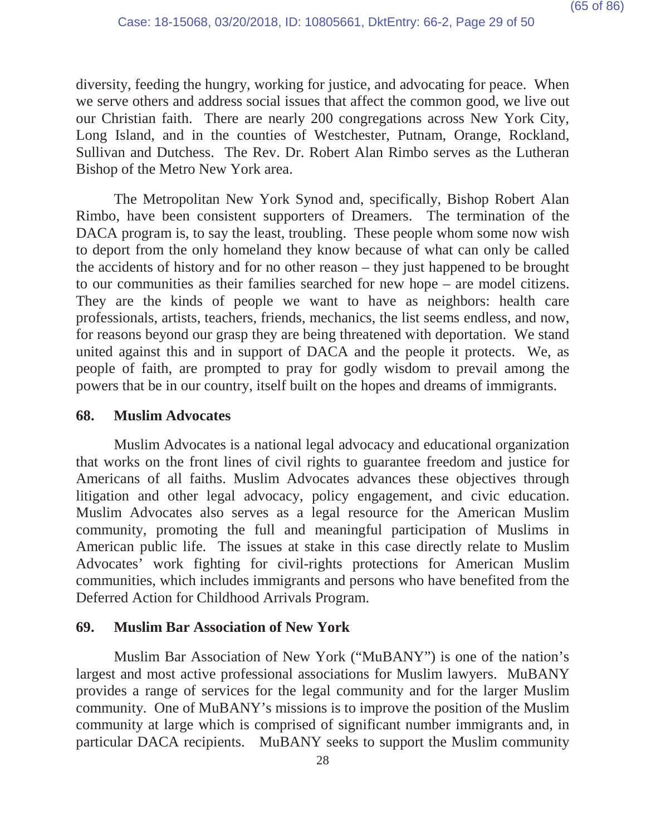diversity, feeding the hungry, working for justice, and advocating for peace. When we serve others and address social issues that affect the common good, we live out our Christian faith. There are nearly 200 congregations across New York City, Long Island, and in the counties of Westchester, Putnam, Orange, Rockland, Sullivan and Dutchess. The Rev. Dr. Robert Alan Rimbo serves as the Lutheran Bishop of the Metro New York area.

The Metropolitan New York Synod and, specifically, Bishop Robert Alan Rimbo, have been consistent supporters of Dreamers. The termination of the DACA program is, to say the least, troubling. These people whom some now wish to deport from the only homeland they know because of what can only be called the accidents of history and for no other reason – they just happened to be brought to our communities as their families searched for new hope – are model citizens. They are the kinds of people we want to have as neighbors: health care professionals, artists, teachers, friends, mechanics, the list seems endless, and now, for reasons beyond our grasp they are being threatened with deportation. We stand united against this and in support of DACA and the people it protects. We, as people of faith, are prompted to pray for godly wisdom to prevail among the powers that be in our country, itself built on the hopes and dreams of immigrants.

#### **68. Muslim Advocates**

Muslim Advocates is a national legal advocacy and educational organization that works on the front lines of civil rights to guarantee freedom and justice for Americans of all faiths. Muslim Advocates advances these objectives through litigation and other legal advocacy, policy engagement, and civic education. Muslim Advocates also serves as a legal resource for the American Muslim community, promoting the full and meaningful participation of Muslims in American public life. The issues at stake in this case directly relate to Muslim Advocates' work fighting for civil-rights protections for American Muslim communities, which includes immigrants and persons who have benefited from the Deferred Action for Childhood Arrivals Program.

### **69. Muslim Bar Association of New York**

Muslim Bar Association of New York ("MuBANY") is one of the nation's largest and most active professional associations for Muslim lawyers. MuBANY provides a range of services for the legal community and for the larger Muslim community. One of MuBANY's missions is to improve the position of the Muslim community at large which is comprised of significant number immigrants and, in particular DACA recipients. MuBANY seeks to support the Muslim community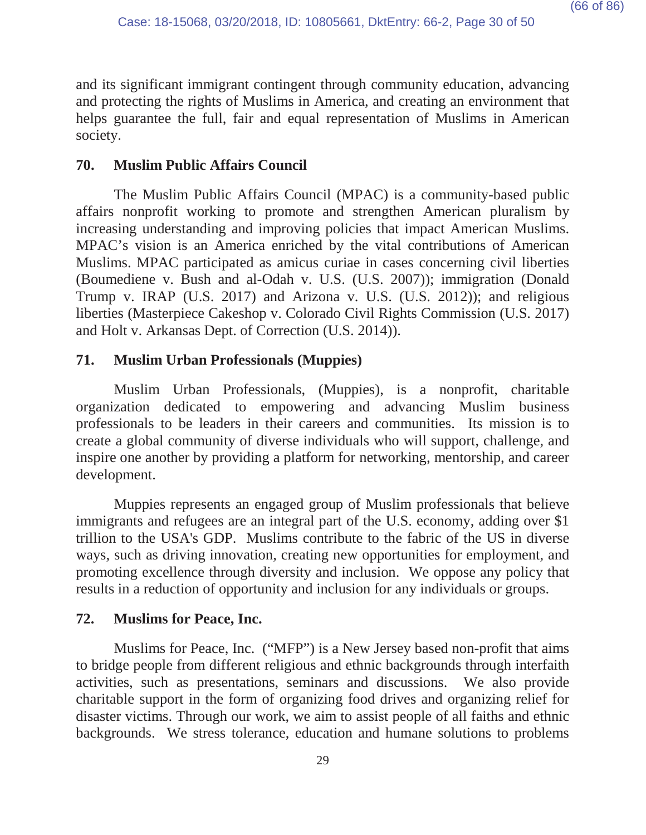and its significant immigrant contingent through community education, advancing and protecting the rights of Muslims in America, and creating an environment that helps guarantee the full, fair and equal representation of Muslims in American society.

# **70. Muslim Public Affairs Council**

The Muslim Public Affairs Council (MPAC) is a community-based public affairs nonprofit working to promote and strengthen American pluralism by increasing understanding and improving policies that impact American Muslims. MPAC's vision is an America enriched by the vital contributions of American Muslims. MPAC participated as amicus curiae in cases concerning civil liberties (Boumediene v. Bush and al-Odah v. U.S. (U.S. 2007)); immigration (Donald Trump v. IRAP (U.S. 2017) and Arizona v. U.S. (U.S. 2012)); and religious liberties (Masterpiece Cakeshop v. Colorado Civil Rights Commission (U.S. 2017) and Holt v. Arkansas Dept. of Correction (U.S. 2014)).

# **71. Muslim Urban Professionals (Muppies)**

Muslim Urban Professionals, (Muppies), is a nonprofit, charitable organization dedicated to empowering and advancing Muslim business professionals to be leaders in their careers and communities. Its mission is to create a global community of diverse individuals who will support, challenge, and inspire one another by providing a platform for networking, mentorship, and career development.

Muppies represents an engaged group of Muslim professionals that believe immigrants and refugees are an integral part of the U.S. economy, adding over \$1 trillion to the USA's GDP. Muslims contribute to the fabric of the US in diverse ways, such as driving innovation, creating new opportunities for employment, and promoting excellence through diversity and inclusion. We oppose any policy that results in a reduction of opportunity and inclusion for any individuals or groups.

# **72. Muslims for Peace, Inc.**

Muslims for Peace, Inc. ("MFP") is a New Jersey based non-profit that aims to bridge people from different religious and ethnic backgrounds through interfaith activities, such as presentations, seminars and discussions. We also provide charitable support in the form of organizing food drives and organizing relief for disaster victims. Through our work, we aim to assist people of all faiths and ethnic backgrounds. We stress tolerance, education and humane solutions to problems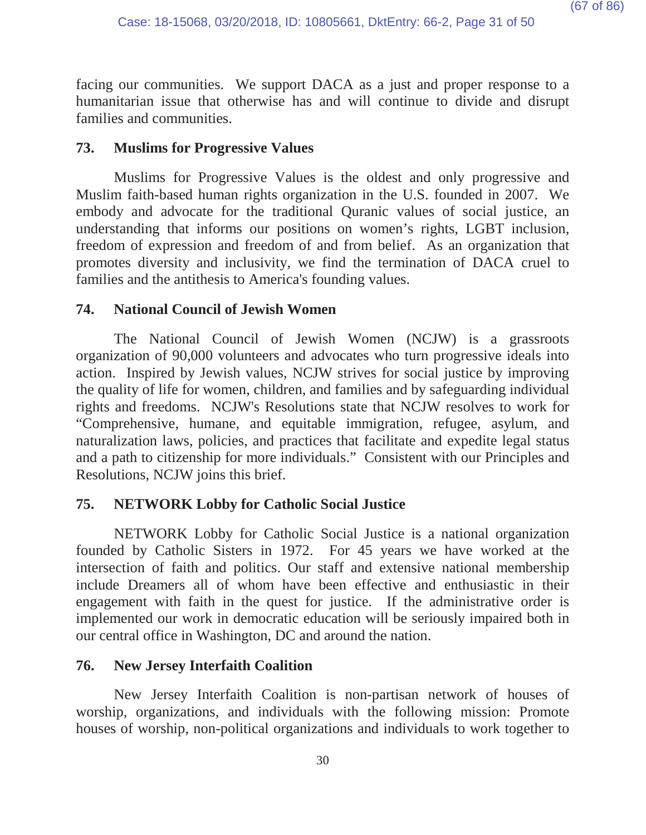facing our communities. We support DACA as a just and proper response to a humanitarian issue that otherwise has and will continue to divide and disrupt families and communities.

## **73. Muslims for Progressive Values**

Muslims for Progressive Values is the oldest and only progressive and Muslim faith-based human rights organization in the U.S. founded in 2007. We embody and advocate for the traditional Quranic values of social justice, an understanding that informs our positions on women's rights, LGBT inclusion, freedom of expression and freedom of and from belief. As an organization that promotes diversity and inclusivity, we find the termination of DACA cruel to families and the antithesis to America's founding values.

# **74. National Council of Jewish Women**

The National Council of Jewish Women (NCJW) is a grassroots organization of 90,000 volunteers and advocates who turn progressive ideals into action. Inspired by Jewish values, NCJW strives for social justice by improving the quality of life for women, children, and families and by safeguarding individual rights and freedoms. NCJW's Resolutions state that NCJW resolves to work for "Comprehensive, humane, and equitable immigration, refugee, asylum, and naturalization laws, policies, and practices that facilitate and expedite legal status and a path to citizenship for more individuals." Consistent with our Principles and Resolutions, NCJW joins this brief.

# **75. NETWORK Lobby for Catholic Social Justice**

NETWORK Lobby for Catholic Social Justice is a national organization founded by Catholic Sisters in 1972. For 45 years we have worked at the intersection of faith and politics. Our staff and extensive national membership include Dreamers all of whom have been effective and enthusiastic in their engagement with faith in the quest for justice. If the administrative order is implemented our work in democratic education will be seriously impaired both in our central office in Washington, DC and around the nation.

# **76. New Jersey Interfaith Coalition**

New Jersey Interfaith Coalition is non-partisan network of houses of worship, organizations, and individuals with the following mission: Promote houses of worship, non-political organizations and individuals to work together to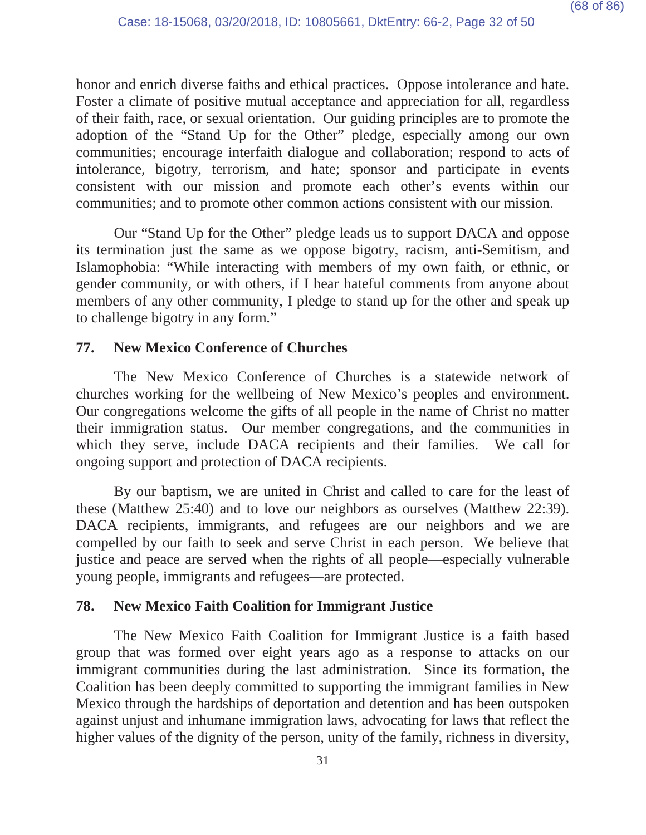honor and enrich diverse faiths and ethical practices. Oppose intolerance and hate. Foster a climate of positive mutual acceptance and appreciation for all, regardless of their faith, race, or sexual orientation. Our guiding principles are to promote the adoption of the "Stand Up for the Other" pledge, especially among our own communities; encourage interfaith dialogue and collaboration; respond to acts of intolerance, bigotry, terrorism, and hate; sponsor and participate in events consistent with our mission and promote each other's events within our communities; and to promote other common actions consistent with our mission.

Our "Stand Up for the Other" pledge leads us to support DACA and oppose its termination just the same as we oppose bigotry, racism, anti-Semitism, and Islamophobia: "While interacting with members of my own faith, or ethnic, or gender community, or with others, if I hear hateful comments from anyone about members of any other community, I pledge to stand up for the other and speak up to challenge bigotry in any form."

# **77. New Mexico Conference of Churches**

The New Mexico Conference of Churches is a statewide network of churches working for the wellbeing of New Mexico's peoples and environment. Our congregations welcome the gifts of all people in the name of Christ no matter their immigration status. Our member congregations, and the communities in which they serve, include DACA recipients and their families. We call for ongoing support and protection of DACA recipients.

By our baptism, we are united in Christ and called to care for the least of these (Matthew 25:40) and to love our neighbors as ourselves (Matthew 22:39). DACA recipients, immigrants, and refugees are our neighbors and we are compelled by our faith to seek and serve Christ in each person. We believe that justice and peace are served when the rights of all people—especially vulnerable young people, immigrants and refugees—are protected.

# **78. New Mexico Faith Coalition for Immigrant Justice**

The New Mexico Faith Coalition for Immigrant Justice is a faith based group that was formed over eight years ago as a response to attacks on our immigrant communities during the last administration. Since its formation, the Coalition has been deeply committed to supporting the immigrant families in New Mexico through the hardships of deportation and detention and has been outspoken against unjust and inhumane immigration laws, advocating for laws that reflect the higher values of the dignity of the person, unity of the family, richness in diversity,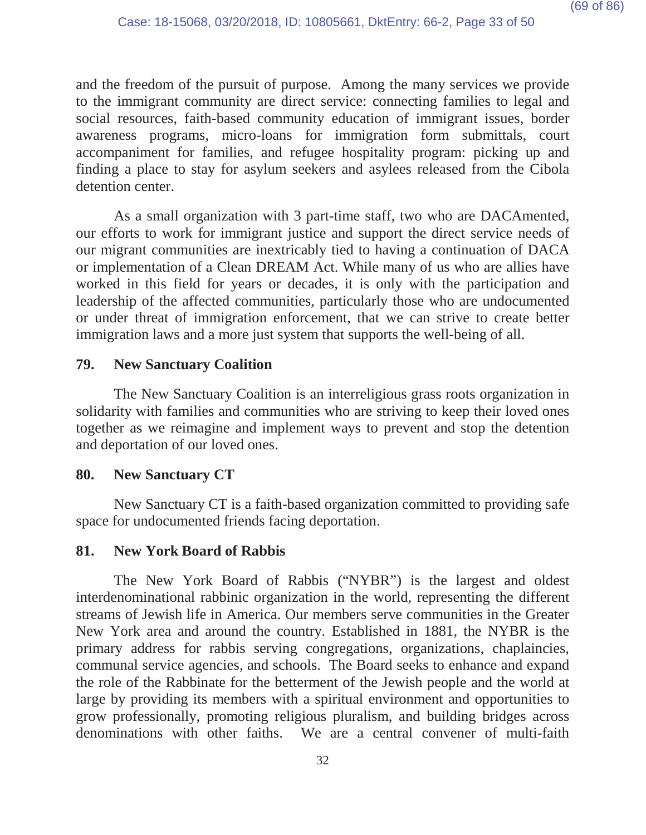and the freedom of the pursuit of purpose. Among the many services we provide to the immigrant community are direct service: connecting families to legal and social resources, faith-based community education of immigrant issues, border awareness programs, micro-loans for immigration form submittals, court accompaniment for families, and refugee hospitality program: picking up and finding a place to stay for asylum seekers and asylees released from the Cibola detention center.

As a small organization with 3 part-time staff, two who are DACAmented, our efforts to work for immigrant justice and support the direct service needs of our migrant communities are inextricably tied to having a continuation of DACA or implementation of a Clean DREAM Act. While many of us who are allies have worked in this field for years or decades, it is only with the participation and leadership of the affected communities, particularly those who are undocumented or under threat of immigration enforcement, that we can strive to create better immigration laws and a more just system that supports the well-being of all.

## **79. New Sanctuary Coalition**

The New Sanctuary Coalition is an interreligious grass roots organization in solidarity with families and communities who are striving to keep their loved ones together as we reimagine and implement ways to prevent and stop the detention and deportation of our loved ones.

# **80. New Sanctuary CT**

New Sanctuary CT is a faith-based organization committed to providing safe space for undocumented friends facing deportation.

### **81. New York Board of Rabbis**

The New York Board of Rabbis ("NYBR") is the largest and oldest interdenominational rabbinic organization in the world, representing the different streams of Jewish life in America. Our members serve communities in the Greater New York area and around the country. Established in 1881, the NYBR is the primary address for rabbis serving congregations, organizations, chaplaincies, communal service agencies, and schools. The Board seeks to enhance and expand the role of the Rabbinate for the betterment of the Jewish people and the world at large by providing its members with a spiritual environment and opportunities to grow professionally, promoting religious pluralism, and building bridges across denominations with other faiths. We are a central convener of multi-faith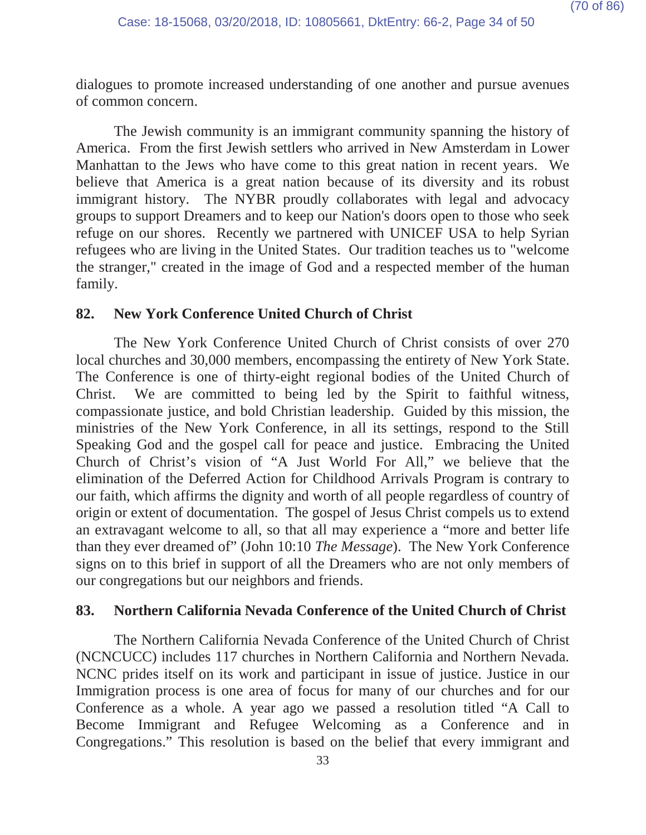dialogues to promote increased understanding of one another and pursue avenues of common concern.

The Jewish community is an immigrant community spanning the history of America. From the first Jewish settlers who arrived in New Amsterdam in Lower Manhattan to the Jews who have come to this great nation in recent years. We believe that America is a great nation because of its diversity and its robust immigrant history. The NYBR proudly collaborates with legal and advocacy groups to support Dreamers and to keep our Nation's doors open to those who seek refuge on our shores. Recently we partnered with UNICEF USA to help Syrian refugees who are living in the United States. Our tradition teaches us to "welcome the stranger," created in the image of God and a respected member of the human family.

### **82. New York Conference United Church of Christ**

The New York Conference United Church of Christ consists of over 270 local churches and 30,000 members, encompassing the entirety of New York State. The Conference is one of thirty-eight regional bodies of the United Church of Christ. We are committed to being led by the Spirit to faithful witness, compassionate justice, and bold Christian leadership. Guided by this mission, the ministries of the New York Conference, in all its settings, respond to the Still Speaking God and the gospel call for peace and justice. Embracing the United Church of Christ's vision of "A Just World For All," we believe that the elimination of the Deferred Action for Childhood Arrivals Program is contrary to our faith, which affirms the dignity and worth of all people regardless of country of origin or extent of documentation. The gospel of Jesus Christ compels us to extend an extravagant welcome to all, so that all may experience a "more and better life than they ever dreamed of" (John 10:10 *The Message*). The New York Conference signs on to this brief in support of all the Dreamers who are not only members of our congregations but our neighbors and friends.

# **83. Northern California Nevada Conference of the United Church of Christ**

The Northern California Nevada Conference of the United Church of Christ (NCNCUCC) includes 117 churches in Northern California and Northern Nevada. NCNC prides itself on its work and participant in issue of justice. Justice in our Immigration process is one area of focus for many of our churches and for our Conference as a whole. A year ago we passed a resolution titled "A Call to Become Immigrant and Refugee Welcoming as a Conference and in Congregations." This resolution is based on the belief that every immigrant and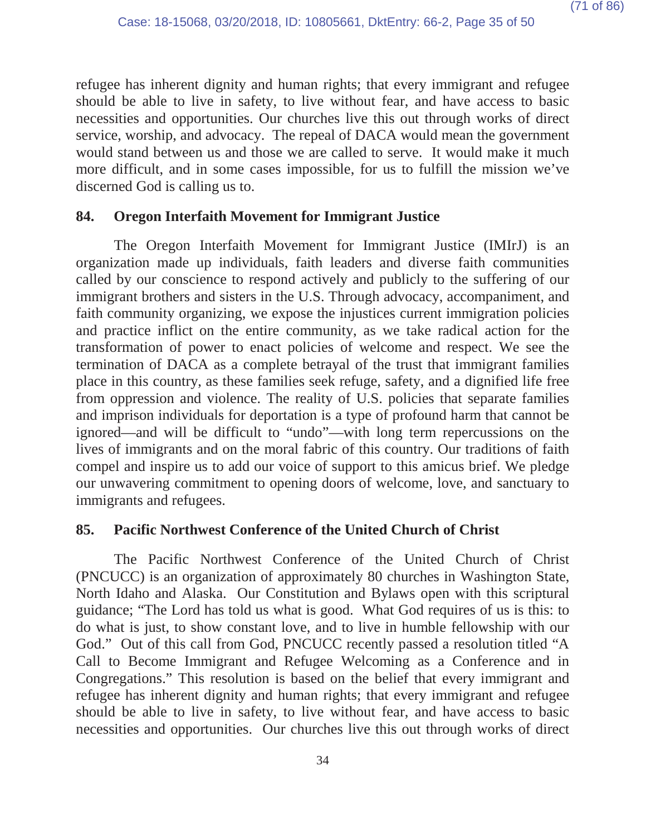refugee has inherent dignity and human rights; that every immigrant and refugee should be able to live in safety, to live without fear, and have access to basic necessities and opportunities. Our churches live this out through works of direct service, worship, and advocacy. The repeal of DACA would mean the government would stand between us and those we are called to serve. It would make it much more difficult, and in some cases impossible, for us to fulfill the mission we've discerned God is calling us to.

# **84. Oregon Interfaith Movement for Immigrant Justice**

The Oregon Interfaith Movement for Immigrant Justice (IMIrJ) is an organization made up individuals, faith leaders and diverse faith communities called by our conscience to respond actively and publicly to the suffering of our immigrant brothers and sisters in the U.S. Through advocacy, accompaniment, and faith community organizing, we expose the injustices current immigration policies and practice inflict on the entire community, as we take radical action for the transformation of power to enact policies of welcome and respect. We see the termination of DACA as a complete betrayal of the trust that immigrant families place in this country, as these families seek refuge, safety, and a dignified life free from oppression and violence. The reality of U.S. policies that separate families and imprison individuals for deportation is a type of profound harm that cannot be ignored—and will be difficult to "undo"—with long term repercussions on the lives of immigrants and on the moral fabric of this country. Our traditions of faith compel and inspire us to add our voice of support to this amicus brief. We pledge our unwavering commitment to opening doors of welcome, love, and sanctuary to immigrants and refugees.

# **85. Pacific Northwest Conference of the United Church of Christ**

The Pacific Northwest Conference of the United Church of Christ (PNCUCC) is an organization of approximately 80 churches in Washington State, North Idaho and Alaska. Our Constitution and Bylaws open with this scriptural guidance; "The Lord has told us what is good. What God requires of us is this: to do what is just, to show constant love, and to live in humble fellowship with our God." Out of this call from God, PNCUCC recently passed a resolution titled "A Call to Become Immigrant and Refugee Welcoming as a Conference and in Congregations." This resolution is based on the belief that every immigrant and refugee has inherent dignity and human rights; that every immigrant and refugee should be able to live in safety, to live without fear, and have access to basic necessities and opportunities. Our churches live this out through works of direct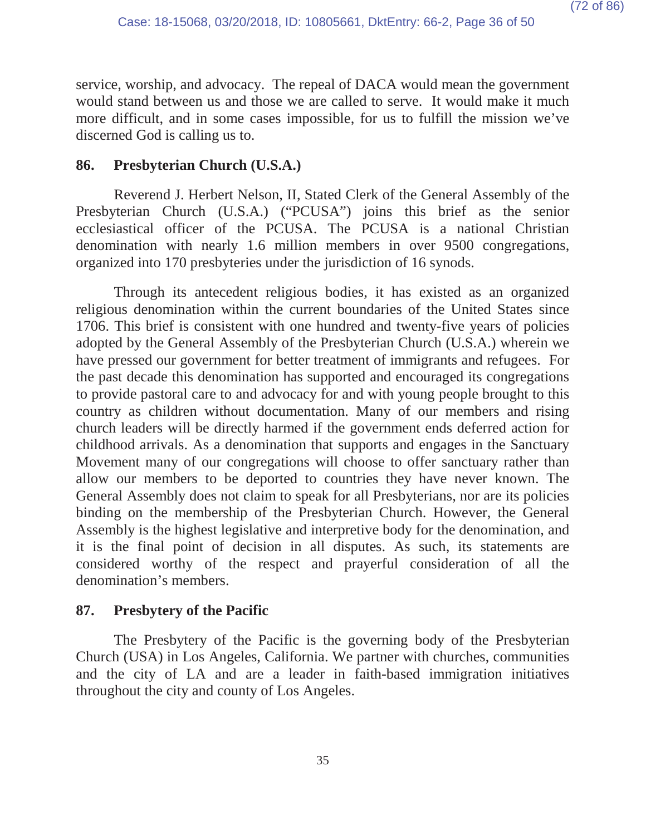service, worship, and advocacy. The repeal of DACA would mean the government would stand between us and those we are called to serve. It would make it much more difficult, and in some cases impossible, for us to fulfill the mission we've discerned God is calling us to.

## **86. Presbyterian Church (U.S.A.)**

Reverend J. Herbert Nelson, II, Stated Clerk of the General Assembly of the Presbyterian Church (U.S.A.) ("PCUSA") joins this brief as the senior ecclesiastical officer of the PCUSA. The PCUSA is a national Christian denomination with nearly 1.6 million members in over 9500 congregations, organized into 170 presbyteries under the jurisdiction of 16 synods.

Through its antecedent religious bodies, it has existed as an organized religious denomination within the current boundaries of the United States since 1706. This brief is consistent with one hundred and twenty-five years of policies adopted by the General Assembly of the Presbyterian Church (U.S.A.) wherein we have pressed our government for better treatment of immigrants and refugees. For the past decade this denomination has supported and encouraged its congregations to provide pastoral care to and advocacy for and with young people brought to this country as children without documentation. Many of our members and rising church leaders will be directly harmed if the government ends deferred action for childhood arrivals. As a denomination that supports and engages in the Sanctuary Movement many of our congregations will choose to offer sanctuary rather than allow our members to be deported to countries they have never known. The General Assembly does not claim to speak for all Presbyterians, nor are its policies binding on the membership of the Presbyterian Church. However, the General Assembly is the highest legislative and interpretive body for the denomination, and it is the final point of decision in all disputes. As such, its statements are considered worthy of the respect and prayerful consideration of all the denomination's members.

### **87. Presbytery of the Pacific**

The Presbytery of the Pacific is the governing body of the Presbyterian Church (USA) in Los Angeles, California. We partner with churches, communities and the city of LA and are a leader in faith-based immigration initiatives throughout the city and county of Los Angeles.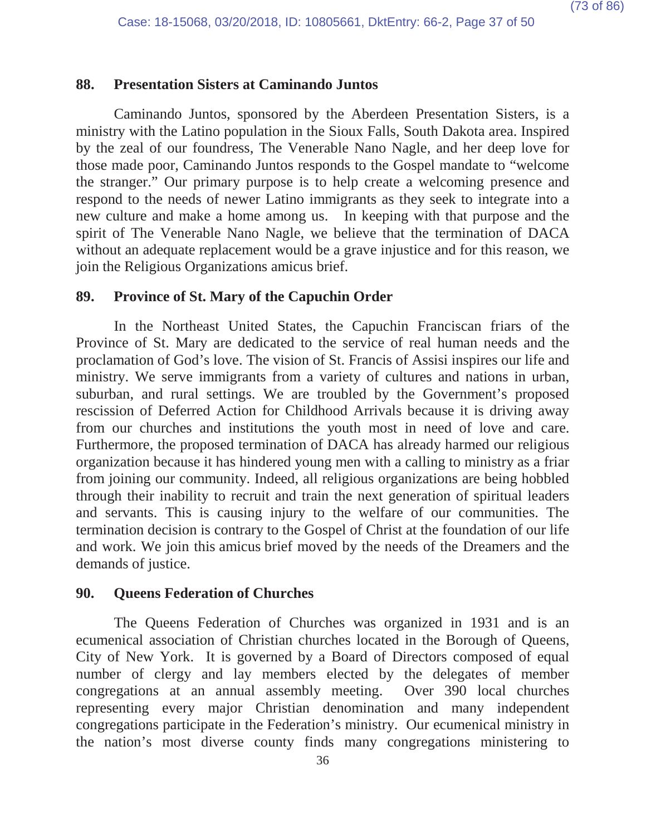## **88. Presentation Sisters at Caminando Juntos**

Caminando Juntos, sponsored by the Aberdeen Presentation Sisters, is a ministry with the Latino population in the Sioux Falls, South Dakota area. Inspired by the zeal of our foundress, The Venerable Nano Nagle, and her deep love for those made poor, Caminando Juntos responds to the Gospel mandate to "welcome the stranger." Our primary purpose is to help create a welcoming presence and respond to the needs of newer Latino immigrants as they seek to integrate into a new culture and make a home among us. In keeping with that purpose and the spirit of The Venerable Nano Nagle, we believe that the termination of DACA without an adequate replacement would be a grave injustice and for this reason, we join the Religious Organizations amicus brief.

### **89. Province of St. Mary of the Capuchin Order**

In the Northeast United States, the Capuchin Franciscan friars of the Province of St. Mary are dedicated to the service of real human needs and the proclamation of God's love. The vision of St. Francis of Assisi inspires our life and ministry. We serve immigrants from a variety of cultures and nations in urban, suburban, and rural settings. We are troubled by the Government's proposed rescission of Deferred Action for Childhood Arrivals because it is driving away from our churches and institutions the youth most in need of love and care. Furthermore, the proposed termination of DACA has already harmed our religious organization because it has hindered young men with a calling to ministry as a friar from joining our community. Indeed, all religious organizations are being hobbled through their inability to recruit and train the next generation of spiritual leaders and servants. This is causing injury to the welfare of our communities. The termination decision is contrary to the Gospel of Christ at the foundation of our life and work. We join this amicus brief moved by the needs of the Dreamers and the demands of justice.

#### **90. Queens Federation of Churches**

The Queens Federation of Churches was organized in 1931 and is an ecumenical association of Christian churches located in the Borough of Queens, City of New York. It is governed by a Board of Directors composed of equal number of clergy and lay members elected by the delegates of member congregations at an annual assembly meeting. Over 390 local churches representing every major Christian denomination and many independent congregations participate in the Federation's ministry. Our ecumenical ministry in the nation's most diverse county finds many congregations ministering to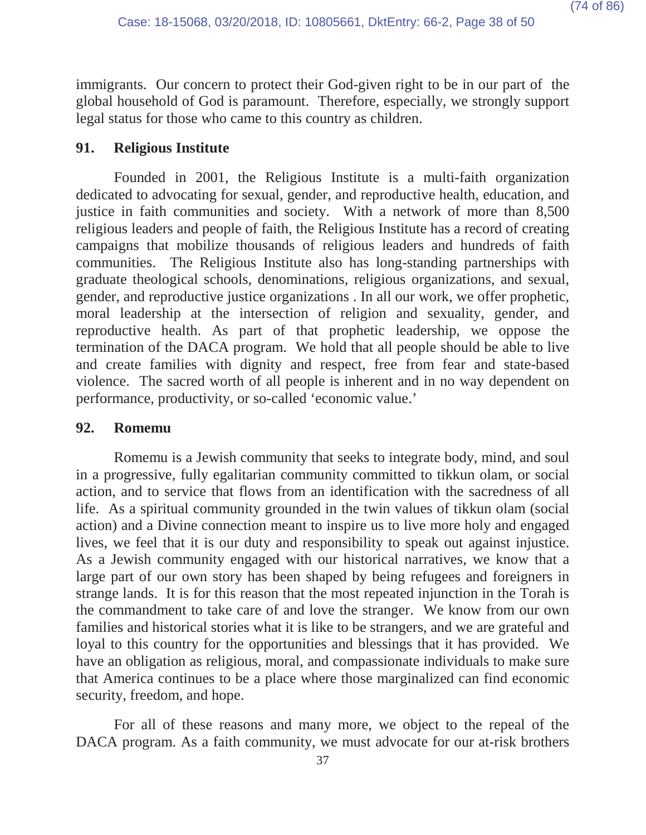immigrants. Our concern to protect their God-given right to be in our part of the global household of God is paramount. Therefore, especially, we strongly support legal status for those who came to this country as children.

## **91. Religious Institute**

Founded in 2001, the Religious Institute is a multi-faith organization dedicated to advocating for sexual, gender, and reproductive health, education, and justice in faith communities and society. With a network of more than 8,500 religious leaders and people of faith, the Religious Institute has a record of creating campaigns that mobilize thousands of religious leaders and hundreds of faith communities. The Religious Institute also has long-standing partnerships with graduate theological schools, denominations, religious organizations, and sexual, gender, and reproductive justice organizations . In all our work, we offer prophetic, moral leadership at the intersection of religion and sexuality, gender, and reproductive health. As part of that prophetic leadership, we oppose the termination of the DACA program. We hold that all people should be able to live and create families with dignity and respect, free from fear and state-based violence. The sacred worth of all people is inherent and in no way dependent on performance, productivity, or so-called 'economic value.'

### **92. Romemu**

Romemu is a Jewish community that seeks to integrate body, mind, and soul in a progressive, fully egalitarian community committed to tikkun olam, or social action, and to service that flows from an identification with the sacredness of all life. As a spiritual community grounded in the twin values of tikkun olam (social action) and a Divine connection meant to inspire us to live more holy and engaged lives, we feel that it is our duty and responsibility to speak out against injustice. As a Jewish community engaged with our historical narratives, we know that a large part of our own story has been shaped by being refugees and foreigners in strange lands. It is for this reason that the most repeated injunction in the Torah is the commandment to take care of and love the stranger. We know from our own families and historical stories what it is like to be strangers, and we are grateful and loyal to this country for the opportunities and blessings that it has provided. We have an obligation as religious, moral, and compassionate individuals to make sure that America continues to be a place where those marginalized can find economic security, freedom, and hope.

For all of these reasons and many more, we object to the repeal of the DACA program. As a faith community, we must advocate for our at-risk brothers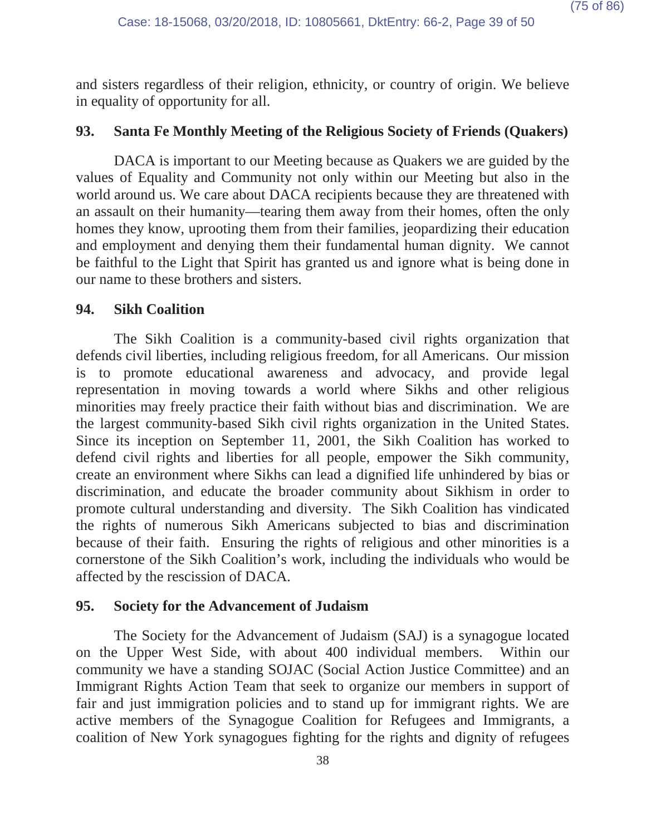and sisters regardless of their religion, ethnicity, or country of origin. We believe in equality of opportunity for all.

## **93. Santa Fe Monthly Meeting of the Religious Society of Friends (Quakers)**

DACA is important to our Meeting because as Quakers we are guided by the values of Equality and Community not only within our Meeting but also in the world around us. We care about DACA recipients because they are threatened with an assault on their humanity—tearing them away from their homes, often the only homes they know, uprooting them from their families, jeopardizing their education and employment and denying them their fundamental human dignity. We cannot be faithful to the Light that Spirit has granted us and ignore what is being done in our name to these brothers and sisters.

### **94. Sikh Coalition**

The Sikh Coalition is a community-based civil rights organization that defends civil liberties, including religious freedom, for all Americans. Our mission is to promote educational awareness and advocacy, and provide legal representation in moving towards a world where Sikhs and other religious minorities may freely practice their faith without bias and discrimination. We are the largest community-based Sikh civil rights organization in the United States. Since its inception on September 11, 2001, the Sikh Coalition has worked to defend civil rights and liberties for all people, empower the Sikh community, create an environment where Sikhs can lead a dignified life unhindered by bias or discrimination, and educate the broader community about Sikhism in order to promote cultural understanding and diversity. The Sikh Coalition has vindicated the rights of numerous Sikh Americans subjected to bias and discrimination because of their faith. Ensuring the rights of religious and other minorities is a cornerstone of the Sikh Coalition's work, including the individuals who would be affected by the rescission of DACA.

### **95. Society for the Advancement of Judaism**

The Society for the Advancement of Judaism (SAJ) is a synagogue located on the Upper West Side, with about 400 individual members. Within our community we have a standing SOJAC (Social Action Justice Committee) and an Immigrant Rights Action Team that seek to organize our members in support of fair and just immigration policies and to stand up for immigrant rights. We are active members of the Synagogue Coalition for Refugees and Immigrants, a coalition of New York synagogues fighting for the rights and dignity of refugees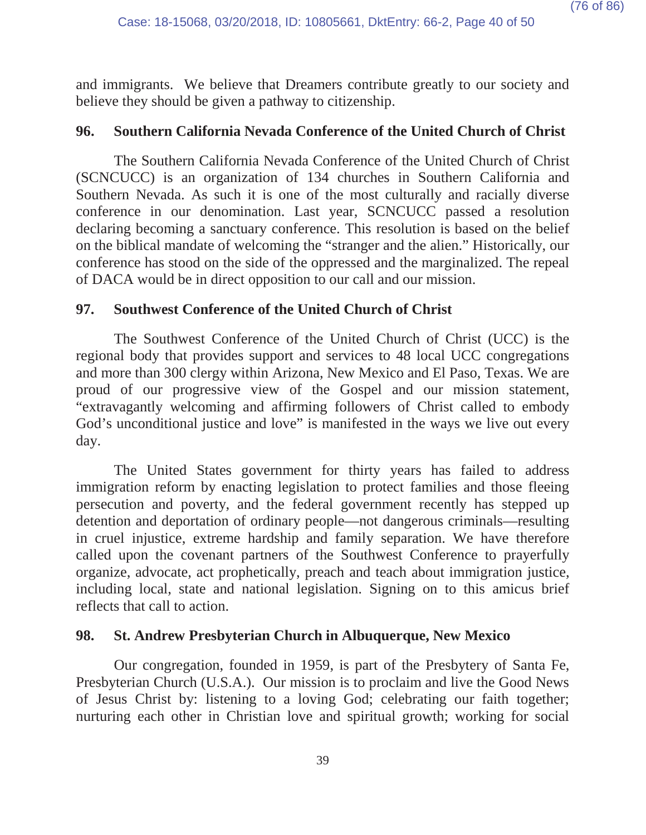and immigrants. We believe that Dreamers contribute greatly to our society and believe they should be given a pathway to citizenship.

## **96. Southern California Nevada Conference of the United Church of Christ**

The Southern California Nevada Conference of the United Church of Christ (SCNCUCC) is an organization of 134 churches in Southern California and Southern Nevada. As such it is one of the most culturally and racially diverse conference in our denomination. Last year, SCNCUCC passed a resolution declaring becoming a sanctuary conference. This resolution is based on the belief on the biblical mandate of welcoming the "stranger and the alien." Historically, our conference has stood on the side of the oppressed and the marginalized. The repeal of DACA would be in direct opposition to our call and our mission.

## **97. Southwest Conference of the United Church of Christ**

The Southwest Conference of the United Church of Christ (UCC) is the regional body that provides support and services to 48 local UCC congregations and more than 300 clergy within Arizona, New Mexico and El Paso, Texas. We are proud of our progressive view of the Gospel and our mission statement, "extravagantly welcoming and affirming followers of Christ called to embody God's unconditional justice and love" is manifested in the ways we live out every day.

The United States government for thirty years has failed to address immigration reform by enacting legislation to protect families and those fleeing persecution and poverty, and the federal government recently has stepped up detention and deportation of ordinary people—not dangerous criminals—resulting in cruel injustice, extreme hardship and family separation. We have therefore called upon the covenant partners of the Southwest Conference to prayerfully organize, advocate, act prophetically, preach and teach about immigration justice, including local, state and national legislation. Signing on to this amicus brief reflects that call to action.

## **98. St. Andrew Presbyterian Church in Albuquerque, New Mexico**

Our congregation, founded in 1959, is part of the Presbytery of Santa Fe, Presbyterian Church (U.S.A.). Our mission is to proclaim and live the Good News of Jesus Christ by: listening to a loving God; celebrating our faith together; nurturing each other in Christian love and spiritual growth; working for social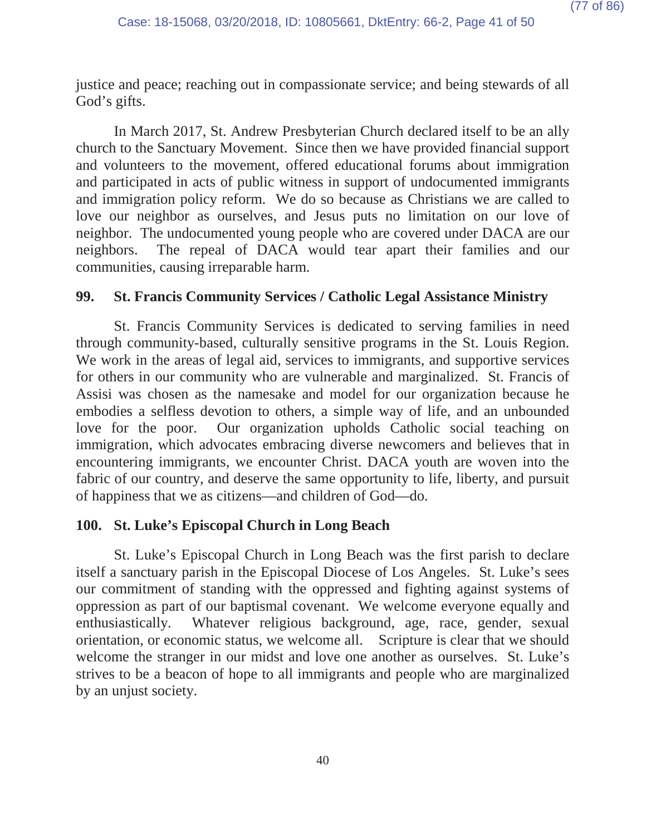justice and peace; reaching out in compassionate service; and being stewards of all God's gifts.

In March 2017, St. Andrew Presbyterian Church declared itself to be an ally church to the Sanctuary Movement. Since then we have provided financial support and volunteers to the movement, offered educational forums about immigration and participated in acts of public witness in support of undocumented immigrants and immigration policy reform. We do so because as Christians we are called to love our neighbor as ourselves, and Jesus puts no limitation on our love of neighbor. The undocumented young people who are covered under DACA are our neighbors. The repeal of DACA would tear apart their families and our communities, causing irreparable harm.

## **99. St. Francis Community Services / Catholic Legal Assistance Ministry**

St. Francis Community Services is dedicated to serving families in need through community-based, culturally sensitive programs in the St. Louis Region. We work in the areas of legal aid, services to immigrants, and supportive services for others in our community who are vulnerable and marginalized. St. Francis of Assisi was chosen as the namesake and model for our organization because he embodies a selfless devotion to others, a simple way of life, and an unbounded love for the poor. Our organization upholds Catholic social teaching on immigration, which advocates embracing diverse newcomers and believes that in encountering immigrants, we encounter Christ. DACA youth are woven into the fabric of our country, and deserve the same opportunity to life, liberty, and pursuit of happiness that we as citizens—and children of God—do.

## **100. St. Luke's Episcopal Church in Long Beach**

St. Luke's Episcopal Church in Long Beach was the first parish to declare itself a sanctuary parish in the Episcopal Diocese of Los Angeles. St. Luke's sees our commitment of standing with the oppressed and fighting against systems of oppression as part of our baptismal covenant. We welcome everyone equally and enthusiastically. Whatever religious background, age, race, gender, sexual orientation, or economic status, we welcome all. Scripture is clear that we should welcome the stranger in our midst and love one another as ourselves. St. Luke's strives to be a beacon of hope to all immigrants and people who are marginalized by an unjust society.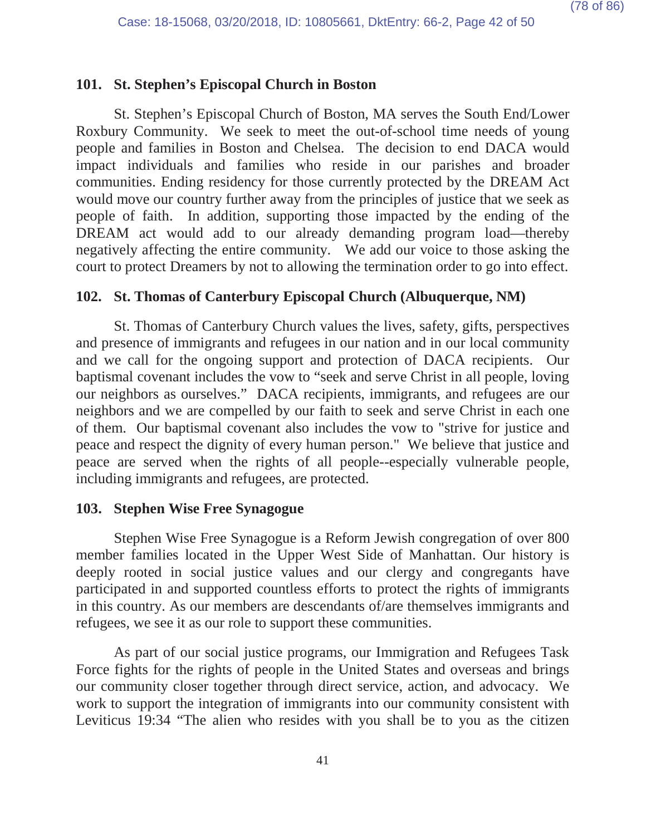## **101. St. Stephen's Episcopal Church in Boston**

St. Stephen's Episcopal Church of Boston, MA serves the South End/Lower Roxbury Community. We seek to meet the out-of-school time needs of young people and families in Boston and Chelsea. The decision to end DACA would impact individuals and families who reside in our parishes and broader communities. Ending residency for those currently protected by the DREAM Act would move our country further away from the principles of justice that we seek as people of faith. In addition, supporting those impacted by the ending of the DREAM act would add to our already demanding program load—thereby negatively affecting the entire community. We add our voice to those asking the court to protect Dreamers by not to allowing the termination order to go into effect.

### **102. St. Thomas of Canterbury Episcopal Church (Albuquerque, NM)**

St. Thomas of Canterbury Church values the lives, safety, gifts, perspectives and presence of immigrants and refugees in our nation and in our local community and we call for the ongoing support and protection of DACA recipients. Our baptismal covenant includes the vow to "seek and serve Christ in all people, loving our neighbors as ourselves." DACA recipients, immigrants, and refugees are our neighbors and we are compelled by our faith to seek and serve Christ in each one of them. Our baptismal covenant also includes the vow to "strive for justice and peace and respect the dignity of every human person." We believe that justice and peace are served when the rights of all people--especially vulnerable people, including immigrants and refugees, are protected.

#### **103. Stephen Wise Free Synagogue**

Stephen Wise Free Synagogue is a Reform Jewish congregation of over 800 member families located in the Upper West Side of Manhattan. Our history is deeply rooted in social justice values and our clergy and congregants have participated in and supported countless efforts to protect the rights of immigrants in this country. As our members are descendants of/are themselves immigrants and refugees, we see it as our role to support these communities.

As part of our social justice programs, our Immigration and Refugees Task Force fights for the rights of people in the United States and overseas and brings our community closer together through direct service, action, and advocacy. We work to support the integration of immigrants into our community consistent with Leviticus 19:34 "The alien who resides with you shall be to you as the citizen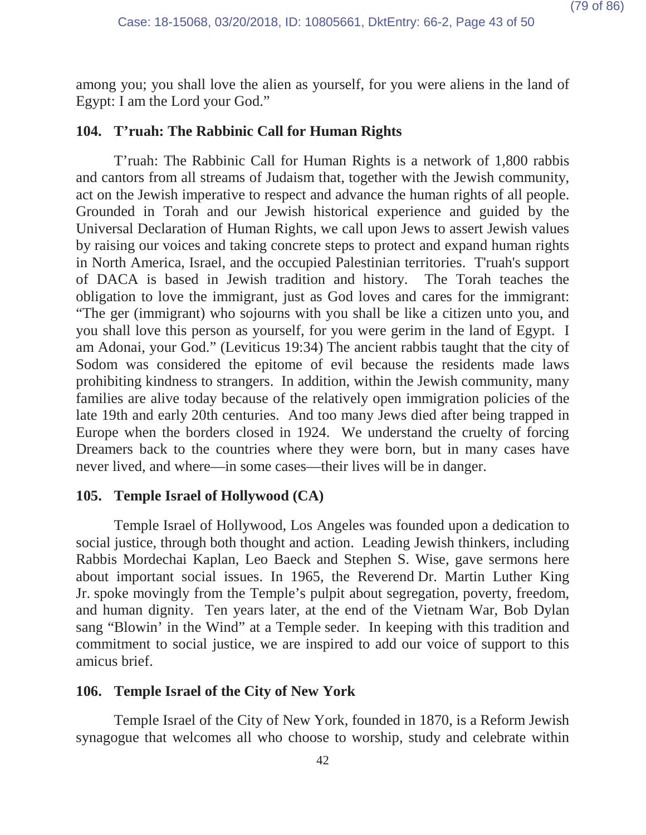among you; you shall love the alien as yourself, for you were aliens in the land of Egypt: I am the Lord your God."

### **104. T'ruah: The Rabbinic Call for Human Rights**

T'ruah: The Rabbinic Call for Human Rights is a network of 1,800 rabbis and cantors from all streams of Judaism that, together with the Jewish community, act on the Jewish imperative to respect and advance the human rights of all people. Grounded in Torah and our Jewish historical experience and guided by the Universal Declaration of Human Rights, we call upon Jews to assert Jewish values by raising our voices and taking concrete steps to protect and expand human rights in North America, Israel, and the occupied Palestinian territories. T'ruah's support of DACA is based in Jewish tradition and history. The Torah teaches the obligation to love the immigrant, just as God loves and cares for the immigrant: "The ger (immigrant) who sojourns with you shall be like a citizen unto you, and you shall love this person as yourself, for you were gerim in the land of Egypt. I am Adonai, your God." (Leviticus 19:34) The ancient rabbis taught that the city of Sodom was considered the epitome of evil because the residents made laws prohibiting kindness to strangers. In addition, within the Jewish community, many families are alive today because of the relatively open immigration policies of the late 19th and early 20th centuries. And too many Jews died after being trapped in Europe when the borders closed in 1924. We understand the cruelty of forcing Dreamers back to the countries where they were born, but in many cases have never lived, and where—in some cases—their lives will be in danger.

#### **105. Temple Israel of Hollywood (CA)**

Temple Israel of Hollywood, Los Angeles was founded upon a dedication to social justice, through both thought and action. Leading Jewish thinkers, including Rabbis Mordechai Kaplan, Leo Baeck and Stephen S. Wise, gave sermons here about important social issues. In 1965, the Reverend Dr. Martin Luther King Jr. spoke movingly from the Temple's pulpit about segregation, poverty, freedom, and human dignity. Ten years later, at the end of the Vietnam War, Bob Dylan sang "Blowin' in the Wind" at a Temple seder. In keeping with this tradition and commitment to social justice, we are inspired to add our voice of support to this amicus brief.

## **106. Temple Israel of the City of New York**

Temple Israel of the City of New York, founded in 1870, is a Reform Jewish synagogue that welcomes all who choose to worship, study and celebrate within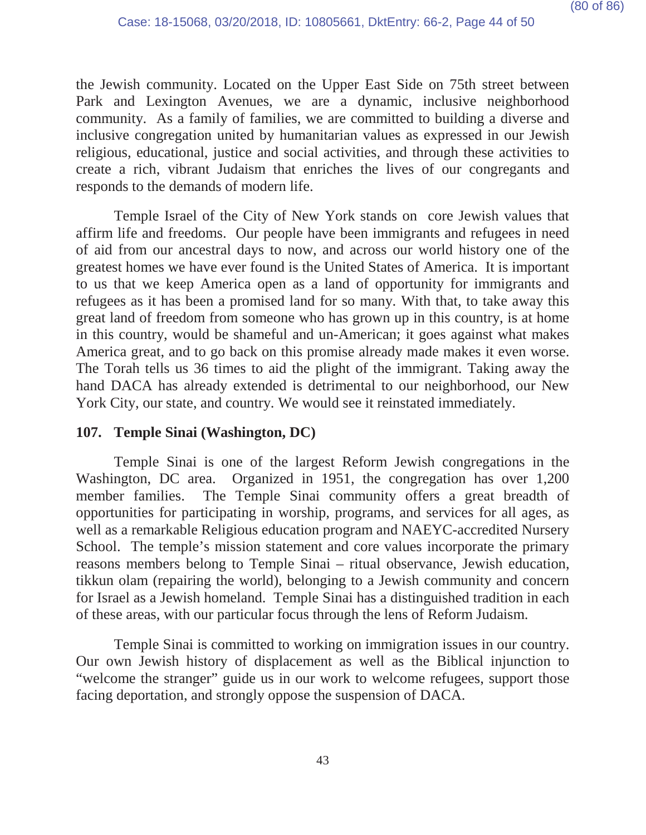the Jewish community. Located on the Upper East Side on 75th street between Park and Lexington Avenues, we are a dynamic, inclusive neighborhood community. As a family of families, we are committed to building a diverse and inclusive congregation united by humanitarian values as expressed in our Jewish religious, educational, justice and social activities, and through these activities to create a rich, vibrant Judaism that enriches the lives of our congregants and responds to the demands of modern life.

Temple Israel of the City of New York stands on core Jewish values that affirm life and freedoms. Our people have been immigrants and refugees in need of aid from our ancestral days to now, and across our world history one of the greatest homes we have ever found is the United States of America. It is important to us that we keep America open as a land of opportunity for immigrants and refugees as it has been a promised land for so many. With that, to take away this great land of freedom from someone who has grown up in this country, is at home in this country, would be shameful and un-American; it goes against what makes America great, and to go back on this promise already made makes it even worse. The Torah tells us 36 times to aid the plight of the immigrant. Taking away the hand DACA has already extended is detrimental to our neighborhood, our New York City, our state, and country. We would see it reinstated immediately.

## **107. Temple Sinai (Washington, DC)**

Temple Sinai is one of the largest Reform Jewish congregations in the Washington, DC area. Organized in 1951, the congregation has over 1,200 member families. The Temple Sinai community offers a great breadth of opportunities for participating in worship, programs, and services for all ages, as well as a remarkable Religious education program and NAEYC-accredited Nursery School. The temple's mission statement and core values incorporate the primary reasons members belong to Temple Sinai – ritual observance, Jewish education, tikkun olam (repairing the world), belonging to a Jewish community and concern for Israel as a Jewish homeland. Temple Sinai has a distinguished tradition in each of these areas, with our particular focus through the lens of Reform Judaism.

Temple Sinai is committed to working on immigration issues in our country. Our own Jewish history of displacement as well as the Biblical injunction to "welcome the stranger" guide us in our work to welcome refugees, support those facing deportation, and strongly oppose the suspension of DACA.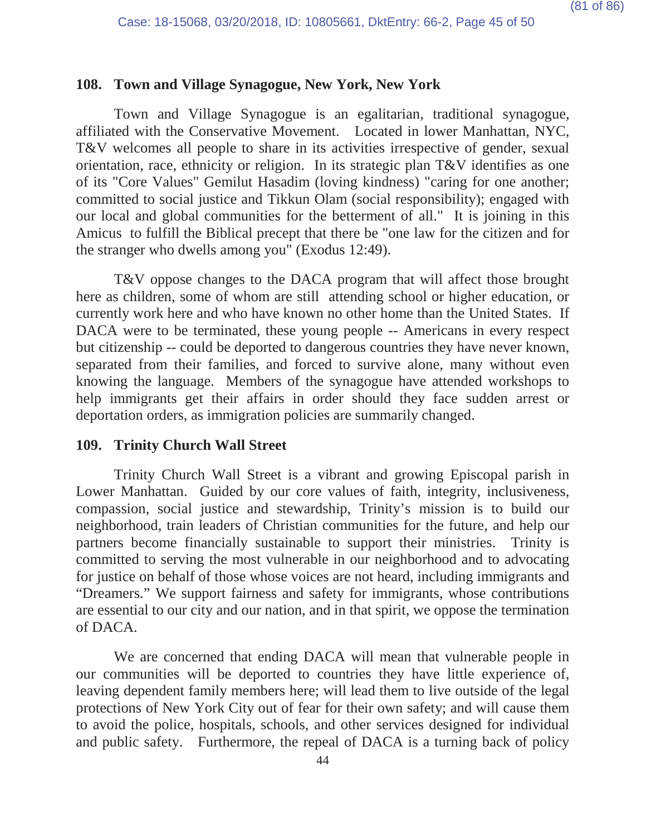#### **108. Town and Village Synagogue, New York, New York**

Town and Village Synagogue is an egalitarian, traditional synagogue, affiliated with the Conservative Movement. Located in lower Manhattan, NYC, T&V welcomes all people to share in its activities irrespective of gender, sexual orientation, race, ethnicity or religion. In its strategic plan T&V identifies as one of its "Core Values" Gemilut Hasadim (loving kindness) "caring for one another; committed to social justice and Tikkun Olam (social responsibility); engaged with our local and global communities for the betterment of all." It is joining in this Amicus to fulfill the Biblical precept that there be "one law for the citizen and for the stranger who dwells among you" (Exodus 12:49).

T&V oppose changes to the DACA program that will affect those brought here as children, some of whom are still attending school or higher education, or currently work here and who have known no other home than the United States. If DACA were to be terminated, these young people -- Americans in every respect but citizenship -- could be deported to dangerous countries they have never known, separated from their families, and forced to survive alone, many without even knowing the language. Members of the synagogue have attended workshops to help immigrants get their affairs in order should they face sudden arrest or deportation orders, as immigration policies are summarily changed.

#### **109. Trinity Church Wall Street**

Trinity Church Wall Street is a vibrant and growing Episcopal parish in Lower Manhattan. Guided by our core values of faith, integrity, inclusiveness, compassion, social justice and stewardship, Trinity's mission is to build our neighborhood, train leaders of Christian communities for the future, and help our partners become financially sustainable to support their ministries. Trinity is committed to serving the most vulnerable in our neighborhood and to advocating for justice on behalf of those whose voices are not heard, including immigrants and "Dreamers." We support fairness and safety for immigrants, whose contributions are essential to our city and our nation, and in that spirit, we oppose the termination of DACA.

We are concerned that ending DACA will mean that vulnerable people in our communities will be deported to countries they have little experience of, leaving dependent family members here; will lead them to live outside of the legal protections of New York City out of fear for their own safety; and will cause them to avoid the police, hospitals, schools, and other services designed for individual and public safety. Furthermore, the repeal of DACA is a turning back of policy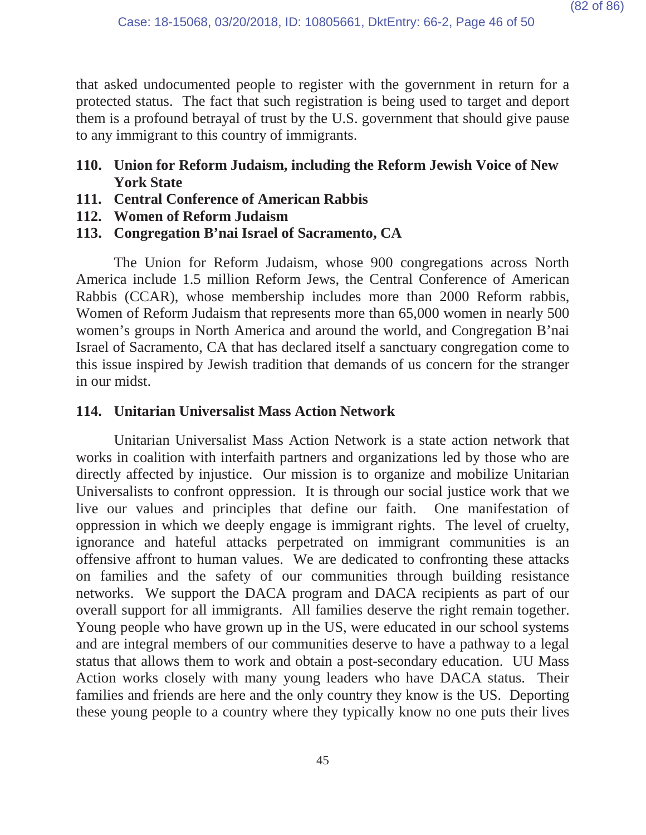that asked undocumented people to register with the government in return for a protected status. The fact that such registration is being used to target and deport them is a profound betrayal of trust by the U.S. government that should give pause to any immigrant to this country of immigrants.

- **110. Union for Reform Judaism, including the Reform Jewish Voice of New York State**
- **111. Central Conference of American Rabbis**
- **112. Women of Reform Judaism**
- **113. Congregation B'nai Israel of Sacramento, CA**

The Union for Reform Judaism, whose 900 congregations across North America include 1.5 million Reform Jews, the Central Conference of American Rabbis (CCAR), whose membership includes more than 2000 Reform rabbis, Women of Reform Judaism that represents more than 65,000 women in nearly 500 women's groups in North America and around the world, and Congregation B'nai Israel of Sacramento, CA that has declared itself a sanctuary congregation come to this issue inspired by Jewish tradition that demands of us concern for the stranger in our midst.

# **114. Unitarian Universalist Mass Action Network**

Unitarian Universalist Mass Action Network is a state action network that works in coalition with interfaith partners and organizations led by those who are directly affected by injustice. Our mission is to organize and mobilize Unitarian Universalists to confront oppression. It is through our social justice work that we live our values and principles that define our faith. One manifestation of oppression in which we deeply engage is immigrant rights. The level of cruelty, ignorance and hateful attacks perpetrated on immigrant communities is an offensive affront to human values. We are dedicated to confronting these attacks on families and the safety of our communities through building resistance networks. We support the DACA program and DACA recipients as part of our overall support for all immigrants. All families deserve the right remain together. Young people who have grown up in the US, were educated in our school systems and are integral members of our communities deserve to have a pathway to a legal status that allows them to work and obtain a post-secondary education. UU Mass Action works closely with many young leaders who have DACA status. Their families and friends are here and the only country they know is the US. Deporting these young people to a country where they typically know no one puts their lives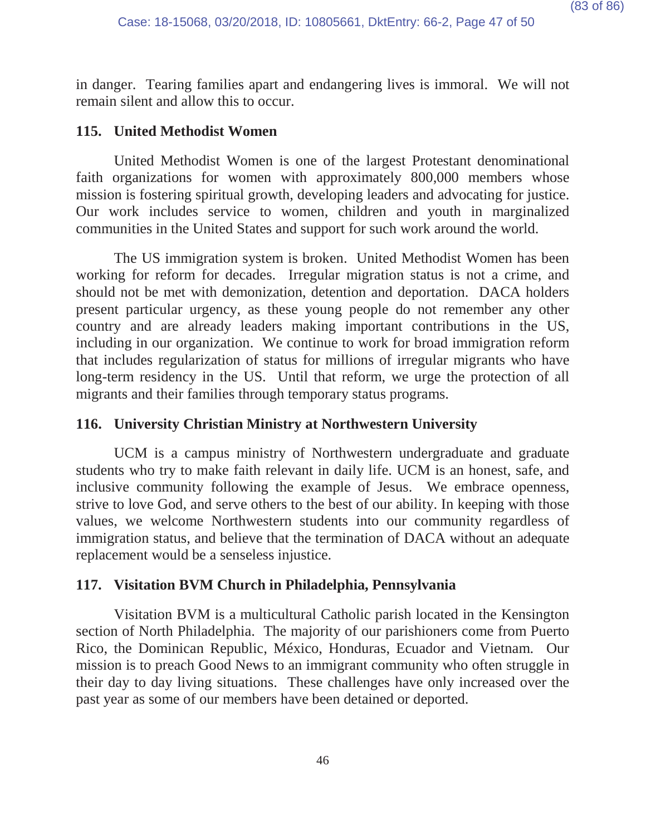in danger. Tearing families apart and endangering lives is immoral. We will not remain silent and allow this to occur.

## **115. United Methodist Women**

United Methodist Women is one of the largest Protestant denominational faith organizations for women with approximately 800,000 members whose mission is fostering spiritual growth, developing leaders and advocating for justice. Our work includes service to women, children and youth in marginalized communities in the United States and support for such work around the world.

The US immigration system is broken. United Methodist Women has been working for reform for decades. Irregular migration status is not a crime, and should not be met with demonization, detention and deportation. DACA holders present particular urgency, as these young people do not remember any other country and are already leaders making important contributions in the US, including in our organization. We continue to work for broad immigration reform that includes regularization of status for millions of irregular migrants who have long-term residency in the US. Until that reform, we urge the protection of all migrants and their families through temporary status programs.

## **116. University Christian Ministry at Northwestern University**

UCM is a campus ministry of Northwestern undergraduate and graduate students who try to make faith relevant in daily life. UCM is an honest, safe, and inclusive community following the example of Jesus. We embrace openness, strive to love God, and serve others to the best of our ability. In keeping with those values, we welcome Northwestern students into our community regardless of immigration status, and believe that the termination of DACA without an adequate replacement would be a senseless injustice.

## **117. Visitation BVM Church in Philadelphia, Pennsylvania**

Visitation BVM is a multicultural Catholic parish located in the Kensington section of North Philadelphia. The majority of our parishioners come from Puerto Rico, the Dominican Republic, México, Honduras, Ecuador and Vietnam. Our mission is to preach Good News to an immigrant community who often struggle in their day to day living situations. These challenges have only increased over the past year as some of our members have been detained or deported.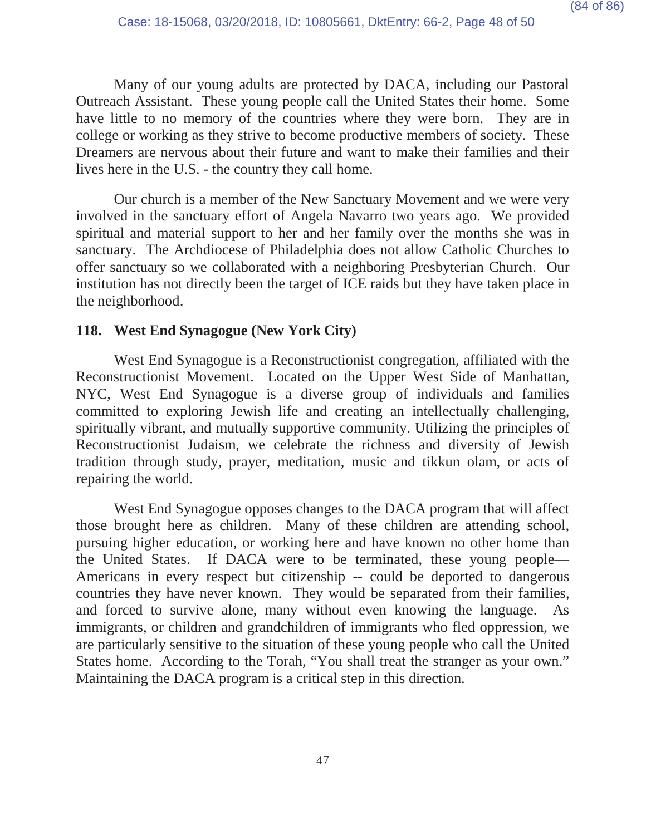Many of our young adults are protected by DACA, including our Pastoral Outreach Assistant. These young people call the United States their home. Some have little to no memory of the countries where they were born. They are in college or working as they strive to become productive members of society. These Dreamers are nervous about their future and want to make their families and their lives here in the U.S. - the country they call home.

Our church is a member of the New Sanctuary Movement and we were very involved in the sanctuary effort of Angela Navarro two years ago. We provided spiritual and material support to her and her family over the months she was in sanctuary. The Archdiocese of Philadelphia does not allow Catholic Churches to offer sanctuary so we collaborated with a neighboring Presbyterian Church. Our institution has not directly been the target of ICE raids but they have taken place in the neighborhood.

## **118. West End Synagogue (New York City)**

West End Synagogue is a Reconstructionist congregation, affiliated with the Reconstructionist Movement. Located on the Upper West Side of Manhattan, NYC, West End Synagogue is a diverse group of individuals and families committed to exploring Jewish life and creating an intellectually challenging, spiritually vibrant, and mutually supportive community. Utilizing the principles of Reconstructionist Judaism, we celebrate the richness and diversity of Jewish tradition through study, prayer, meditation, music and tikkun olam, or acts of repairing the world.

West End Synagogue opposes changes to the DACA program that will affect those brought here as children. Many of these children are attending school, pursuing higher education, or working here and have known no other home than the United States. If DACA were to be terminated, these young people— Americans in every respect but citizenship -- could be deported to dangerous countries they have never known. They would be separated from their families, and forced to survive alone, many without even knowing the language. As immigrants, or children and grandchildren of immigrants who fled oppression, we are particularly sensitive to the situation of these young people who call the United States home. According to the Torah, "You shall treat the stranger as your own." Maintaining the DACA program is a critical step in this direction.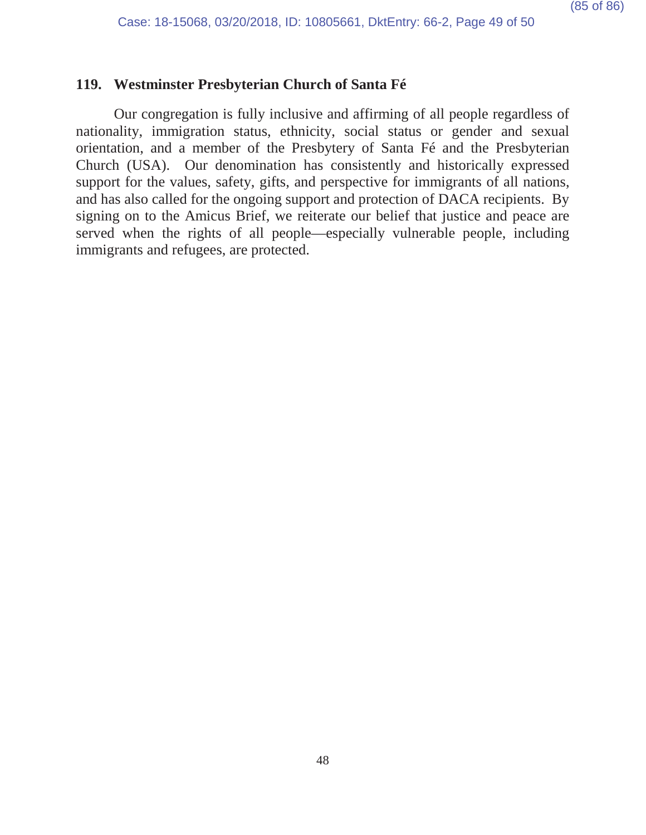## **119. Westminster Presbyterian Church of Santa Fé**

Our congregation is fully inclusive and affirming of all people regardless of nationality, immigration status, ethnicity, social status or gender and sexual orientation, and a member of the Presbytery of Santa Fé and the Presbyterian Church (USA). Our denomination has consistently and historically expressed support for the values, safety, gifts, and perspective for immigrants of all nations, and has also called for the ongoing support and protection of DACA recipients. By signing on to the Amicus Brief, we reiterate our belief that justice and peace are served when the rights of all people—especially vulnerable people, including immigrants and refugees, are protected.